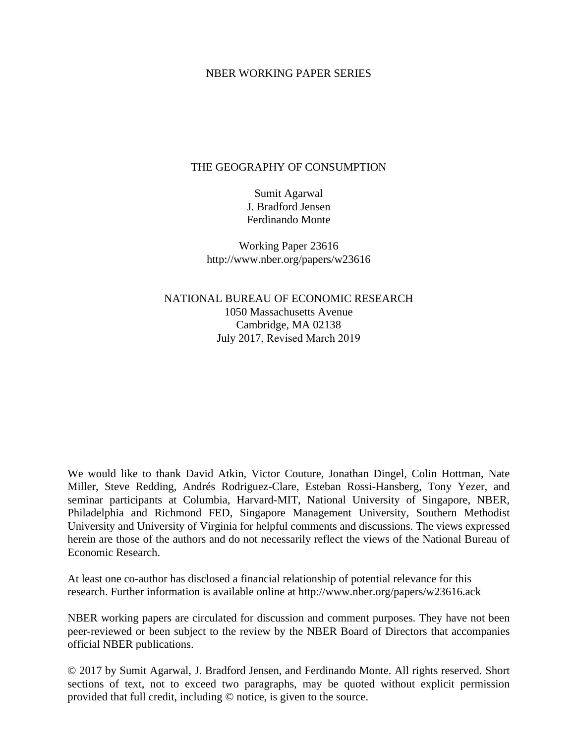### NBER WORKING PAPER SERIES

# THE GEOGRAPHY OF CONSUMPTION

Sumit Agarwal J. Bradford Jensen Ferdinando Monte

Working Paper 23616 http://www.nber.org/papers/w23616

NATIONAL BUREAU OF ECONOMIC RESEARCH 1050 Massachusetts Avenue Cambridge, MA 02138 July 2017, Revised March 2019

We would like to thank David Atkin, Victor Couture, Jonathan Dingel, Colin Hottman, Nate Miller, Steve Redding, Andrés Rodriguez-Clare, Esteban Rossi-Hansberg, Tony Yezer, and seminar participants at Columbia, Harvard-MIT, National University of Singapore, NBER, Philadelphia and Richmond FED, Singapore Management University, Southern Methodist University and University of Virginia for helpful comments and discussions. The views expressed herein are those of the authors and do not necessarily reflect the views of the National Bureau of Economic Research.

At least one co-author has disclosed a financial relationship of potential relevance for this research. Further information is available online at http://www.nber.org/papers/w23616.ack

NBER working papers are circulated for discussion and comment purposes. They have not been peer-reviewed or been subject to the review by the NBER Board of Directors that accompanies official NBER publications.

© 2017 by Sumit Agarwal, J. Bradford Jensen, and Ferdinando Monte. All rights reserved. Short sections of text, not to exceed two paragraphs, may be quoted without explicit permission provided that full credit, including © notice, is given to the source.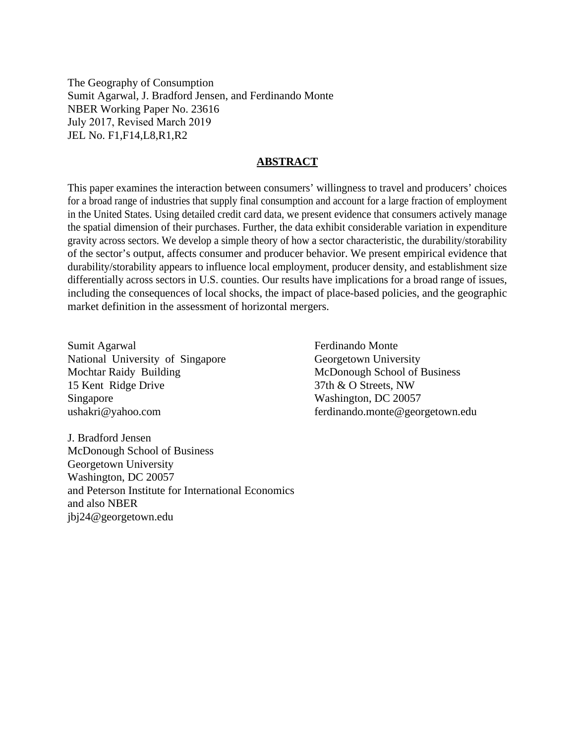The Geography of Consumption Sumit Agarwal, J. Bradford Jensen, and Ferdinando Monte NBER Working Paper No. 23616 July 2017, Revised March 2019 JEL No. F1,F14,L8,R1,R2

### **ABSTRACT**

This paper examines the interaction between consumers' willingness to travel and producers' choices for a broad range of industries that supply final consumption and account for a large fraction of employment in the United States. Using detailed credit card data, we present evidence that consumers actively manage the spatial dimension of their purchases. Further, the data exhibit considerable variation in expenditure gravity across sectors. We develop a simple theory of how a sector characteristic, the durability/storability of the sector's output, affects consumer and producer behavior. We present empirical evidence that durability/storability appears to influence local employment, producer density, and establishment size differentially across sectors in U.S. counties. Our results have implications for a broad range of issues, including the consequences of local shocks, the impact of place-based policies, and the geographic market definition in the assessment of horizontal mergers.

Sumit Agarwal National University of Singapore Mochtar Raidy Building 15 Kent Ridge Drive Singapore ushakri@yahoo.com

Ferdinando Monte Georgetown University McDonough School of Business 37th & O Streets, NW Washington, DC 20057 ferdinando.monte@georgetown.edu

J. Bradford Jensen McDonough School of Business Georgetown University Washington, DC 20057 and Peterson Institute for International Economics and also NBER jbj24@georgetown.edu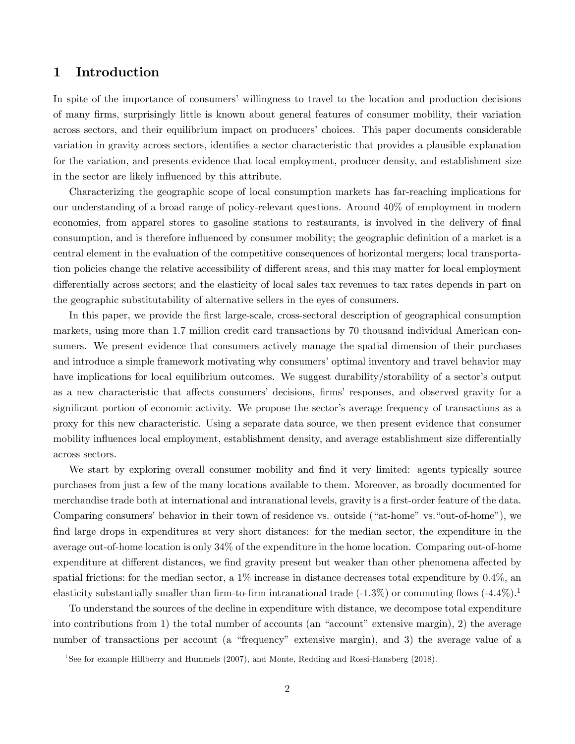# 1 Introduction

In spite of the importance of consumers' willingness to travel to the location and production decisions of many Örms, surprisingly little is known about general features of consumer mobility, their variation across sectors, and their equilibrium impact on producers' choices. This paper documents considerable variation in gravity across sectors, identifies a sector characteristic that provides a plausible explanation for the variation, and presents evidence that local employment, producer density, and establishment size in the sector are likely influenced by this attribute.

Characterizing the geographic scope of local consumption markets has far-reaching implications for our understanding of a broad range of policy-relevant questions. Around 40% of employment in modern economies, from apparel stores to gasoline stations to restaurants, is involved in the delivery of final consumption, and is therefore influenced by consumer mobility; the geographic definition of a market is a central element in the evaluation of the competitive consequences of horizontal mergers; local transportation policies change the relative accessibility of different areas, and this may matter for local employment differentially across sectors; and the elasticity of local sales tax revenues to tax rates depends in part on the geographic substitutability of alternative sellers in the eyes of consumers.

In this paper, we provide the Örst large-scale, cross-sectoral description of geographical consumption markets, using more than 1.7 million credit card transactions by 70 thousand individual American consumers. We present evidence that consumers actively manage the spatial dimension of their purchases and introduce a simple framework motivating why consumers' optimal inventory and travel behavior may have implications for local equilibrium outcomes. We suggest durability/storability of a sector's output as a new characteristic that affects consumers' decisions, firms' responses, and observed gravity for a significant portion of economic activity. We propose the sector's average frequency of transactions as a proxy for this new characteristic. Using a separate data source, we then present evidence that consumer mobility influences local employment, establishment density, and average establishment size differentially across sectors.

We start by exploring overall consumer mobility and find it very limited: agents typically source purchases from just a few of the many locations available to them. Moreover, as broadly documented for merchandise trade both at international and intranational levels, gravity is a first-order feature of the data. Comparing consumers' behavior in their town of residence vs. outside ("at-home" vs. "out-of-home"), we find large drops in expenditures at very short distances: for the median sector, the expenditure in the average out-of-home location is only 34% of the expenditure in the home location. Comparing out-of-home expenditure at different distances, we find gravity present but weaker than other phenomena affected by spatial frictions: for the median sector, a  $1\%$  increase in distance decreases total expenditure by  $0.4\%$ , and elasticity substantially smaller than firm-to-firm intranational trade  $(-1.3\%)$  or commuting flows  $(-4.4\%)$ .<sup>1</sup>

To understand the sources of the decline in expenditure with distance, we decompose total expenditure into contributions from 1) the total number of accounts (an "account" extensive margin), 2) the average number of transactions per account (a "frequency" extensive margin), and 3) the average value of a

<sup>&</sup>lt;sup>1</sup>See for example Hillberry and Hummels (2007), and Monte, Redding and Rossi-Hansberg (2018).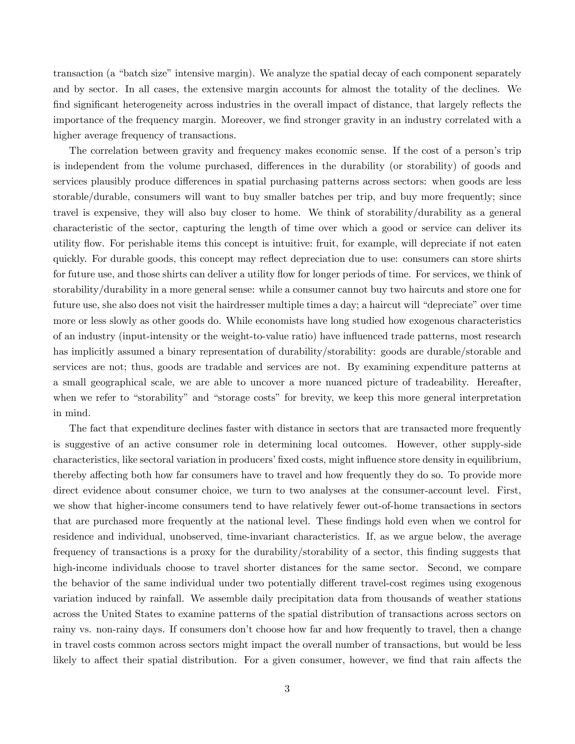transaction (a "batch size" intensive margin). We analyze the spatial decay of each component separately and by sector. In all cases, the extensive margin accounts for almost the totality of the declines. We find significant heterogeneity across industries in the overall impact of distance, that largely reflects the importance of the frequency margin. Moreover, we Önd stronger gravity in an industry correlated with a higher average frequency of transactions.

The correlation between gravity and frequency makes economic sense. If the cost of a person's trip is independent from the volume purchased, differences in the durability (or storability) of goods and services plausibly produce differences in spatial purchasing patterns across sectors: when goods are less storable/durable, consumers will want to buy smaller batches per trip, and buy more frequently; since travel is expensive, they will also buy closer to home. We think of storability/durability as a general characteristic of the sector, capturing the length of time over which a good or service can deliver its utility áow. For perishable items this concept is intuitive: fruit, for example, will depreciate if not eaten quickly. For durable goods, this concept may reflect depreciation due to use: consumers can store shirts for future use, and those shirts can deliver a utility flow for longer periods of time. For services, we think of storability/durability in a more general sense: while a consumer cannot buy two haircuts and store one for future use, she also does not visit the hairdresser multiple times a day; a haircut will "depreciate" over time more or less slowly as other goods do. While economists have long studied how exogenous characteristics of an industry (input-intensity or the weight-to-value ratio) have ináuenced trade patterns, most research has implicitly assumed a binary representation of durability/storability: goods are durable/storable and services are not; thus, goods are tradable and services are not. By examining expenditure patterns at a small geographical scale, we are able to uncover a more nuanced picture of tradeability. Hereafter, when we refer to "storability" and "storage costs" for brevity, we keep this more general interpretation in mind.

The fact that expenditure declines faster with distance in sectors that are transacted more frequently is suggestive of an active consumer role in determining local outcomes. However, other supply-side characteristics, like sectoral variation in producers' fixed costs, might influence store density in equilibrium, thereby affecting both how far consumers have to travel and how frequently they do so. To provide more direct evidence about consumer choice, we turn to two analyses at the consumer-account level. First, we show that higher-income consumers tend to have relatively fewer out-of-home transactions in sectors that are purchased more frequently at the national level. These findings hold even when we control for residence and individual, unobserved, time-invariant characteristics. If, as we argue below, the average frequency of transactions is a proxy for the durability/storability of a sector, this finding suggests that high-income individuals choose to travel shorter distances for the same sector. Second, we compare the behavior of the same individual under two potentially different travel-cost regimes using exogenous variation induced by rainfall. We assemble daily precipitation data from thousands of weather stations across the United States to examine patterns of the spatial distribution of transactions across sectors on rainy vs. non-rainy days. If consumers don't choose how far and how frequently to travel, then a change in travel costs common across sectors might impact the overall number of transactions, but would be less likely to affect their spatial distribution. For a given consumer, however, we find that rain affects the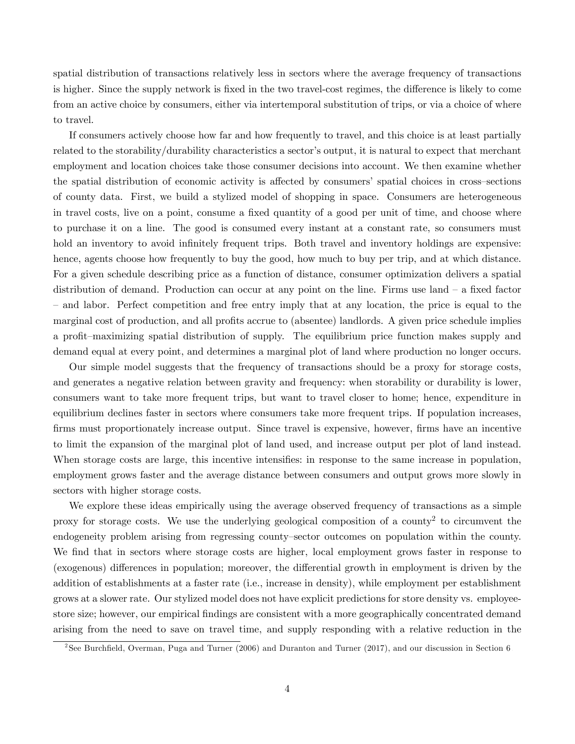spatial distribution of transactions relatively less in sectors where the average frequency of transactions is higher. Since the supply network is fixed in the two travel-cost regimes, the difference is likely to come from an active choice by consumers, either via intertemporal substitution of trips, or via a choice of where to travel.

If consumers actively choose how far and how frequently to travel, and this choice is at least partially related to the storability/durability characteristics a sector's output, it is natural to expect that merchant employment and location choices take those consumer decisions into account. We then examine whether the spatial distribution of economic activity is affected by consumers' spatial choices in cross-sections of county data. First, we build a stylized model of shopping in space. Consumers are heterogeneous in travel costs, live on a point, consume a fixed quantity of a good per unit of time, and choose where to purchase it on a line. The good is consumed every instant at a constant rate, so consumers must hold an inventory to avoid infinitely frequent trips. Both travel and inventory holdings are expensive: hence, agents choose how frequently to buy the good, how much to buy per trip, and at which distance. For a given schedule describing price as a function of distance, consumer optimization delivers a spatial distribution of demand. Production can occur at any point on the line. Firms use land  $-$  a fixed factor – and labor. Perfect competition and free entry imply that at any location, the price is equal to the marginal cost of production, and all profits accrue to (absentee) landlords. A given price schedule implies a profit-maximizing spatial distribution of supply. The equilibrium price function makes supply and demand equal at every point, and determines a marginal plot of land where production no longer occurs.

Our simple model suggests that the frequency of transactions should be a proxy for storage costs, and generates a negative relation between gravity and frequency: when storability or durability is lower, consumers want to take more frequent trips, but want to travel closer to home; hence, expenditure in equilibrium declines faster in sectors where consumers take more frequent trips. If population increases, firms must proportionately increase output. Since travel is expensive, however, firms have an incentive to limit the expansion of the marginal plot of land used, and increase output per plot of land instead. When storage costs are large, this incentive intensifies: in response to the same increase in population, employment grows faster and the average distance between consumers and output grows more slowly in sectors with higher storage costs.

We explore these ideas empirically using the average observed frequency of transactions as a simple proxy for storage costs. We use the underlying geological composition of a county<sup>2</sup> to circumvent the endogeneity problem arising from regressing county-sector outcomes on population within the county. We find that in sectors where storage costs are higher, local employment grows faster in response to (exogenous) differences in population; moreover, the differential growth in employment is driven by the addition of establishments at a faster rate (i.e., increase in density), while employment per establishment grows at a slower rate. Our stylized model does not have explicit predictions for store density vs. employeestore size; however, our empirical findings are consistent with a more geographically concentrated demand arising from the need to save on travel time, and supply responding with a relative reduction in the

<sup>&</sup>lt;sup>2</sup>See Burchfield, Overman, Puga and Turner (2006) and Duranton and Turner (2017), and our discussion in Section [6.](#page-28-0)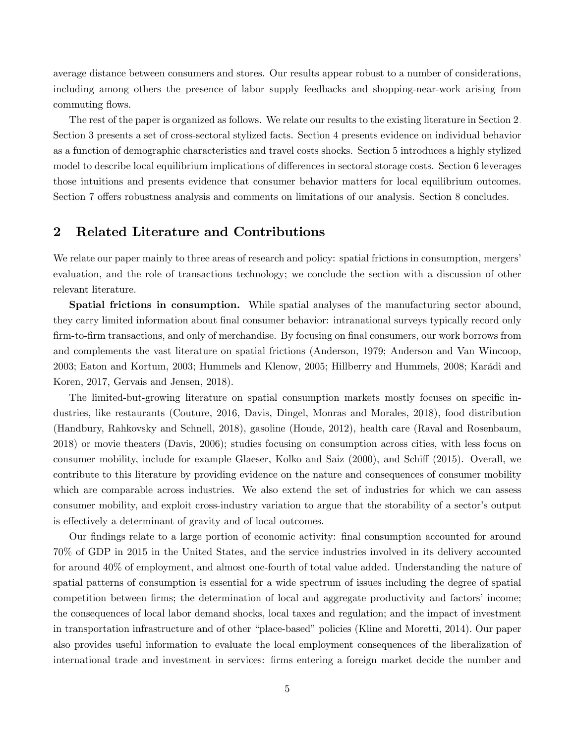average distance between consumers and stores. Our results appear robust to a number of considerations, including among others the presence of labor supply feedbacks and shopping-near-work arising from commuting flows.

The rest of the paper is organized as follows. We relate our results to the existing literature in Section [2.](#page-5-0) Section [3](#page-7-0) presents a set of cross-sectoral stylized facts. Section [4](#page-16-0) presents evidence on individual behavior as a function of demographic characteristics and travel costs shocks. Section [5](#page-22-0) introduces a highly stylized model to describe local equilibrium implications of differences in sectoral storage costs. Section [6](#page-28-0) leverages those intuitions and presents evidence that consumer behavior matters for local equilibrium outcomes. Section [7](#page-37-0) offers robustness analysis and comments on limitations of our analysis. Section [8](#page-42-0) concludes.

# <span id="page-5-0"></span>2 Related Literature and Contributions

We relate our paper mainly to three areas of research and policy: spatial frictions in consumption, mergers' evaluation, and the role of transactions technology; we conclude the section with a discussion of other relevant literature.

Spatial frictions in consumption. While spatial analyses of the manufacturing sector abound, they carry limited information about final consumer behavior: intranational surveys typically record only firm-to-firm transactions, and only of merchandise. By focusing on final consumers, our work borrows from and complements the vast literature on spatial frictions (Anderson, 1979; Anderson and Van Wincoop, 2003; Eaton and Kortum, 2003; Hummels and Klenow, 2005; Hillberry and Hummels, 2008; Karádi and Koren, 2017, Gervais and Jensen, 2018).

The limited-but-growing literature on spatial consumption markets mostly focuses on specific industries, like restaurants (Couture, 2016, Davis, Dingel, Monras and Morales, 2018), food distribution (Handbury, Rahkovsky and Schnell, 2018), gasoline (Houde, 2012), health care (Raval and Rosenbaum, 2018) or movie theaters (Davis, 2006); studies focusing on consumption across cities, with less focus on consumer mobility, include for example Glaeser, Kolko and Saiz (2000), and Schiff (2015). Overall, we contribute to this literature by providing evidence on the nature and consequences of consumer mobility which are comparable across industries. We also extend the set of industries for which we can assess consumer mobility, and exploit cross-industry variation to argue that the storability of a sector's output is effectively a determinant of gravity and of local outcomes.

Our findings relate to a large portion of economic activity: final consumption accounted for around 70% of GDP in 2015 in the United States, and the service industries involved in its delivery accounted for around 40% of employment, and almost one-fourth of total value added. Understanding the nature of spatial patterns of consumption is essential for a wide spectrum of issues including the degree of spatial competition between firms; the determination of local and aggregate productivity and factors' income; the consequences of local labor demand shocks, local taxes and regulation; and the impact of investment in transportation infrastructure and of other "place-based" policies (Kline and Moretti, 2014). Our paper also provides useful information to evaluate the local employment consequences of the liberalization of international trade and investment in services: Örms entering a foreign market decide the number and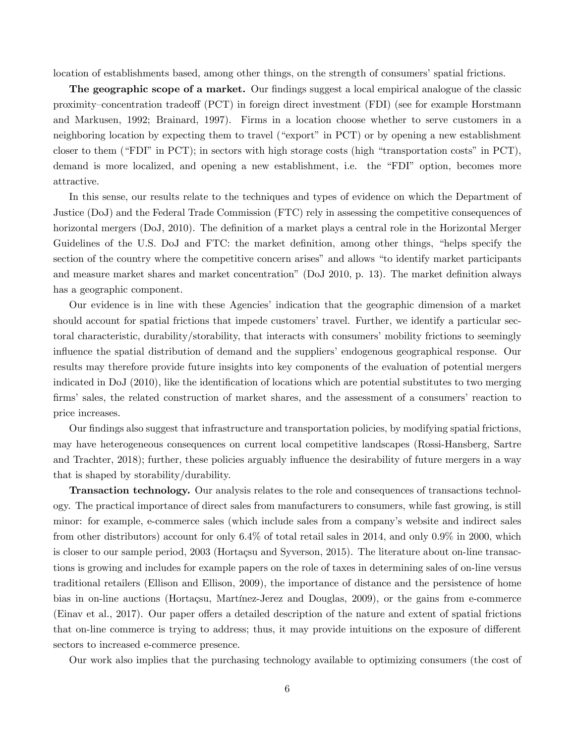location of establishments based, among other things, on the strength of consumers' spatial frictions.

The geographic scope of a market. Our findings suggest a local empirical analogue of the classic proximity–concentration tradeof (PCT) in foreign direct investment (FDI) (see for example Horstmann and Markusen, 1992; Brainard, 1997). Firms in a location choose whether to serve customers in a neighboring location by expecting them to travel ("export" in  $PCT$ ) or by opening a new establishment closer to them ("FDI" in PCT); in sectors with high storage costs (high "transportation costs" in PCT), demand is more localized, and opening a new establishment, i.e. the "FDI" option, becomes more attractive.

In this sense, our results relate to the techniques and types of evidence on which the Department of Justice (DoJ) and the Federal Trade Commission (FTC) rely in assessing the competitive consequences of horizontal mergers (DoJ, 2010). The definition of a market plays a central role in the Horizontal Merger Guidelines of the U.S. DoJ and FTC: the market definition, among other things, "helps specify the section of the country where the competitive concern arises" and allows "to identify market participants and measure market shares and market concentration" (DoJ 2010, p. 13). The market definition always has a geographic component.

Our evidence is in line with these Agenciesí indication that the geographic dimension of a market should account for spatial frictions that impede customers' travel. Further, we identify a particular sectoral characteristic, durability/storability, that interacts with consumers' mobility frictions to seemingly influence the spatial distribution of demand and the suppliers' endogenous geographical response. Our results may therefore provide future insights into key components of the evaluation of potential mergers indicated in DoJ (2010), like the identification of locations which are potential substitutes to two merging firms' sales, the related construction of market shares, and the assessment of a consumers' reaction to price increases.

Our findings also suggest that infrastructure and transportation policies, by modifying spatial frictions, may have heterogeneous consequences on current local competitive landscapes (Rossi-Hansberg, Sartre and Trachter, 2018); further, these policies arguably influence the desirability of future mergers in a way that is shaped by storability/durability.

Transaction technology. Our analysis relates to the role and consequences of transactions technology. The practical importance of direct sales from manufacturers to consumers, while fast growing, is still minor: for example, e-commerce sales (which include sales from a company's website and indirect sales from other distributors) account for only 6.4% of total retail sales in 2014, and only 0.9% in 2000, which is closer to our sample period, 2003 (Hortaçsu and Syverson, 2015). The literature about on-line transactions is growing and includes for example papers on the role of taxes in determining sales of on-line versus traditional retailers (Ellison and Ellison, 2009), the importance of distance and the persistence of home bias in on-line auctions (Hortaçsu, Martínez-Jerez and Douglas, 2009), or the gains from e-commerce (Einav et al., 2017). Our paper offers a detailed description of the nature and extent of spatial frictions that on-line commerce is trying to address; thus, it may provide intuitions on the exposure of different sectors to increased e-commerce presence.

Our work also implies that the purchasing technology available to optimizing consumers (the cost of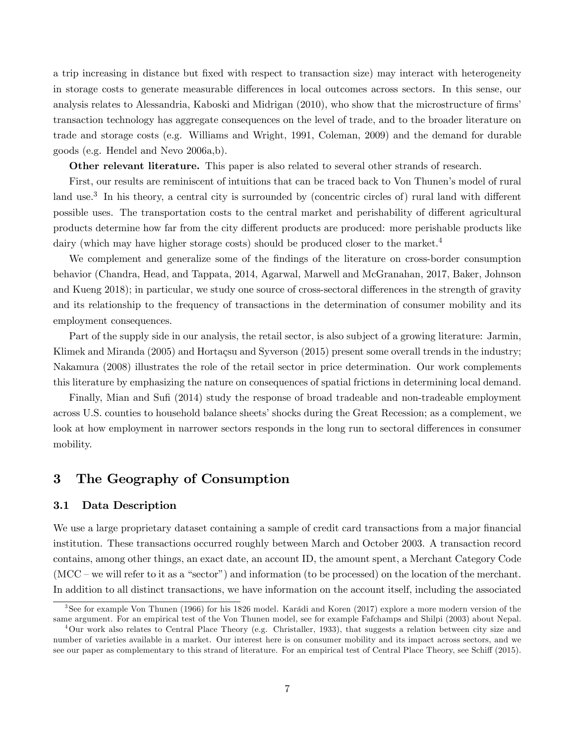a trip increasing in distance but fixed with respect to transaction size) may interact with heterogeneity in storage costs to generate measurable differences in local outcomes across sectors. In this sense, our analysis relates to Alessandria, Kaboski and Midrigan (2010), who show that the microstructure of firms' transaction technology has aggregate consequences on the level of trade, and to the broader literature on trade and storage costs (e.g. Williams and Wright, 1991, Coleman, 2009) and the demand for durable goods (e.g. Hendel and Nevo 2006a,b).

Other relevant literature. This paper is also related to several other strands of research.

First, our results are reminiscent of intuitions that can be traced back to Von Thunen's model of rural land use.<sup>3</sup> In his theory, a central city is surrounded by (concentric circles of) rural land with different possible uses. The transportation costs to the central market and perishability of different agricultural products determine how far from the city different products are produced: more perishable products like dairy (which may have higher storage costs) should be produced closer to the market.<sup>4</sup>

We complement and generalize some of the findings of the literature on cross-border consumption behavior (Chandra, Head, and Tappata, 2014, Agarwal, Marwell and McGranahan, 2017, Baker, Johnson and Kueng 2018); in particular, we study one source of cross-sectoral differences in the strength of gravity and its relationship to the frequency of transactions in the determination of consumer mobility and its employment consequences.

Part of the supply side in our analysis, the retail sector, is also subject of a growing literature: Jarmin, Klimek and Miranda  $(2005)$  and Hortaçsu and Syverson  $(2015)$  present some overall trends in the industry; Nakamura (2008) illustrates the role of the retail sector in price determination. Our work complements this literature by emphasizing the nature on consequences of spatial frictions in determining local demand.

Finally, Mian and Sufi (2014) study the response of broad tradeable and non-tradeable employment across U.S. counties to household balance sheets' shocks during the Great Recession; as a complement, we look at how employment in narrower sectors responds in the long run to sectoral differences in consumer mobility.

# <span id="page-7-0"></span>3 The Geography of Consumption

### 3.1 Data Description

We use a large proprietary dataset containing a sample of credit card transactions from a major financial institution. These transactions occurred roughly between March and October 2003. A transaction record contains, among other things, an exact date, an account ID, the amount spent, a Merchant Category Code  $(MCC - we will refer to it as a "sector") and information (to be processed) on the location of the merchant.$ In addition to all distinct transactions, we have information on the account itself, including the associated

 $3$ See for example Von Thunen (1966) for his 1826 model. Karádi and Koren (2017) explore a more modern version of the same argument. For an empirical test of the Von Thunen model, see for example Fafchamps and Shilpi (2003) about Nepal.

<sup>4</sup>Our work also relates to Central Place Theory (e.g. Christaller, 1933), that suggests a relation between city size and number of varieties available in a market. Our interest here is on consumer mobility and its impact across sectors, and we see our paper as complementary to this strand of literature. For an empirical test of Central Place Theory, see Schiff (2015).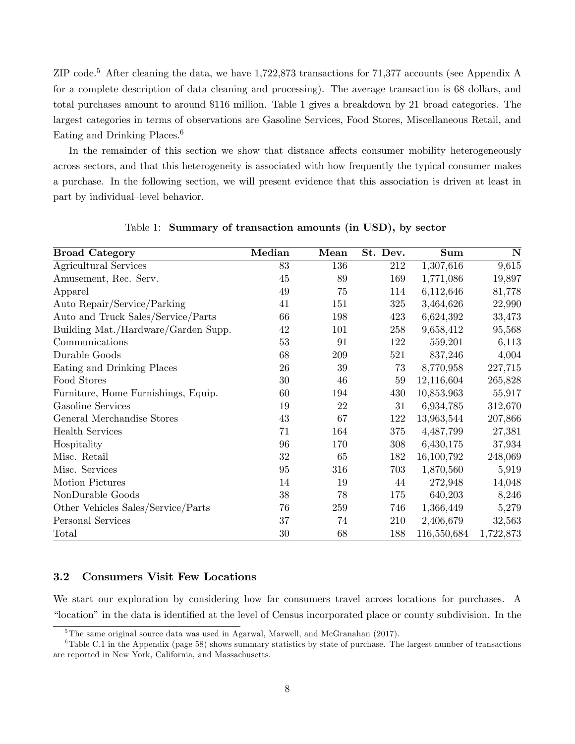ZIP code.<sup>5</sup> [A](#page-48-0)fter cleaning the data, we have 1,722,873 transactions for 71,377 accounts (see Appendix A for a complete description of data cleaning and processing). The average transaction is 68 dollars, and total purchases amount to around \$116 million. Table [1](#page-8-0) gives a breakdown by 21 broad categories. The largest categories in terms of observations are Gasoline Services, Food Stores, Miscellaneous Retail, and Eating and Drinking Places.<sup>6</sup>

In the remainder of this section we show that distance affects consumer mobility heterogeneously across sectors, and that this heterogeneity is associated with how frequently the typical consumer makes a purchase. In the following section, we will present evidence that this association is driven at least in part by individual-level behavior.

| <b>Broad Category</b>               | Median | Mean | St. Dev. | <b>Sum</b>  | $\mathbf N$ |
|-------------------------------------|--------|------|----------|-------------|-------------|
| Agricultural Services               | 83     | 136  | 212      | 1,307,616   | 9,615       |
| Amusement, Rec. Serv.               | 45     | 89   | 169      | 1,771,086   | 19,897      |
| Apparel                             | 49     | 75   | 114      | 6,112,646   | 81,778      |
| Auto Repair/Service/Parking         | 41     | 151  | 325      | 3,464,626   | 22,990      |
| Auto and Truck Sales/Service/Parts  | 66     | 198  | 423      | 6,624,392   | 33,473      |
| Building Mat./Hardware/Garden Supp. | 42     | 101  | 258      | 9,658,412   | 95,568      |
| Communications                      | 53     | 91   | 122      | 559,201     | 6,113       |
| Durable Goods                       | 68     | 209  | 521      | 837,246     | 4,004       |
| Eating and Drinking Places          | 26     | 39   | 73       | 8,770,958   | 227,715     |
| Food Stores                         | 30     | 46   | 59       | 12,116,604  | 265,828     |
| Furniture, Home Furnishings, Equip. | 60     | 194  | 430      | 10,853,963  | 55,917      |
| Gasoline Services                   | 19     | 22   | 31       | 6,934,785   | 312,670     |
| General Merchandise Stores          | 43     | 67   | 122      | 13,963,544  | 207,866     |
| <b>Health Services</b>              | 71     | 164  | 375      | 4,487,799   | 27,381      |
| Hospitality                         | 96     | 170  | 308      | 6,430,175   | 37,934      |
| Misc. Retail                        | 32     | 65   | 182      | 16,100,792  | 248,069     |
| Misc. Services                      | 95     | 316  | 703      | 1,870,560   | 5,919       |
| Motion Pictures                     | 14     | 19   | 44       | 272,948     | 14,048      |
| NonDurable Goods                    | 38     | 78   | 175      | 640,203     | 8,246       |
| Other Vehicles Sales/Service/Parts  | 76     | 259  | 746      | 1,366,449   | 5,279       |
| Personal Services                   | 37     | 74   | 210      | 2,406,679   | 32,563      |
| Total                               | 30     | 68   | 188      | 116,550,684 | 1,722,873   |

<span id="page-8-0"></span>Table 1: Summary of transaction amounts (in USD), by sector

#### <span id="page-8-1"></span>3.2 Consumers Visit Few Locations

We start our exploration by considering how far consumers travel across locations for purchases. A "location" in the data is identified at the level of Census incorporated place or county subdivision. In the

<sup>&</sup>lt;sup>5</sup>The same original source data was used in Agarwal, Marwell, and McGranahan (2017).

 $6$ Table [C.1](#page-58-0) in the Appendix (page [58\)](#page-58-0) shows summary statistics by state of purchase. The largest number of transactions are reported in New York, California, and Massachusetts.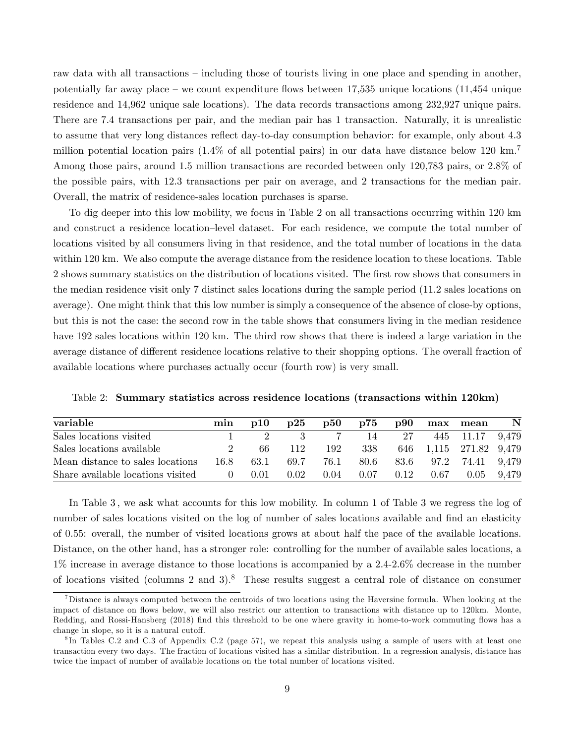raw data with all transactions  $\overline{\phantom{a}}$ -including those of tourists living in one place and spending in another, potentially far away place – we count expenditure flows between  $17,535$  unique locations (11,454 unique residence and 14,962 unique sale locations). The data records transactions among 232,927 unique pairs. There are 7.4 transactions per pair, and the median pair has 1 transaction. Naturally, it is unrealistic to assume that very long distances reflect day-to-day consumption behavior: for example, only about 4.3 million potential location pairs (1.4% of all potential pairs) in our data have distance below 120 km.<sup>7</sup> Among those pairs, around 1.5 million transactions are recorded between only 120,783 pairs, or 2.8% of the possible pairs, with 12.3 transactions per pair on average, and 2 transactions for the median pair. Overall, the matrix of residence-sales location purchases is sparse.

To dig deeper into this low mobility, we focus in Table [2](#page-9-0) on all transactions occurring within 120 km and construct a residence location–level dataset. For each residence, we compute the total number of locations visited by all consumers living in that residence, and the total number of locations in the data within 120 km. We also compute the average distance from the residence location to these locations. Table [2](#page-9-0) shows summary statistics on the distribution of locations visited. The first row shows that consumers in the median residence visit only 7 distinct sales locations during the sample period (11.2 sales locations on average). One might think that this low number is simply a consequence of the absence of close-by options, but this is not the case: the second row in the table shows that consumers living in the median residence have 192 sales locations within 120 km. The third row shows that there is indeed a large variation in the average distance of different residence locations relative to their shopping options. The overall fraction of available locations where purchases actually occur (fourth row) is very small.

<span id="page-9-0"></span>

|  |  |  |  |  |  | Table 2: Summary statistics across residence locations (transactions within 120km) |  |  |
|--|--|--|--|--|--|------------------------------------------------------------------------------------|--|--|
|--|--|--|--|--|--|------------------------------------------------------------------------------------|--|--|

| variable                          | min              | $\mathbf{D}10$ | $\mathbf{D}25$ | p50  | p75  | p90  |      | max mean               | $\mathbf N$ |
|-----------------------------------|------------------|----------------|----------------|------|------|------|------|------------------------|-------------|
| Sales locations visited           |                  |                |                |      | 14   | 27   |      | 445 11.17 9,479        |             |
| Sales locations available         |                  | 66             | 112            | 192  | 338  |      |      | 646 1,115 271.82 9,479 |             |
| Mean distance to sales locations  | 16.8             | 63.1           | 69.7           | 76.1 | 80.6 |      |      | 83.6 97.2 74.41 9,479  |             |
| Share available locations visited | $\left( \right)$ | 0.01           | 0.02           | 0.04 | 0.07 | 0.12 | 0.67 | 0.05 9.479             |             |

In Table [3](#page-10-0) , we ask what accounts for this low mobility. In column 1 of Table [3](#page-10-0) we regress the log of number of sales locations visited on the log of number of sales locations available and find an elasticity of 0.55: overall, the number of visited locations grows at about half the pace of the available locations. Distance, on the other hand, has a stronger role: controlling for the number of available sales locations, a 1% increase in average distance to those locations is accompanied by a 2.4-2.6% decrease in the number of locations visited (columns 2 and 3).<sup>8</sup> These results suggest a central role of distance on consumer

<sup>7</sup>Distance is always computed between the centroids of two locations using the Haversine formula. When looking at the impact of distance on flows below, we will also restrict our attention to transactions with distance up to 120km. Monte, Redding, and Rossi-Hansberg (2018) find this threshold to be one where gravity in home-to-work commuting flows has a change in slope, so it is a natural cutoff.

<sup>&</sup>lt;sup>8</sup>In Tables [C.2](#page-8-1) and [C.3](#page-59-1) of Appendix C.2 (page [57\)](#page-8-1), we repeat this analysis using a sample of users with at least one transaction every two days. The fraction of locations visited has a similar distribution. In a regression analysis, distance has twice the impact of number of available locations on the total number of locations visited.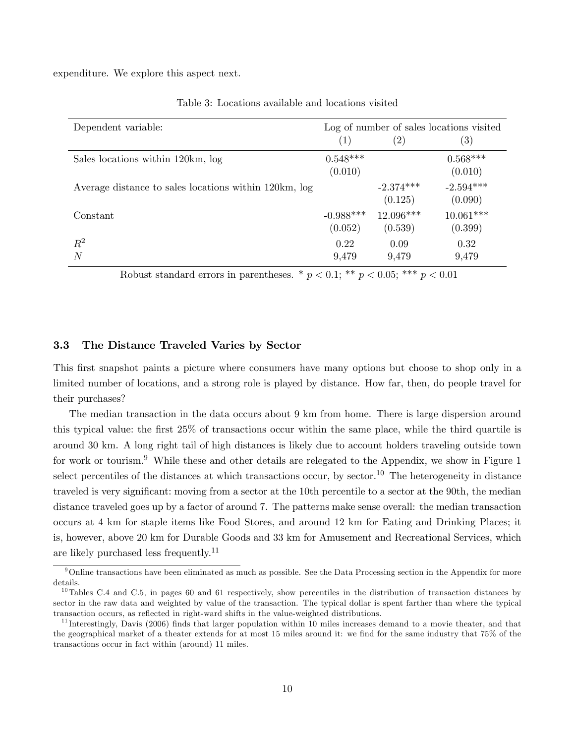expenditure. We explore this aspect next.

| Dependent variable:                                   | Log of number of sales locations visited |               |                   |  |  |
|-------------------------------------------------------|------------------------------------------|---------------|-------------------|--|--|
|                                                       | (1)                                      | $^{\prime}2)$ | $\left( 3\right)$ |  |  |
| Sales locations within 120km, log                     | $0.548***$                               |               | $0.568***$        |  |  |
|                                                       | (0.010)                                  |               | (0.010)           |  |  |
| Average distance to sales locations within 120km, log |                                          | $-2.374***$   | $-2.594***$       |  |  |
|                                                       |                                          | (0.125)       | (0.090)           |  |  |
| Constant                                              | $-0.988***$                              | 12.096***     | $10.061***$       |  |  |
|                                                       | (0.052)                                  | (0.539)       | (0.399)           |  |  |
| $R^2$                                                 | 0.22                                     | 0.09          | 0.32              |  |  |
| N                                                     | 9,479                                    | 9,479         | 9,479             |  |  |

<span id="page-10-0"></span>Table 3: Locations available and locations visited

Robust standard errors in parentheses. \*  $p < 0.1$ ; \*\*  $p < 0.05$ ; \*\*\*  $p < 0.01$ 

### 3.3 The Distance Traveled Varies by Sector

This first snapshot paints a picture where consumers have many options but choose to shop only in a limited number of locations, and a strong role is played by distance. How far, then, do people travel for their purchases?

The median transaction in the data occurs about 9 km from home. There is large dispersion around this typical value: the Örst 25% of transactions occur within the same place, while the third quartile is around 30 km. A long right tail of high distances is likely due to account holders traveling outside town for work or tourism.<sup>9</sup> While these and other details are relegated to the Appendix, we show in Figure [1](#page-11-0) select percentiles of the distances at which transactions occur, by sector.<sup>10</sup> The heterogeneity in distance traveled is very significant: moving from a sector at the 10th percentile to a sector at the 90th, the median distance traveled goes up by a factor of around 7. The patterns make sense overall: the median transaction occurs at 4 km for staple items like Food Stores, and around 12 km for Eating and Drinking Places; it is, however, above 20 km for Durable Goods and 33 km for Amusement and Recreational Services, which are likely purchased less frequently.<sup>11</sup>

 $9$ Online transactions have been eliminated as much as possible. See the Data Processing section in the Appendix for more details.

 $10$ Tables [C.4](#page-60-0) and [C.5,](#page-61-0) in pages [60](#page-60-0) and [61](#page-61-0) respectively, show percentiles in the distribution of transaction distances by sector in the raw data and weighted by value of the transaction. The typical dollar is spent farther than where the typical transaction occurs, as reflected in right-ward shifts in the value-weighted distributions.

 $11$  Interestingly, Davis (2006) finds that larger population within 10 miles increases demand to a movie theater, and that the geographical market of a theater extends for at most 15 miles around it: we find for the same industry that 75% of the transactions occur in fact within (around) 11 miles.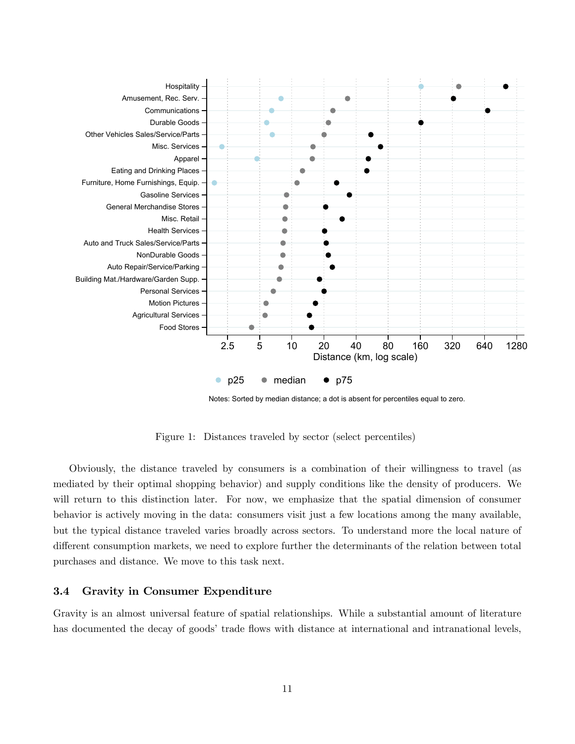

<span id="page-11-0"></span>Notes: Sorted by median distance; a dot is absent for percentiles equal to zero.

Figure 1: Distances traveled by sector (select percentiles)

Obviously, the distance traveled by consumers is a combination of their willingness to travel (as mediated by their optimal shopping behavior) and supply conditions like the density of producers. We will return to this distinction later. For now, we emphasize that the spatial dimension of consumer behavior is actively moving in the data: consumers visit just a few locations among the many available, but the typical distance traveled varies broadly across sectors. To understand more the local nature of different consumption markets, we need to explore further the determinants of the relation between total purchases and distance. We move to this task next.

### <span id="page-11-1"></span>3.4 Gravity in Consumer Expenditure

Gravity is an almost universal feature of spatial relationships. While a substantial amount of literature has documented the decay of goods' trade flows with distance at international and intranational levels,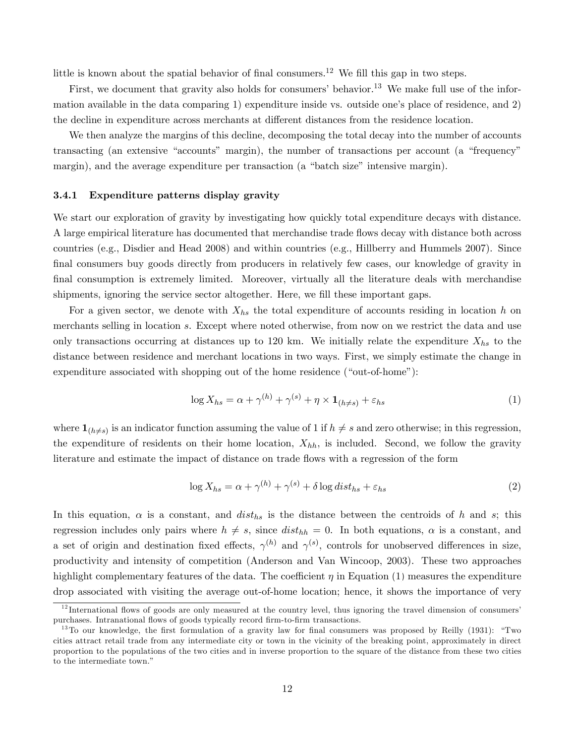little is known about the spatial behavior of final consumers.<sup>12</sup> We fill this gap in two steps.

First, we document that gravity also holds for consumers' behavior.<sup>13</sup> We make full use of the information available in the data comparing  $1$ ) expenditure inside vs. outside one's place of residence, and  $2$ ) the decline in expenditure across merchants at different distances from the residence location.

We then analyze the margins of this decline, decomposing the total decay into the number of accounts transacting (an extensive "accounts" margin), the number of transactions per account (a "frequency" margin), and the average expenditure per transaction (a "batch size" intensive margin).

#### 3.4.1 Expenditure patterns display gravity

We start our exploration of gravity by investigating how quickly total expenditure decays with distance. A large empirical literature has documented that merchandise trade flows decay with distance both across countries (e.g., Disdier and Head 2008) and within countries (e.g., Hillberry and Hummels 2007). Since final consumers buy goods directly from producers in relatively few cases, our knowledge of gravity in final consumption is extremely limited. Moreover, virtually all the literature deals with merchandise shipments, ignoring the service sector altogether. Here, we fill these important gaps.

For a given sector, we denote with  $X_{hs}$  the total expenditure of accounts residing in location h on merchants selling in location s. Except where noted otherwise, from now on we restrict the data and use only transactions occurring at distances up to 120 km. We initially relate the expenditure  $X_{hs}$  to the distance between residence and merchant locations in two ways. First, we simply estimate the change in expenditure associated with shopping out of the home residence ("out-of-home"):

<span id="page-12-0"></span>
$$
\log X_{hs} = \alpha + \gamma^{(h)} + \gamma^{(s)} + \eta \times \mathbf{1}_{(h \neq s)} + \varepsilon_{hs} \tag{1}
$$

where  $\mathbf{1}_{(h\neq s)}$  is an indicator function assuming the value of 1 if  $h \neq s$  and zero otherwise; in this regression, the expenditure of residents on their home location,  $X_{hh}$ , is included. Second, we follow the gravity literature and estimate the impact of distance on trade flows with a regression of the form

<span id="page-12-1"></span>
$$
\log X_{hs} = \alpha + \gamma^{(h)} + \gamma^{(s)} + \delta \log dist_{hs} + \varepsilon_{hs}
$$
\n(2)

In this equation,  $\alpha$  is a constant, and  $dist_{hs}$  is the distance between the centroids of h and s; this regression includes only pairs where  $h \neq s$ , since  $dist_{hh} = 0$ . In both equations,  $\alpha$  is a constant, and a set of origin and destination fixed effects,  $\gamma^{(h)}$  and  $\gamma^{(s)}$ , controls for unobserved differences in size, productivity and intensity of competition (Anderson and Van Wincoop, 2003). These two approaches highlight complementary features of the data. The coefficient  $\eta$  in Equation [\(1\)](#page-12-0) measures the expenditure drop associated with visiting the average out-of-home location; hence, it shows the importance of very

 $12$  International flows of goods are only measured at the country level, thus ignoring the travel dimension of consumers' purchases. Intranational flows of goods typically record firm-to-firm transactions.

 $13\,\text{T}$  our knowledge, the first formulation of a gravity law for final consumers was proposed by Reilly (1931): "Two cities attract retail trade from any intermediate city or town in the vicinity of the breaking point, approximately in direct proportion to the populations of the two cities and in inverse proportion to the square of the distance from these two cities to the intermediate town."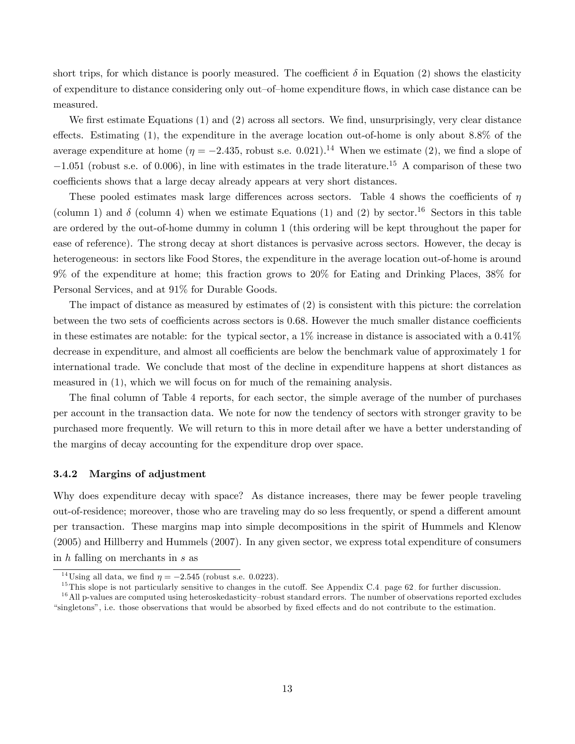short trips, for which distance is poorly measured. The coefficient  $\delta$  in Equation [\(2\)](#page-12-1) shows the elasticity of expenditure to distance considering only out-of-home expenditure flows, in which case distance can be measured.

We first estimate Equations  $(1)$  and  $(2)$  across all sectors. We find, unsurprisingly, very clear distance effects. Estimating  $(1)$ , the expenditure in the average location out-of-home is only about 8.8% of the average expenditure at home  $(\eta = -2.435,$  robust s.e. 0.021).<sup>14</sup> When we estimate [\(2\)](#page-12-1), we find a slope of  $-1.051$  (robust s.e. of 0.006), in line with estimates in the trade literature.<sup>15</sup> A comparison of these two coefficients shows that a large decay already appears at very short distances.

These pooled estimates mask large differences across sectors. Table [4](#page-14-0) shows the coefficients of  $\eta$ (column 1) and  $\delta$  (column 4) when we estimate Equations [\(1\)](#page-12-0) and [\(2\)](#page-12-1) by sector.<sup>16</sup> Sectors in this table are ordered by the out-of-home dummy in column 1 (this ordering will be kept throughout the paper for ease of reference). The strong decay at short distances is pervasive across sectors. However, the decay is heterogeneous: in sectors like Food Stores, the expenditure in the average location out-of-home is around 9% of the expenditure at home; this fraction grows to 20% for Eating and Drinking Places, 38% for Personal Services, and at 91% for Durable Goods.

The impact of distance as measured by estimates of [\(2\)](#page-12-1) is consistent with this picture: the correlation between the two sets of coefficients across sectors is 0.68. However the much smaller distance coefficients in these estimates are notable: for the typical sector, a  $1\%$  increase in distance is associated with a  $0.41\%$ decrease in expenditure, and almost all coefficients are below the benchmark value of approximately 1 for international trade. We conclude that most of the decline in expenditure happens at short distances as measured in [\(1\)](#page-12-0), which we will focus on for much of the remaining analysis.

The final column of Table [4](#page-14-0) reports, for each sector, the simple average of the number of purchases per account in the transaction data. We note for now the tendency of sectors with stronger gravity to be purchased more frequently. We will return to this in more detail after we have a better understanding of the margins of decay accounting for the expenditure drop over space.

#### 3.4.2 Margins of adjustment

Why does expenditure decay with space? As distance increases, there may be fewer people traveling out-of-residence; moreover, those who are traveling may do so less frequently, or spend a different amount per transaction. These margins map into simple decompositions in the spirit of Hummels and Klenow (2005) and Hillberry and Hummels (2007). In any given sector, we express total expenditure of consumers in h falling on merchants in s as

<sup>&</sup>lt;sup>14</sup>Using all data, we find  $\eta = -2.545$  (robust s.e. 0.0223).

 $15$ This slope is not particularly sensitive to changes in the cutoff. See Appendix [C.4,](#page-11-1) page [62,](#page-11-1) for further discussion.

 $16$ All p-values are computed using heteroskedasticity–robust standard errors. The number of observations reported excludes ìsingletonsî, i.e. those observations that would be absorbed by Öxed e§ects and do not contribute to the estimation.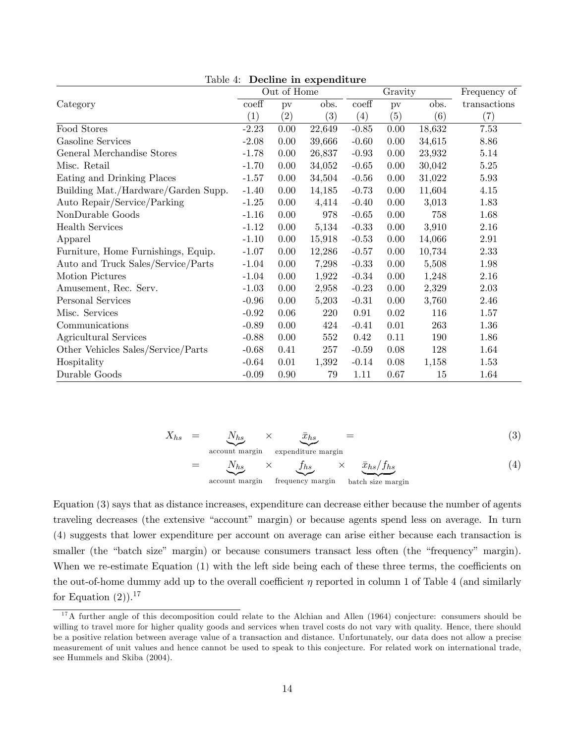|                                     |                  | Out of Home |        |                  | Gravity                | Frequency of |              |
|-------------------------------------|------------------|-------------|--------|------------------|------------------------|--------------|--------------|
| Category                            | $\mathrm{coeff}$ | pv          | obs.   | $\mathrm{coeff}$ | $\mathbf{p}\mathbf{v}$ | obs.         | transactions |
|                                     | (1)              | (2)         | (3)    | (4)              | (5)                    | (6)          | (7)          |
| Food Stores                         | $-2.23$          | 0.00        | 22,649 | $-0.85$          | 0.00                   | 18,632       | 7.53         |
| Gasoline Services                   | $-2.08$          | 0.00        | 39,666 | $-0.60$          | 0.00                   | 34,615       | 8.86         |
| General Merchandise Stores          | $-1.78$          | 0.00        | 26,837 | $-0.93$          | 0.00                   | 23,932       | 5.14         |
| Misc. Retail                        | $-1.70$          | 0.00        | 34,052 | $-0.65$          | 0.00                   | 30,042       | $5.25\,$     |
| Eating and Drinking Places          | $-1.57$          | 0.00        | 34,504 | $-0.56$          | 0.00                   | 31,022       | 5.93         |
| Building Mat./Hardware/Garden Supp. | $-1.40$          | 0.00        | 14,185 | $-0.73$          | 0.00                   | 11,604       | 4.15         |
| Auto Repair/Service/Parking         | $-1.25$          | 0.00        | 4,414  | $-0.40$          | 0.00                   | 3,013        | 1.83         |
| NonDurable Goods                    | $-1.16$          | 0.00        | 978    | $-0.65$          | 0.00                   | 758          | 1.68         |
| <b>Health Services</b>              | $-1.12$          | 0.00        | 5,134  | $-0.33$          | 0.00                   | 3,910        | $2.16\,$     |
| Apparel                             | $-1.10$          | 0.00        | 15,918 | $-0.53$          | 0.00                   | 14,066       | 2.91         |
| Furniture, Home Furnishings, Equip. | $-1.07$          | 0.00        | 12,286 | $-0.57$          | 0.00                   | 10,734       | 2.33         |
| Auto and Truck Sales/Service/Parts  | $-1.04$          | 0.00        | 7,298  | $-0.33$          | 0.00                   | 5,508        | 1.98         |
| Motion Pictures                     | $-1.04$          | 0.00        | 1,922  | $-0.34$          | 0.00                   | 1,248        | 2.16         |
| Amusement, Rec. Serv.               | $-1.03$          | 0.00        | 2,958  | $-0.23$          | 0.00                   | 2,329        | 2.03         |
| Personal Services                   | $-0.96$          | 0.00        | 5,203  | $-0.31$          | 0.00                   | 3,760        | 2.46         |
| Misc. Services                      | $-0.92$          | 0.06        | 220    | 0.91             | 0.02                   | 116          | 1.57         |
| Communications                      | $-0.89$          | 0.00        | 424    | $-0.41$          | 0.01                   | 263          | 1.36         |
| Agricultural Services               | $-0.88$          | 0.00        | 552    | 0.42             | 0.11                   | 190          | 1.86         |
| Other Vehicles Sales/Service/Parts  | $-0.68$          | 0.41        | 257    | $-0.59$          | 0.08                   | 128          | 1.64         |
| Hospitality                         | $-0.64$          | 0.01        | 1,392  | $-0.14$          | 0.08                   | 1,158        | 1.53         |
| Durable Goods                       | $-0.09$          | 0.90        | 79     | 1.11             | 0.67                   | 15           | 1.64         |

<span id="page-14-0"></span>Table 4: Decline in expenditure

<span id="page-14-1"></span>
$$
X_{hs} = \underbrace{N_{hs}}_{\text{account margin}} \times \underbrace{\bar{x}_{hs}}_{\text{expenditure margin}} = (3)
$$

$$
= \underbrace{N_{hs}}_{\text{account margin}} \times \underbrace{f_{hs}}_{\text{frequency margin}} \times \underbrace{\bar{x}_{hs}/f_{hs}}_{\text{batch size margin}} \tag{4}
$$

Equation [\(3\)](#page-14-1) says that as distance increases, expenditure can decrease either because the number of agents traveling decreases (the extensive "account" margin) or because agents spend less on average. In turn [\(4\)](#page-14-1) suggests that lower expenditure per account on average can arise either because each transaction is smaller (the "batch size" margin) or because consumers transact less often (the "frequency" margin). When we re-estimate Equation  $(1)$  with the left side being each of these three terms, the coefficients on the out-of-home dummy add up to the overall coefficient  $\eta$  reported in column 1 of Table [4](#page-14-0) (and similarly for Equation  $(2)$ ).<sup>17</sup>

 $17A$  further angle of this decomposition could relate to the Alchian and Allen (1964) conjecture: consumers should be willing to travel more for higher quality goods and services when travel costs do not vary with quality. Hence, there should be a positive relation between average value of a transaction and distance. Unfortunately, our data does not allow a precise measurement of unit values and hence cannot be used to speak to this conjecture. For related work on international trade, see Hummels and Skiba (2004).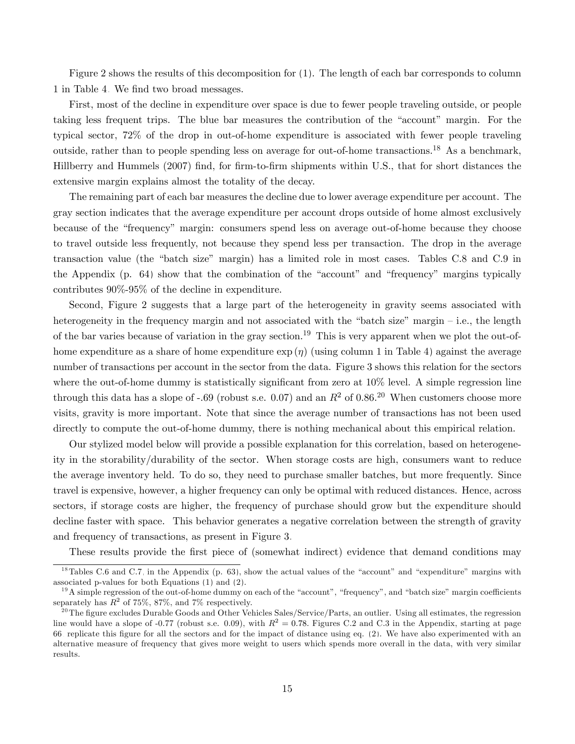Figure [2](#page-16-1) shows the results of this decomposition for [\(1\)](#page-12-0). The length of each bar corresponds to column 1 in Table [4.](#page-14-0) We find two broad messages.

First, most of the decline in expenditure over space is due to fewer people traveling outside, or people taking less frequent trips. The blue bar measures the contribution of the "account" margin. For the typical sector, 72% of the drop in out-of-home expenditure is associated with fewer people traveling outside, rather than to people spending less on average for out-of-home transactions.<sup>18</sup> As a benchmark, Hillberry and Hummels (2007) find, for firm-to-firm shipments within U.S., that for short distances the extensive margin explains almost the totality of the decay.

The remaining part of each bar measures the decline due to lower average expenditure per account. The gray section indicates that the average expenditure per account drops outside of home almost exclusively because of the "frequency" margin: consumers spend less on average out-of-home because they choose to travel outside less frequently, not because they spend less per transaction. The drop in the average transaction value (the "batch size" margin) has a limited role in most cases. Tables [C.8](#page-64-0) and [C.9](#page-65-0) in the Appendix (p.  $64$ ) show that the combination of the "account" and "frequency" margins typically contributes 90%-95% of the decline in expenditure.

Second, Figure [2](#page-16-1) suggests that a large part of the heterogeneity in gravity seems associated with heterogeneity in the frequency margin and not associated with the "batch size" margin  $-$  i.e., the length of the bar varies because of variation in the gray section.<sup>19</sup> This is very apparent when we plot the out-ofhome expenditure as a share of home expenditure  $\exp(\eta)$  (using column 1 in Table [4\)](#page-14-0) against the average number of transactions per account in the sector from the data. Figure [3](#page-17-0) shows this relation for the sectors where the out-of-home dummy is statistically significant from zero at  $10\%$  level. A simple regression line through this data has a slope of -.69 (robust s.e. 0.07) and an  $R^2$  of 0.86.<sup>20</sup> When customers choose more visits, gravity is more important. Note that since the average number of transactions has not been used directly to compute the out-of-home dummy, there is nothing mechanical about this empirical relation.

Our stylized model below will provide a possible explanation for this correlation, based on heterogeneity in the storability/durability of the sector. When storage costs are high, consumers want to reduce the average inventory held. To do so, they need to purchase smaller batches, but more frequently. Since travel is expensive, however, a higher frequency can only be optimal with reduced distances. Hence, across sectors, if storage costs are higher, the frequency of purchase should grow but the expenditure should decline faster with space. This behavior generates a negative correlation between the strength of gravity and frequency of transactions, as present in Figure [3.](#page-17-0)

These results provide the first piece of (somewhat indirect) evidence that demand conditions may

 $18$ Tables [C.6](#page-63-0) and [C.7,](#page-64-1) in the Appendix (p. [63\)](#page-63-0), show the actual values of the "account" and "expenditure" margins with associated p-values for both Equations [\(1\)](#page-12-0) and [\(2\)](#page-12-1).

 $19A$  simple regression of the out-of-home dummy on each of the "account", "frequency", and "batch size" margin coefficients separately has  $R^2$  of 75%, 87%, and 7% respectively.

<sup>&</sup>lt;sup>20</sup>The figure excludes Durable Goods and Other Vehicles Sales/Service/Parts, an outlier. Using all estimates, the regression line would have a slope of -0.77 (robust s.e. 0.09), with  $R^2 = 0.78$ . Figures [C.2](#page-66-0) and [C.3](#page-67-0) in the Appendix, starting at page [66,](#page-66-0) replicate this Ögure for all the sectors and for the impact of distance using eq. [\(2\)](#page-12-1). We have also experimented with an alternative measure of frequency that gives more weight to users which spends more overall in the data, with very similar results.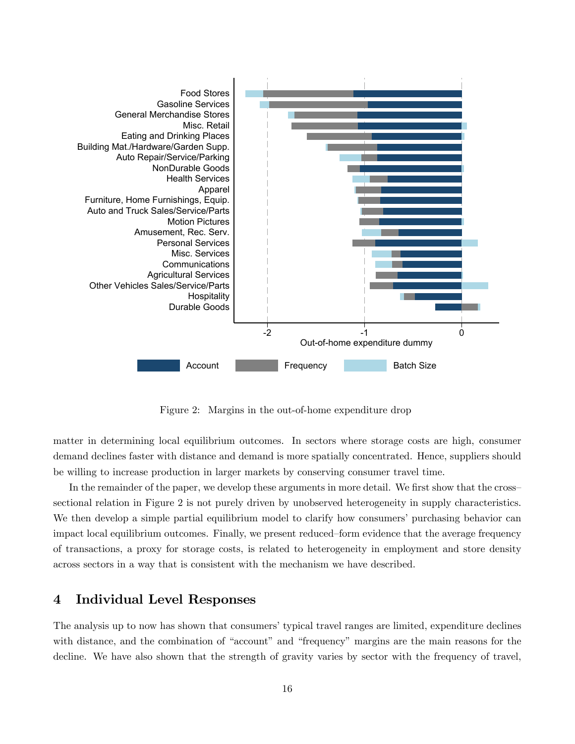

<span id="page-16-1"></span>Figure 2: Margins in the out-of-home expenditure drop

matter in determining local equilibrium outcomes. In sectors where storage costs are high, consumer demand declines faster with distance and demand is more spatially concentrated. Hence, suppliers should be willing to increase production in larger markets by conserving consumer travel time.

In the remainder of the paper, we develop these arguments in more detail. We first show that the crosssectional relation in Figure [2](#page-16-1) is not purely driven by unobserved heterogeneity in supply characteristics. We then develop a simple partial equilibrium model to clarify how consumers' purchasing behavior can impact local equilibrium outcomes. Finally, we present reduced-form evidence that the average frequency of transactions, a proxy for storage costs, is related to heterogeneity in employment and store density across sectors in a way that is consistent with the mechanism we have described.

# <span id="page-16-0"></span>4 Individual Level Responses

The analysis up to now has shown that consumers' typical travel ranges are limited, expenditure declines with distance, and the combination of "account" and "frequency" margins are the main reasons for the decline. We have also shown that the strength of gravity varies by sector with the frequency of travel,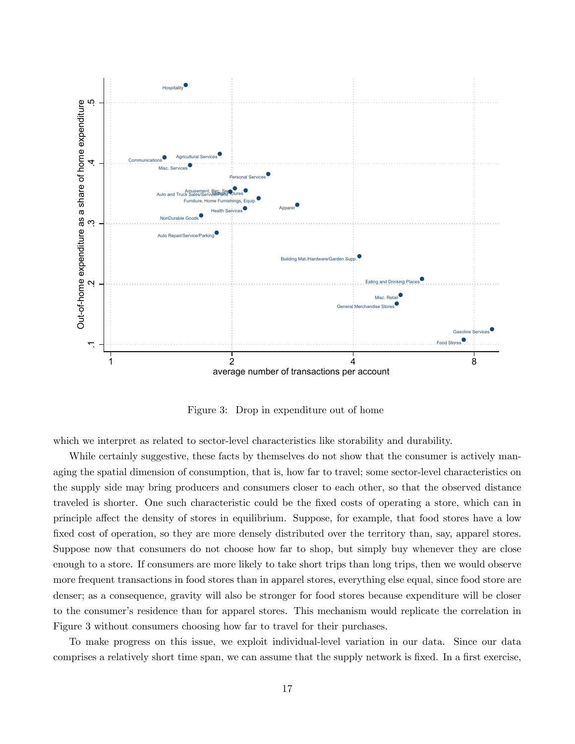

<span id="page-17-0"></span>Figure 3: Drop in expenditure out of home

which we interpret as related to sector-level characteristics like storability and durability.

While certainly suggestive, these facts by themselves do not show that the consumer is actively managing the spatial dimension of consumption, that is, how far to travel; some sector-level characteristics on the supply side may bring producers and consumers closer to each other, so that the observed distance traveled is shorter. One such characteristic could be the Öxed costs of operating a store, which can in principle affect the density of stores in equilibrium. Suppose, for example, that food stores have a low fixed cost of operation, so they are more densely distributed over the territory than, say, apparel stores. Suppose now that consumers do not choose how far to shop, but simply buy whenever they are close enough to a store. If consumers are more likely to take short trips than long trips, then we would observe more frequent transactions in food stores than in apparel stores, everything else equal, since food store are denser; as a consequence, gravity will also be stronger for food stores because expenditure will be closer to the consumer's residence than for apparel stores. This mechanism would replicate the correlation in Figure [3](#page-17-0) without consumers choosing how far to travel for their purchases.

To make progress on this issue, we exploit individual-level variation in our data. Since our data comprises a relatively short time span, we can assume that the supply network is fixed. In a first exercise,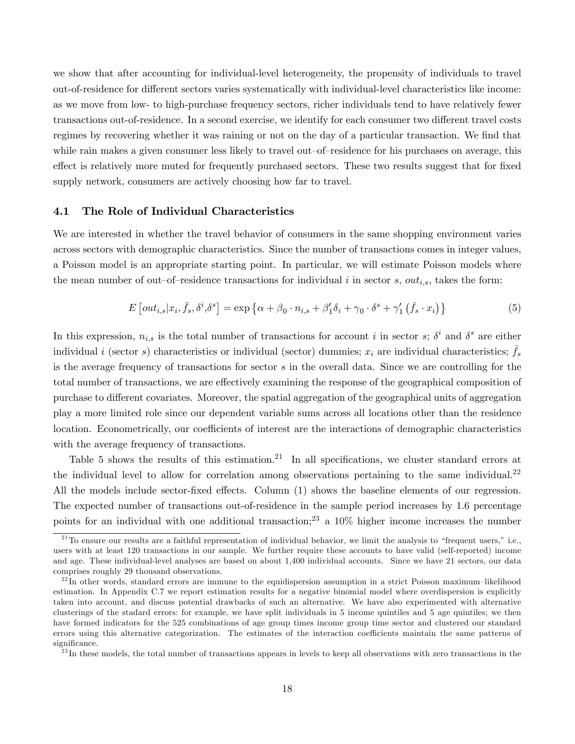we show that after accounting for individual-level heterogeneity, the propensity of individuals to travel out-of-residence for different sectors varies systematically with individual-level characteristics like income: as we move from low- to high-purchase frequency sectors, richer individuals tend to have relatively fewer transactions out-of-residence. In a second exercise, we identify for each consumer two different travel costs regimes by recovering whether it was raining or not on the day of a particular transaction. We find that while rain makes a given consumer less likely to travel out-of-residence for his purchases on average, this effect is relatively more muted for frequently purchased sectors. These two results suggest that for fixed supply network, consumers are actively choosing how far to travel.

### 4.1 The Role of Individual Characteristics

We are interested in whether the travel behavior of consumers in the same shopping environment varies across sectors with demographic characteristics. Since the number of transactions comes in integer values, a Poisson model is an appropriate starting point. In particular, we will estimate Poisson models where the mean number of out-of-residence transactions for individual i in sector s,  $out_{i,s}$ , takes the form:

<span id="page-18-0"></span>
$$
E\left[\text{out}_{i,s}|x_i,\bar{f}_s,\delta^i,\delta^s\right] = \exp\left\{\alpha + \beta_0 \cdot n_{i,s} + \beta_1'\delta_i + \gamma_0 \cdot \delta^s + \gamma_1'\left(\bar{f}_s \cdot x_i\right)\right\} \tag{5}
$$

In this expression,  $n_{i,s}$  is the total number of transactions for account i in sector s;  $\delta^i$  and  $\delta^s$  are either individual i (sector s) characteristics or individual (sector) dummies;  $x_i$  are individual characteristics;  $\bar{f}_s$ is the average frequency of transactions for sector s in the overall data. Since we are controlling for the total number of transactions, we are effectively examining the response of the geographical composition of purchase to different covariates. Moreover, the spatial aggregation of the geographical units of aggregation play a more limited role since our dependent variable sums across all locations other than the residence location. Econometrically, our coefficients of interest are the interactions of demographic characteristics with the average frequency of transactions.

Table [5](#page-19-0) shows the results of this estimation.<sup>21</sup> In all specifications, we cluster standard errors at the individual level to allow for correlation among observations pertaining to the same individual.<sup>22</sup> All the models include sector-fixed effects. Column  $(1)$  shows the baseline elements of our regression. The expected number of transactions out-of-residence in the sample period increases by 1.6 percentage points for an individual with one additional transaction;<sup>23</sup> a  $10\%$  higher income increases the number

 $^{21}$ To ensure our results are a faithful representation of individual behavior, we limit the analysis to "frequent users," i.e., users with at least 120 transactions in our sample. We further require these accounts to have valid (self-reported) income and age. These individual-level analyses are based on about 1,400 individual accounts. Since we have 21 sectors, our data comprises roughly 29 thousand observations.

 $^{22}$ In other words, standard errors are immune to the equidispersion assumption in a strict Poisson maximum–likelihood estimation. In Appendix [C.7](#page-66-1) we report estimation results for a negative binomial model where overdispersion is explicitly taken into account, and discuss potential drawbacks of such an alternative. We have also experimented with alternative clusterings of the stadard errors: for example, we have split individuals in 5 income quintiles and 5 age quintiles; we then have formed indicators for the 525 combinations of age group times income group time sector and clustered our standard errors using this alternative categorization. The estimates of the interaction coefficients maintain the same patterns of significance.

 $^{23}$ In these models, the total number of transactions appears in levels to keep all observations with zero transactions in the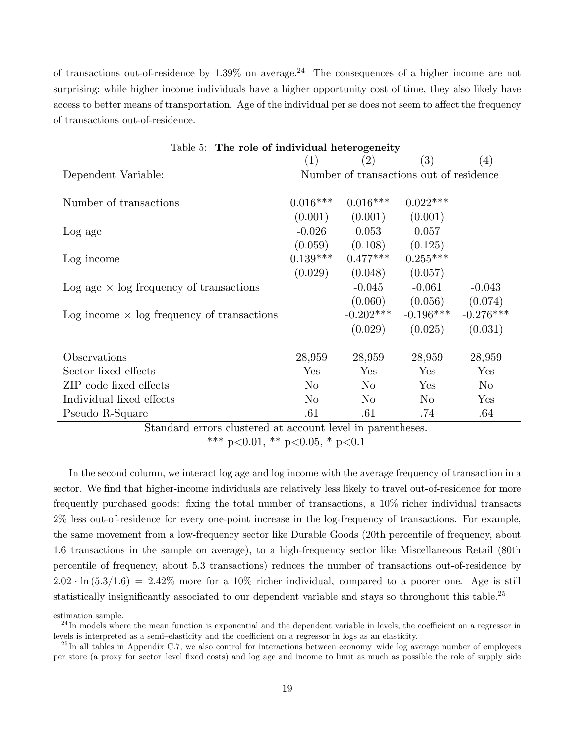of transactions out-of-residence by  $1.39\%$  on average.<sup>24</sup> The consequences of a higher income are not surprising: while higher income individuals have a higher opportunity cost of time, they also likely have access to better means of transportation. Age of the individual per se does not seem to affect the frequency of transactions out-of-residence.

<span id="page-19-0"></span>

| Table 5: The role of individual heterogeneity     |            |                                         |                |                   |  |  |  |  |
|---------------------------------------------------|------------|-----------------------------------------|----------------|-------------------|--|--|--|--|
|                                                   | (1)        | (2)                                     | (3)            | $\left( 4\right)$ |  |  |  |  |
| Dependent Variable:                               |            | Number of transactions out of residence |                |                   |  |  |  |  |
|                                                   |            |                                         |                |                   |  |  |  |  |
| Number of transactions                            | $0.016***$ | $0.016***$                              | $0.022***$     |                   |  |  |  |  |
|                                                   | (0.001)    | (0.001)                                 | (0.001)        |                   |  |  |  |  |
| Log age                                           | $-0.026$   | 0.053                                   | 0.057          |                   |  |  |  |  |
|                                                   | (0.059)    | (0.108)                                 | (0.125)        |                   |  |  |  |  |
| Log income                                        | $0.139***$ | $0.477***$                              | $0.255***$     |                   |  |  |  |  |
|                                                   | (0.029)    | (0.048)                                 | (0.057)        |                   |  |  |  |  |
| Log age $\times$ log frequency of transactions    |            | $-0.045$                                | $-0.061$       | $-0.043$          |  |  |  |  |
|                                                   |            | (0.060)                                 | (0.056)        | (0.074)           |  |  |  |  |
| Log income $\times$ log frequency of transactions |            | $-0.202***$                             | $-0.196***$    | $-0.276***$       |  |  |  |  |
|                                                   |            | (0.029)                                 | (0.025)        | (0.031)           |  |  |  |  |
| Observations                                      | 28,959     | 28,959                                  | 28,959         | 28,959            |  |  |  |  |
| Sector fixed effects                              | Yes        | Yes                                     | Yes            | Yes               |  |  |  |  |
| ZIP code fixed effects                            | $\rm No$   | $\rm No$                                | Yes            | $\rm No$          |  |  |  |  |
| Individual fixed effects                          | $\rm No$   | No                                      | N <sub>o</sub> | Yes               |  |  |  |  |
| Pseudo R-Square                                   | .61        | .61                                     | .74            | .64               |  |  |  |  |

Standard errors clustered at account level in parentheses.

\*\*\* p<0.01, \*\* p<0.05, \* p<0.1

In the second column, we interact log age and log income with the average frequency of transaction in a sector. We find that higher-income individuals are relatively less likely to travel out-of-residence for more frequently purchased goods: fixing the total number of transactions, a 10% richer individual transacts 2% less out-of-residence for every one-point increase in the log-frequency of transactions. For example, the same movement from a low-frequency sector like Durable Goods (20th percentile of frequency, about 1.6 transactions in the sample on average), to a high-frequency sector like Miscellaneous Retail (80th percentile of frequency, about 5.3 transactions) reduces the number of transactions out-of-residence by  $2.02 \cdot \ln(5.3/1.6) = 2.42\%$  more for a 10% richer individual, compared to a poorer one. Age is still statistically insignificantly associated to our dependent variable and stays so throughout this table.<sup>25</sup>

estimation sample.

 $^{24}$ In models where the mean function is exponential and the dependent variable in levels, the coefficient on a regressor in levels is interpreted as a semi-elasticity and the coefficient on a regressor in logs as an elasticity.

 $^{25}$ In all tables in Appendix [C.7,](#page-66-1) we also control for interactions between economy-wide log average number of employees per store (a proxy for sector-level fixed costs) and log age and income to limit as much as possible the role of supply-side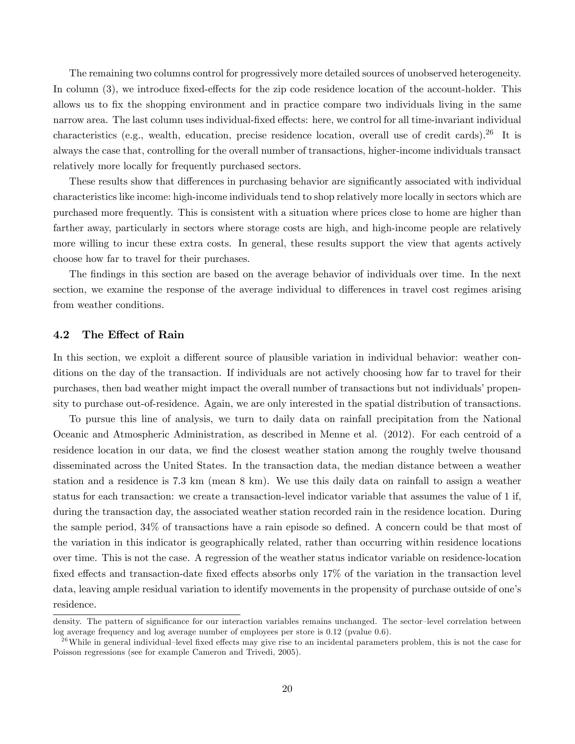The remaining two columns control for progressively more detailed sources of unobserved heterogeneity. In column  $(3)$ , we introduce fixed-effects for the zip code residence location of the account-holder. This allows us to fix the shopping environment and in practice compare two individuals living in the same narrow area. The last column uses individual-fixed effects: here, we control for all time-invariant individual characteristics (e.g., wealth, education, precise residence location, overall use of credit cards).<sup>26</sup> It is always the case that, controlling for the overall number of transactions, higher-income individuals transact relatively more locally for frequently purchased sectors.

These results show that differences in purchasing behavior are significantly associated with individual characteristics like income: high-income individuals tend to shop relatively more locally in sectors which are purchased more frequently. This is consistent with a situation where prices close to home are higher than farther away, particularly in sectors where storage costs are high, and high-income people are relatively more willing to incur these extra costs. In general, these results support the view that agents actively choose how far to travel for their purchases.

The findings in this section are based on the average behavior of individuals over time. In the next section, we examine the response of the average individual to differences in travel cost regimes arising from weather conditions.

### 4.2 The Effect of Rain

In this section, we exploit a different source of plausible variation in individual behavior: weather conditions on the day of the transaction. If individuals are not actively choosing how far to travel for their purchases, then bad weather might impact the overall number of transactions but not individuals' propensity to purchase out-of-residence. Again, we are only interested in the spatial distribution of transactions.

To pursue this line of analysis, we turn to daily data on rainfall precipitation from the National Oceanic and Atmospheric Administration, as described in Menne et al. (2012). For each centroid of a residence location in our data, we find the closest weather station among the roughly twelve thousand disseminated across the United States. In the transaction data, the median distance between a weather station and a residence is 7.3 km (mean 8 km). We use this daily data on rainfall to assign a weather status for each transaction: we create a transaction-level indicator variable that assumes the value of 1 if, during the transaction day, the associated weather station recorded rain in the residence location. During the sample period,  $34\%$  of transactions have a rain episode so defined. A concern could be that most of the variation in this indicator is geographically related, rather than occurring within residence locations over time. This is not the case. A regression of the weather status indicator variable on residence-location fixed effects and transaction-date fixed effects absorbs only 17% of the variation in the transaction level data, leaving ample residual variation to identify movements in the propensity of purchase outside of one's residence.

density. The pattern of significance for our interaction variables remains unchanged. The sector-level correlation between log average frequency and log average number of employees per store is 0.12 (pvalue 0.6).

 $^{26}$ While in general individual–level fixed effects may give rise to an incidental parameters problem, this is not the case for Poisson regressions (see for example Cameron and Trivedi, 2005).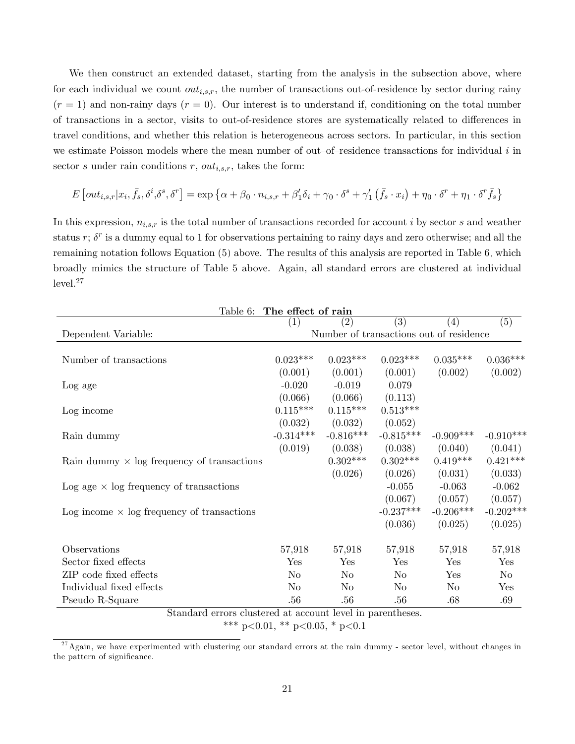We then construct an extended dataset, starting from the analysis in the subsection above, where for each individual we count  $out_{i,s,r}$ , the number of transactions out-of-residence by sector during rainy  $(r = 1)$  and non-rainy days  $(r = 0)$ . Our interest is to understand if, conditioning on the total number of transactions in a sector, visits to out-of-residence stores are systematically related to differences in travel conditions, and whether this relation is heterogeneous across sectors. In particular, in this section we estimate Poisson models where the mean number of out-of-residence transactions for individual  $i$  in sector s under rain conditions r,  $out_{i,s,r}$ , takes the form:

$$
E\left[out_{i,s,r}|x_i,\bar{f}_s,\delta^i,\delta^s,\delta^r\right] = \exp\left\{\alpha + \beta_0 \cdot n_{i,s,r} + \beta_1'\delta_i + \gamma_0 \cdot \delta^s + \gamma_1'\left(\bar{f}_s \cdot x_i\right) + \eta_0 \cdot \delta^r + \eta_1 \cdot \delta^r \bar{f}_s\right\}
$$

In this expression,  $n_{i,s,r}$  is the total number of transactions recorded for account i by sector s and weather status  $r$ ;  $\delta^r$  is a dummy equal to 1 for observations pertaining to rainy days and zero otherwise; and all the remaining notation follows Equation [\(5\)](#page-18-0) above. The results of this analysis are reported in Table [6,](#page-21-0) which broadly mimics the structure of Table [5](#page-19-0) above. Again, all standard errors are clustered at individual  $level.<sup>27</sup>$ 

<span id="page-21-0"></span>

|                                                            | Table 6: The effect of rain             |             |             |             |             |  |  |  |
|------------------------------------------------------------|-----------------------------------------|-------------|-------------|-------------|-------------|--|--|--|
|                                                            | (1)                                     | (2)         | (3)         | (4)         | (5)         |  |  |  |
| Dependent Variable:                                        | Number of transactions out of residence |             |             |             |             |  |  |  |
|                                                            |                                         |             |             |             |             |  |  |  |
| Number of transactions                                     | $0.023***$                              | $0.023***$  | $0.023***$  | $0.035***$  | $0.036***$  |  |  |  |
|                                                            | (0.001)                                 | (0.001)     | (0.001)     | (0.002)     | (0.002)     |  |  |  |
| Log age                                                    | $-0.020$                                | $-0.019$    | 0.079       |             |             |  |  |  |
|                                                            | (0.066)                                 | (0.066)     | (0.113)     |             |             |  |  |  |
| Log income                                                 | $0.115***$                              | $0.115***$  | $0.513***$  |             |             |  |  |  |
|                                                            | (0.032)                                 | (0.032)     | (0.052)     |             |             |  |  |  |
| Rain dummy                                                 | $-0.314***$                             | $-0.816***$ | $-0.815***$ | $-0.909***$ | $-0.910***$ |  |  |  |
|                                                            | (0.019)                                 | (0.038)     | (0.038)     | (0.040)     | (0.041)     |  |  |  |
| Rain dummy $\times$ log frequency of transactions          |                                         | $0.302***$  | $0.302***$  | $0.419***$  | $0.421***$  |  |  |  |
|                                                            |                                         | (0.026)     | (0.026)     | (0.031)     | (0.033)     |  |  |  |
| Log age $\times$ log frequency of transactions             |                                         |             | $-0.055$    | $-0.063$    | $-0.062$    |  |  |  |
|                                                            |                                         |             | (0.067)     | (0.057)     | (0.057)     |  |  |  |
| Log income $\times$ log frequency of transactions          |                                         |             | $-0.237***$ | $-0.206***$ | $-0.202***$ |  |  |  |
|                                                            |                                         |             | (0.036)     | (0.025)     | (0.025)     |  |  |  |
| Observations                                               | 57,918                                  | 57,918      | 57,918      | 57,918      | 57,918      |  |  |  |
| Sector fixed effects                                       | $_{\rm Yes}$                            | Yes         | Yes         | Yes         | Yes         |  |  |  |
| ZIP code fixed effects                                     | No                                      | No          | No          | Yes         | No          |  |  |  |
| Individual fixed effects                                   | No                                      | No          | No          | No          | Yes         |  |  |  |
| Pseudo R-Square                                            | .56                                     | .56         | .56         | .68         | .69         |  |  |  |
| Standard errors clustered at account level in parentheses. |                                         |             |             |             |             |  |  |  |

\*\*\* p<0.01, \*\* p<0.05, \* p<0.1

 $27$ Again, we have experimented with clustering our standard errors at the rain dummy - sector level, without changes in the pattern of significance.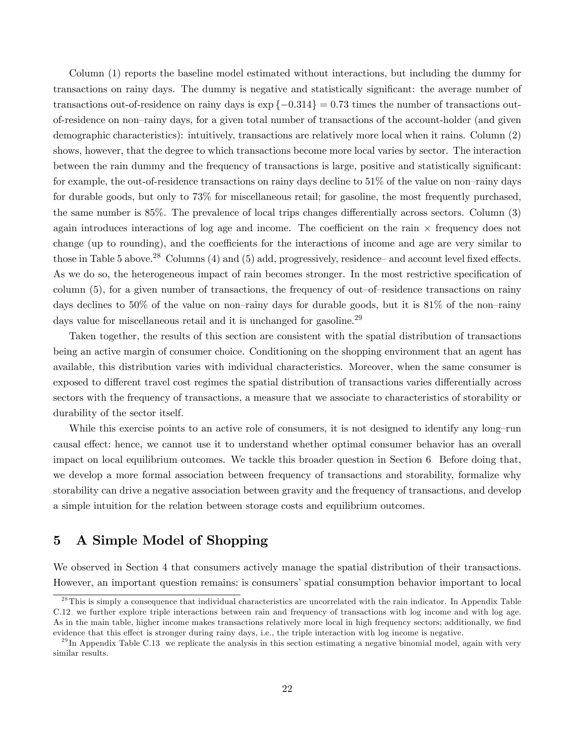Column (1) reports the baseline model estimated without interactions, but including the dummy for transactions on rainy days. The dummy is negative and statistically significant: the average number of transactions out-of-residence on rainy days is  $\exp\{-0.314\} = 0.73$  times the number of transactions outof-residence on non-rainy days, for a given total number of transactions of the account-holder (and given demographic characteristics): intuitively, transactions are relatively more local when it rains. Column (2) shows, however, that the degree to which transactions become more local varies by sector. The interaction between the rain dummy and the frequency of transactions is large, positive and statistically significant: for example, the out-of-residence transactions on rainy days decline to  $51\%$  of the value on non-rainy days for durable goods, but only to 73% for miscellaneous retail; for gasoline, the most frequently purchased, the same number is  $85\%$ . The prevalence of local trips changes differentially across sectors. Column  $(3)$ again introduces interactions of log age and income. The coefficient on the rain  $\times$  frequency does not change (up to rounding), and the coefficients for the interactions of income and age are very similar to those in Table [5](#page-19-0) above.<sup>28</sup> Columns (4) and (5) add, progressively, residence—and account level fixed effects. As we do so, the heterogeneous impact of rain becomes stronger. In the most restrictive specification of column  $(5)$ , for a given number of transactions, the frequency of out-of-residence transactions on rainy days declines to 50% of the value on non-rainy days for durable goods, but it is 81% of the non-rainy days value for miscellaneous retail and it is unchanged for gasoline.<sup>29</sup>

Taken together, the results of this section are consistent with the spatial distribution of transactions being an active margin of consumer choice. Conditioning on the shopping environment that an agent has available, this distribution varies with individual characteristics. Moreover, when the same consumer is exposed to different travel cost regimes the spatial distribution of transactions varies differentially across sectors with the frequency of transactions, a measure that we associate to characteristics of storability or durability of the sector itself.

While this exercise points to an active role of consumers, it is not designed to identify any long-run causal effect: hence, we cannot use it to understand whether optimal consumer behavior has an overall impact on local equilibrium outcomes. We tackle this broader question in Section [6.](#page-28-0) Before doing that, we develop a more formal association between frequency of transactions and storability, formalize why storability can drive a negative association between gravity and the frequency of transactions, and develop a simple intuition for the relation between storage costs and equilibrium outcomes.

# <span id="page-22-0"></span>5 A Simple Model of Shopping

We observed in Section [4](#page-16-0) that consumers actively manage the spatial distribution of their transactions. However, an important question remains: is consumers' spatial consumption behavior important to local

<sup>&</sup>lt;sup>28</sup>This is simply a consequence that individual characteristics are uncorrelated with the rain indicator. In Appendix Table [C.12,](#page-70-0) we further explore triple interactions between rain and frequency of transactions with log income and with log age. As in the main table, higher income makes transactions relatively more local in high frequency sectors; additionally, we find evidence that this effect is stronger during rainy days, i.e., the triple interaction with log income is negative.

 $^{29}$ In Appendix Table [C.13,](#page-71-0) we replicate the analysis in this section estimating a negative binomial model, again with very similar results.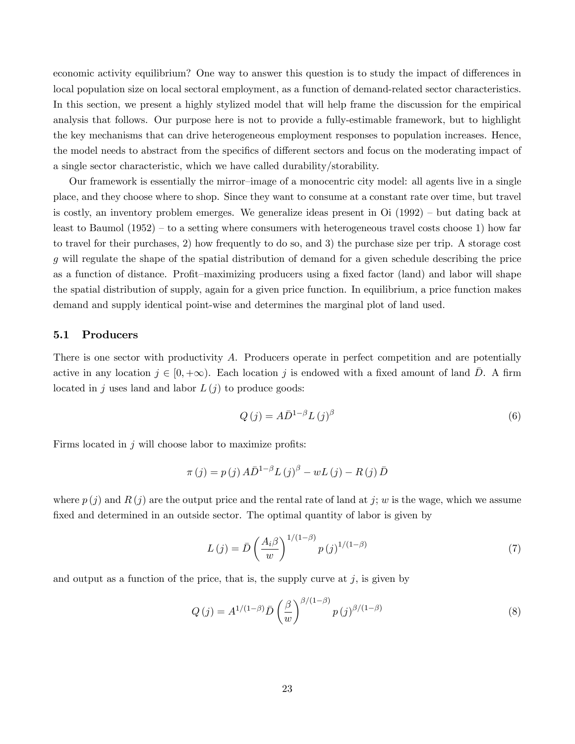economic activity equilibrium? One way to answer this question is to study the impact of differences in local population size on local sectoral employment, as a function of demand-related sector characteristics. In this section, we present a highly stylized model that will help frame the discussion for the empirical analysis that follows. Our purpose here is not to provide a fully-estimable framework, but to highlight the key mechanisms that can drive heterogeneous employment responses to population increases. Hence, the model needs to abstract from the specifics of different sectors and focus on the moderating impact of a single sector characteristic, which we have called durability/storability.

Our framework is essentially the mirror-image of a monocentric city model: all agents live in a single place, and they choose where to shop. Since they want to consume at a constant rate over time, but travel is costly, an inventory problem emerges. We generalize ideas present in  $\mathrm{Oi}$  (1992) – but dating back at least to Baumol  $(1952)$  – to a setting where consumers with heterogeneous travel costs choose 1) how far to travel for their purchases, 2) how frequently to do so, and 3) the purchase size per trip. A storage cost g will regulate the shape of the spatial distribution of demand for a given schedule describing the price as a function of distance. Profit-maximizing producers using a fixed factor (land) and labor will shape the spatial distribution of supply, again for a given price function. In equilibrium, a price function makes demand and supply identical point-wise and determines the marginal plot of land used.

### 5.1 Producers

There is one sector with productivity A. Producers operate in perfect competition and are potentially active in any location  $j \in [0, +\infty)$ . Each location j is endowed with a fixed amount of land  $\overline{D}$ . A firm located in j uses land and labor  $L(i)$  to produce goods:

$$
Q(j) = A\bar{D}^{1-\beta}L(j)^{\beta} \tag{6}
$$

Firms located in  $j$  will choose labor to maximize profits:

$$
\pi(j) = p(j) A \overline{D}^{1-\beta} L(j)^{\beta} - w L(j) - R(j) \overline{D}
$$

where  $p(j)$  and  $R(j)$  are the output price and the rental rate of land at j; w is the wage, which we assume fixed and determined in an outside sector. The optimal quantity of labor is given by

<span id="page-23-1"></span>
$$
L(j) = \bar{D} \left(\frac{A_i \beta}{w}\right)^{1/(1-\beta)} p(j)^{1/(1-\beta)} \tag{7}
$$

and output as a function of the price, that is, the supply curve at  $j$ , is given by

<span id="page-23-0"></span>
$$
Q(j) = A^{1/(1-\beta)} \bar{D} \left(\frac{\beta}{w}\right)^{\beta/(1-\beta)} p(j)^{\beta/(1-\beta)}
$$
\n(8)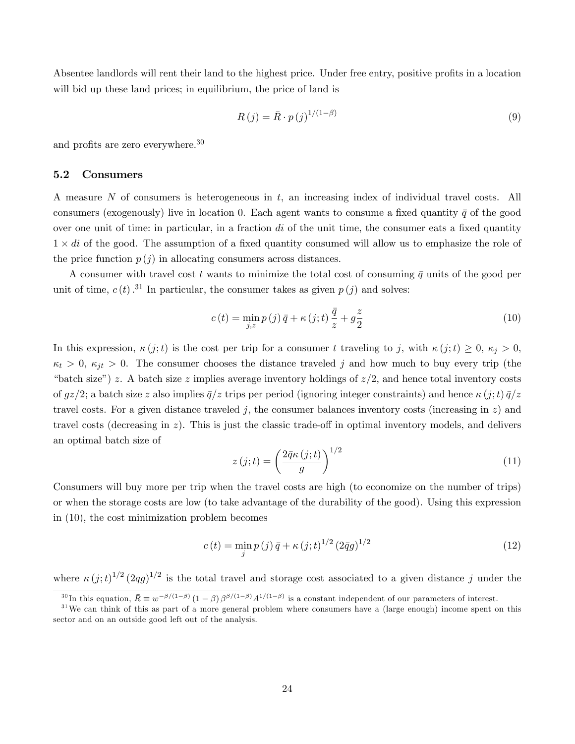Absentee landlords will rent their land to the highest price. Under free entry, positive profits in a location will bid up these land prices; in equilibrium, the price of land is

$$
R(j) = \bar{R} \cdot p(j)^{1/(1-\beta)} \tag{9}
$$

and profits are zero everywhere. $30$ 

### 5.2 Consumers

A measure N of consumers is heterogeneous in t, an increasing index of individual travel costs. All consumers (exogenously) live in location 0. Each agent wants to consume a fixed quantity  $\bar{q}$  of the good over one unit of time: in particular, in a fraction  $di$  of the unit time, the consumer eats a fixed quantity  $1 \times di$  of the good. The assumption of a fixed quantity consumed will allow us to emphasize the role of the price function  $p(j)$  in allocating consumers across distances.

A consumer with travel cost t wants to minimize the total cost of consuming  $\bar{q}$  units of the good per unit of time,  $c(t)$ .<sup>31</sup> In particular, the consumer takes as given  $p(j)$  and solves:

<span id="page-24-0"></span>
$$
c(t) = \min_{j,z} p(j)\overline{q} + \kappa(j;t)\frac{\overline{q}}{z} + g\frac{z}{2}
$$
\n(10)

In this expression,  $\kappa(j;t)$  is the cost per trip for a consumer t traveling to j, with  $\kappa(j;t) \geq 0, \kappa_j > 0$ ,  $\kappa_t > 0$ ,  $\kappa_{jt} > 0$ . The consumer chooses the distance traveled j and how much to buy every trip (the "batch size") z. A batch size z implies average inventory holdings of  $z/2$ , and hence total inventory costs of  $gz/2$ ; a batch size z also implies  $\bar{q}/z$  trips per period (ignoring integer constraints) and hence  $\kappa(j;t)\bar{q}/z$ travel costs. For a given distance traveled j, the consumer balances inventory costs (increasing in  $z$ ) and travel costs (decreasing in  $z$ ). This is just the classic trade-off in optimal inventory models, and delivers an optimal batch size of

<span id="page-24-1"></span>
$$
z(j;t) = \left(\frac{2\bar{q}\kappa(j;t)}{g}\right)^{1/2} \tag{11}
$$

Consumers will buy more per trip when the travel costs are high (to economize on the number of trips) or when the storage costs are low (to take advantage of the durability of the good). Using this expression in [\(10\)](#page-24-0), the cost minimization problem becomes

$$
c(t) = \min_{j} p(j) \bar{q} + \kappa (j; t)^{1/2} (2\bar{q}g)^{1/2}
$$
 (12)

where  $\kappa(j;t)^{1/2} (2qg)^{1/2}$  is the total travel and storage cost associated to a given distance j under the

<sup>&</sup>lt;sup>30</sup>In this equation,  $\bar{R} \equiv w^{-\beta/(1-\beta)} (1-\beta) \beta^{\beta/(1-\beta)} A^{1/(1-\beta)}$  is a constant independent of our parameters of interest.

 $31$ We can think of this as part of a more general problem where consumers have a (large enough) income spent on this sector and on an outside good left out of the analysis.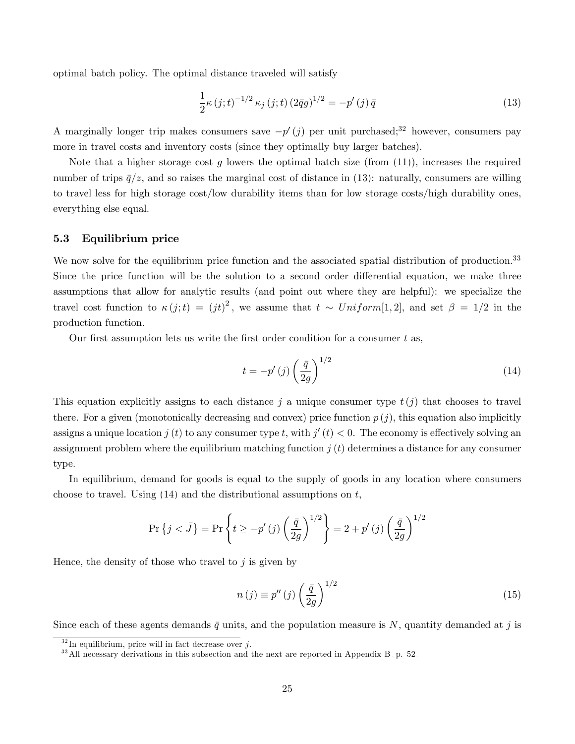optimal batch policy. The optimal distance traveled will satisfy

<span id="page-25-0"></span>
$$
\frac{1}{2}\kappa(j;t)^{-1/2}\kappa_j(j;t)(2\bar{q}g)^{1/2} = -p'(j)\bar{q}
$$
\n(13)

A marginally longer trip makes consumers save  $-p'(j)$  per unit purchased;<sup>32</sup> however, consumers pay more in travel costs and inventory costs (since they optimally buy larger batches).

Note that a higher storage cost g lowers the optimal batch size (from  $(11)$ ), increases the required number of trips  $\bar{q}/z$ , and so raises the marginal cost of distance in [\(13\)](#page-25-0): naturally, consumers are willing to travel less for high storage cost/low durability items than for low storage costs/high durability ones, everything else equal.

### 5.3 Equilibrium price

We now solve for the equilibrium price function and the associated spatial distribution of production.<sup>33</sup> Since the price function will be the solution to a second order differential equation, we make three assumptions that allow for analytic results (and point out where they are helpful): we specialize the travel cost function to  $\kappa(j;t) = (jt)^2$ , we assume that  $t \sim Uniform[1,2]$ , and set  $\beta = 1/2$  in the production function.

Our first assumption lets us write the first order condition for a consumer  $t$  as,

<span id="page-25-1"></span>
$$
t = -p'(j)\left(\frac{\bar{q}}{2g}\right)^{1/2} \tag{14}
$$

This equation explicitly assigns to each distance j a unique consumer type  $t(j)$  that chooses to travel there. For a given (monotonically decreasing and convex) price function  $p(j)$ , this equation also implicitly assigns a unique location  $j(t)$  to any consumer type t, with  $j'(t) < 0$ . The economy is effectively solving an assignment problem where the equilibrium matching function  $j(t)$  determines a distance for any consumer type.

In equilibrium, demand for goods is equal to the supply of goods in any location where consumers choose to travel. Using  $(14)$  and the distributional assumptions on t,

$$
\Pr\left\{j < \bar{J}\right\} = \Pr\left\{t \ge -p'\left(j\right)\left(\frac{\bar{q}}{2g}\right)^{1/2}\right\} = 2 + p'\left(j\right)\left(\frac{\bar{q}}{2g}\right)^{1/2}
$$

Hence, the density of those who travel to  $j$  is given by

<span id="page-25-2"></span>
$$
n(j) \equiv p''(j) \left(\frac{\bar{q}}{2g}\right)^{1/2} \tag{15}
$$

Since each of these agents demands  $\bar{q}$  units, and the population measure is N, quantity demanded at j is

 $32 \text{ In equilibrium, price will in fact decrease over } j.$ 

<sup>&</sup>lt;sup>33</sup> All necessary derivations in this subsection and the next are reported in Appendix [B,](#page-52-0) p. [52.](#page-52-0)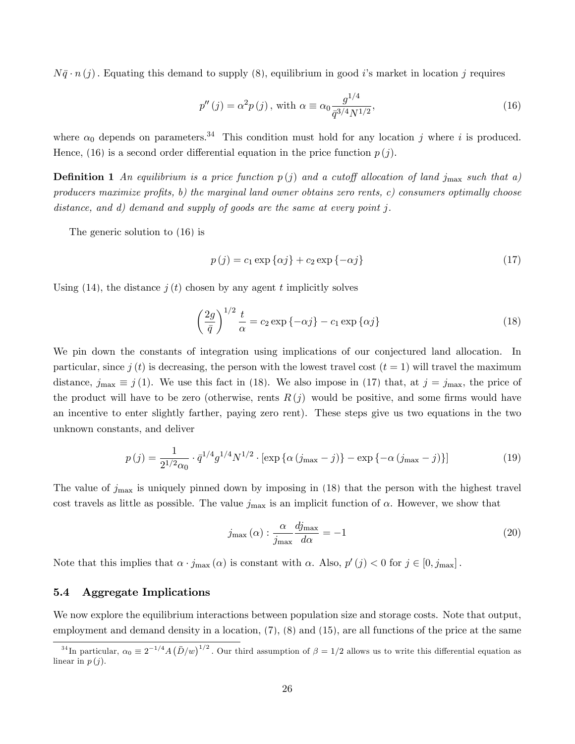$N\bar{q} \cdot n(j)$ . Equating this demand to supply [\(8\)](#page-23-0), equilibrium in good is market in location j requires

<span id="page-26-0"></span>
$$
p''(j) = \alpha^2 p(j), \text{ with } \alpha \equiv \alpha_0 \frac{g^{1/4}}{\bar{q}^{3/4} N^{1/2}},\tag{16}
$$

where  $\alpha_0$  depends on parameters.<sup>34</sup> This condition must hold for any location j where i is produced. Hence, [\(16\)](#page-26-0) is a second order differential equation in the price function  $p(j)$ .

**Definition 1** An equilibrium is a price function  $p(j)$  and a cutoff allocation of land j<sub>max</sub> such that a) producers maximize profits, b) the marginal land owner obtains zero rents, c) consumers optimally choose distance, and d) demand and supply of goods are the same at every point j.

The generic solution to [\(16\)](#page-26-0) is

<span id="page-26-2"></span>
$$
p(j) = c_1 \exp\{\alpha j\} + c_2 \exp\{-\alpha j\}
$$
\n<sup>(17)</sup>

Using [\(14\)](#page-25-1), the distance  $j(t)$  chosen by any agent t implicitly solves

<span id="page-26-1"></span>
$$
\left(\frac{2g}{\bar{q}}\right)^{1/2} \frac{t}{\alpha} = c_2 \exp\{-\alpha j\} - c_1 \exp\{\alpha j\}
$$
\n(18)

We pin down the constants of integration using implications of our conjectured land allocation. In particular, since j (t) is decreasing, the person with the lowest travel cost  $(t = 1)$  will travel the maximum distance,  $j_{\text{max}} \equiv j(1)$ . We use this fact in [\(18\)](#page-26-1). We also impose in [\(17\)](#page-26-2) that, at  $j = j_{\text{max}}$ , the price of the product will have to be zero (otherwise, rents  $R(j)$  would be positive, and some firms would have an incentive to enter slightly farther, paying zero rent). These steps give us two equations in the two unknown constants, and deliver

<span id="page-26-3"></span>
$$
p(j) = \frac{1}{2^{1/2}\alpha_0} \cdot \bar{q}^{1/4} g^{1/4} N^{1/2} \cdot \left[ \exp\left\{ \alpha \left( j_{\text{max}} - j \right) \right\} - \exp\left\{ -\alpha \left( j_{\text{max}} - j \right) \right\} \right] \tag{19}
$$

The value of  $j_{\text{max}}$  is uniquely pinned down by imposing in [\(18\)](#page-26-1) that the person with the highest travel cost travels as little as possible. The value  $j_{\text{max}}$  is an implicit function of  $\alpha$ . However, we show that

<span id="page-26-4"></span>
$$
j_{\max}(\alpha) : \frac{\alpha}{j_{\max}} \frac{dj_{\max}}{d\alpha} = -1
$$
\n(20)

Note that this implies that  $\alpha \cdot j_{\text{max}}(\alpha)$  is constant with  $\alpha$ . Also,  $p'(j) < 0$  for  $j \in [0, j_{\text{max}}]$ .

#### 5.4 Aggregate Implications

We now explore the equilibrium interactions between population size and storage costs. Note that output, employment and demand density in a location,  $(7)$ ,  $(8)$  and  $(15)$ , are all functions of the price at the same

<sup>&</sup>lt;sup>34</sup>In particular,  $\alpha_0 \equiv 2^{-1/4} A (\bar{D}/w)^{1/2}$ . Our third assumption of  $\beta = 1/2$  allows us to write this differential equation as linear in  $p(j)$ .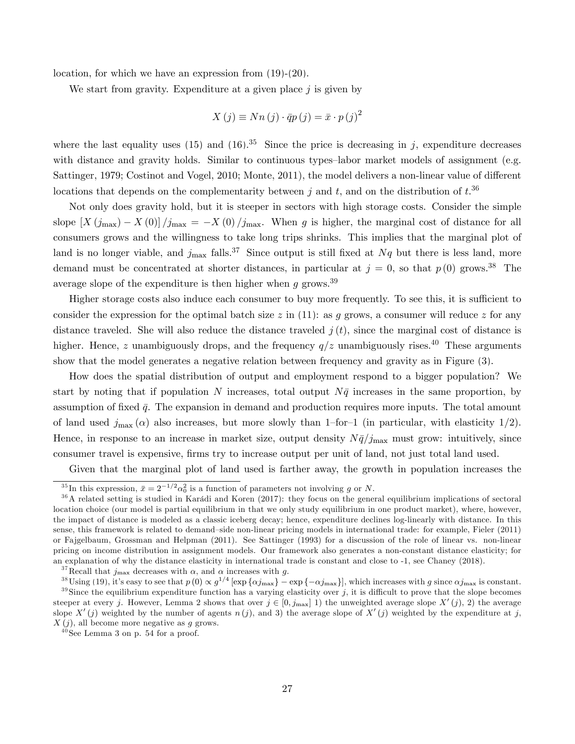location, for which we have an expression from [\(19\)](#page-26-3)-[\(20\)](#page-26-4).

We start from gravity. Expenditure at a given place  $j$  is given by

$$
X(j) \equiv Nn(j) \cdot \bar{q}p(j) = \bar{x} \cdot p(j)^{2}
$$

where the last equality uses [\(15\)](#page-25-2) and [\(16\)](#page-26-0).<sup>35</sup> Since the price is decreasing in j, expenditure decreases with distance and gravity holds. Similar to continuous types-labor market models of assignment (e.g. Sattinger, 1979; Costinot and Vogel, 2010; Monte, 2011), the model delivers a non-linear value of different locations that depends on the complementarity between j and t, and on the distribution of  $t^{0.36}$ 

Not only does gravity hold, but it is steeper in sectors with high storage costs. Consider the simple slope  $[X(j_{\text{max}}) - X(0)]/j_{\text{max}} = -X(0)/j_{\text{max}}$ . When g is higher, the marginal cost of distance for all consumers grows and the willingness to take long trips shrinks. This implies that the marginal plot of land is no longer viable, and  $j_{\text{max}}$  falls.<sup>37</sup> Since output is still fixed at Nq but there is less land, more demand must be concentrated at shorter distances, in particular at  $j = 0$ , so that  $p(0)$  grows.<sup>38</sup> The average slope of the expenditure is then higher when g grows.<sup>39</sup>

Higher storage costs also induce each consumer to buy more frequently. To see this, it is sufficient to consider the expression for the optimal batch size z in [\(11\)](#page-24-1): as g grows, a consumer will reduce z for any distance traveled. She will also reduce the distance traveled  $j(t)$ , since the marginal cost of distance is higher. Hence, z unambiguously drops, and the frequency  $q/z$  unambiguously rises.<sup>40</sup> These arguments show that the model generates a negative relation between frequency and gravity as in Figure [\(3\)](#page-17-0).

How does the spatial distribution of output and employment respond to a bigger population? We start by noting that if population N increases, total output  $N\bar{q}$  increases in the same proportion, by assumption of fixed  $\bar{q}$ . The expansion in demand and production requires more inputs. The total amount of land used  $j_{\text{max}}(\alpha)$  also increases, but more slowly than 1-for-1 (in particular, with elasticity 1/2). Hence, in response to an increase in market size, output density  $N\bar{q}/j_{\rm max}$  must grow: intuitively, since consumer travel is expensive, firms try to increase output per unit of land, not just total land used.

Given that the marginal plot of land used is farther away, the growth in population increases the

<sup>37</sup>Recall that  $j_{\text{max}}$  decreases with  $\alpha$ , and  $\alpha$  increases with g.

<sup>&</sup>lt;sup>35</sup>In this expression,  $\bar{x} = 2^{-1/2} \alpha_0^2$  is a function of parameters not involving g or N.

 $36$ A related setting is studied in Karádi and Koren (2017): they focus on the general equilibrium implications of sectoral location choice (our model is partial equilibrium in that we only study equilibrium in one product market), where, however, the impact of distance is modeled as a classic iceberg decay; hence, expenditure declines log-linearly with distance. In this sense, this framework is related to demand-side non-linear pricing models in international trade: for example, Fieler (2011) or Fajgelbaum, Grossman and Helpman (2011). See Sattinger (1993) for a discussion of the role of linear vs. non-linear pricing on income distribution in assignment models. Our framework also generates a non-constant distance elasticity; for an explanation of why the distance elasticity in international trade is constant and close to -1, see Chaney (2018).

<sup>&</sup>lt;sup>38</sup>Using [\(19\)](#page-26-3), it's easy to see that  $p(0) \propto g^{1/4} [\exp{\{\alpha j_{\text{max}}\}} - \exp{\{-\alpha j_{\text{max}}\}}]$ , which increases with g since  $\alpha j_{\text{max}}$  is constant.  $39$  Since the equilibrium expenditure function has a varying elasticity over j, it is difficult to prove that the slope becomes steeper at every j. However, Lemma [2](#page-53-0) shows that over  $j \in [0, j_{\text{max}}]$  1) the unweighted average slope  $X'(j)$ , 2) the average slope X'(j) weighted by the number of agents  $n(j)$ , and 3) the average slope of X'(j) weighted by the expenditure at j,  $X(j)$ , all become more negative as g grows.

 $40$ See Lemma [3](#page-54-0) on p. [54](#page-54-0) for a proof.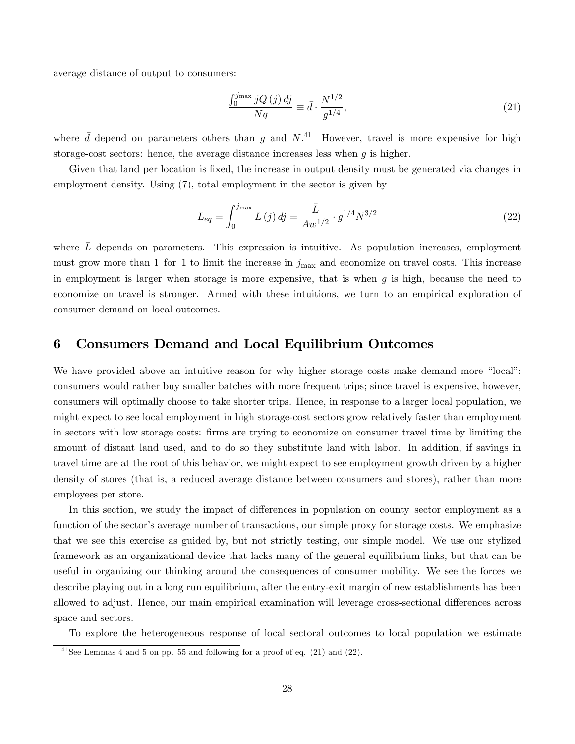average distance of output to consumers:

<span id="page-28-1"></span>
$$
\frac{\int_0^{j_{\text{max}}} jQ\left(j\right)dj}{Nq} \equiv \bar{d} \cdot \frac{N^{1/2}}{g^{1/4}},\tag{21}
$$

where  $\bar{d}$  depend on parameters others than g and  $N^{41}$ . However, travel is more expensive for high storage-cost sectors: hence, the average distance increases less when  $q$  is higher.

Given that land per location is fixed, the increase in output density must be generated via changes in employment density. Using [\(7\)](#page-23-1), total employment in the sector is given by

<span id="page-28-2"></span>
$$
L_{eq} = \int_0^{j_{\text{max}}} L(j) \, dj = \frac{\bar{L}}{Aw^{1/2}} \cdot g^{1/4} N^{3/2} \tag{22}
$$

where  $\bar{L}$  depends on parameters. This expression is intuitive. As population increases, employment must grow more than 1-for-1 to limit the increase in  $j_{\text{max}}$  and economize on travel costs. This increase in employment is larger when storage is more expensive, that is when  $g$  is high, because the need to economize on travel is stronger. Armed with these intuitions, we turn to an empirical exploration of consumer demand on local outcomes.

### <span id="page-28-0"></span>6 Consumers Demand and Local Equilibrium Outcomes

We have provided above an intuitive reason for why higher storage costs make demand more "local": consumers would rather buy smaller batches with more frequent trips; since travel is expensive, however, consumers will optimally choose to take shorter trips. Hence, in response to a larger local population, we might expect to see local employment in high storage-cost sectors grow relatively faster than employment in sectors with low storage costs: Örms are trying to economize on consumer travel time by limiting the amount of distant land used, and to do so they substitute land with labor. In addition, if savings in travel time are at the root of this behavior, we might expect to see employment growth driven by a higher density of stores (that is, a reduced average distance between consumers and stores), rather than more employees per store.

In this section, we study the impact of differences in population on county–sector employment as a function of the sector's average number of transactions, our simple proxy for storage costs. We emphasize that we see this exercise as guided by, but not strictly testing, our simple model. We use our stylized framework as an organizational device that lacks many of the general equilibrium links, but that can be useful in organizing our thinking around the consequences of consumer mobility. We see the forces we describe playing out in a long run equilibrium, after the entry-exit margin of new establishments has been allowed to adjust. Hence, our main empirical examination will leverage cross-sectional differences across space and sectors.

To explore the heterogeneous response of local sectoral outcomes to local population we estimate

 $\frac{41}{4}$ See Lemmas [4](#page-55-0) and [5](#page-55-1) on pp. [55](#page-55-0) and following for a proof of eq. [\(21\)](#page-28-1) and [\(22\)](#page-28-2).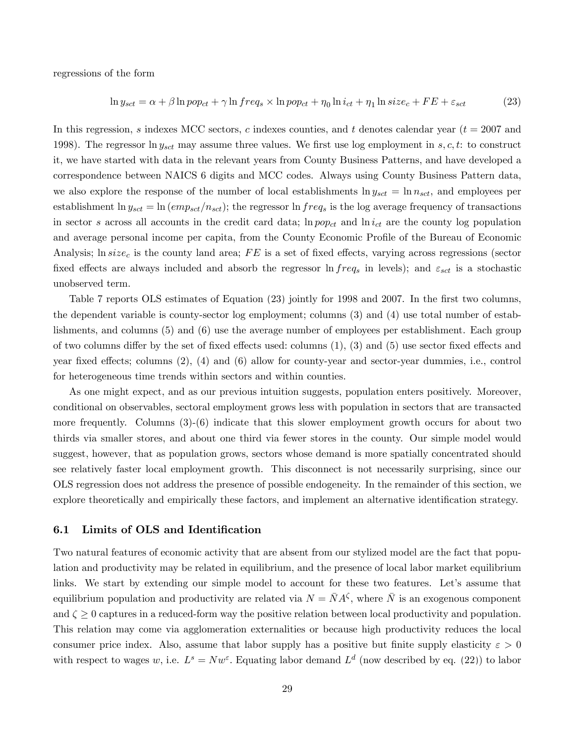regressions of the form

<span id="page-29-0"></span>
$$
\ln y_{sct} = \alpha + \beta \ln pop_{ct} + \gamma \ln freq_s \times \ln pop_{ct} + \eta_0 \ln i_{ct} + \eta_1 \ln size_c + FE + \varepsilon_{sct} \tag{23}
$$

In this regression, s indexes MCC sectors, c indexes counties, and t denotes calendar year ( $t = 2007$  and 1998). The regressor  $\ln y_{sct}$  may assume three values. We first use log employment in s, c, t: to construct it, we have started with data in the relevant years from County Business Patterns, and have developed a correspondence between NAICS 6 digits and MCC codes. Always using County Business Pattern data, we also explore the response of the number of local establishments  $\ln y_{sct} = \ln n_{sct}$ , and employees per establishment ln  $y_{sct}=\ln{(emp_{sct}/n_{sct})}$ ; the regressor ln  $freq_s$  is the log average frequency of transactions in sector s across all accounts in the credit card data;  $\ln pop_{ct}$  and  $\ln i_{ct}$  are the county log population and average personal income per capita, from the County Economic Profile of the Bureau of Economic Analysis; ln  $size_c$  is the county land area; FE is a set of fixed effects, varying across regressions (sector fixed effects are always included and absorb the regressor  $\ln freq_s$  in levels); and  $\varepsilon_{sct}$  is a stochastic unobserved term.

Table [7](#page-30-0) reports OLS estimates of Equation [\(23\)](#page-29-0) jointly for 1998 and 2007. In the first two columns, the dependent variable is county-sector log employment; columns (3) and (4) use total number of establishments, and columns (5) and (6) use the average number of employees per establishment. Each group of two columns differ by the set of fixed effects used: columns  $(1)$ ,  $(3)$  and  $(5)$  use sector fixed effects and year fixed effects; columns  $(2)$ ,  $(4)$  and  $(6)$  allow for county-year and sector-year dummies, i.e., control for heterogeneous time trends within sectors and within counties.

As one might expect, and as our previous intuition suggests, population enters positively. Moreover, conditional on observables, sectoral employment grows less with population in sectors that are transacted more frequently. Columns (3)-(6) indicate that this slower employment growth occurs for about two thirds via smaller stores, and about one third via fewer stores in the county. Our simple model would suggest, however, that as population grows, sectors whose demand is more spatially concentrated should see relatively faster local employment growth. This disconnect is not necessarily surprising, since our OLS regression does not address the presence of possible endogeneity. In the remainder of this section, we explore theoretically and empirically these factors, and implement an alternative identification strategy.

### 6.1 Limits of OLS and Identification

Two natural features of economic activity that are absent from our stylized model are the fact that population and productivity may be related in equilibrium, and the presence of local labor market equilibrium links. We start by extending our simple model to account for these two features. Let's assume that equilibrium population and productivity are related via  $N = \bar{N}A^{\zeta}$ , where  $\bar{N}$  is an exogenous component and  $\zeta \geq 0$  captures in a reduced-form way the positive relation between local productivity and population. This relation may come via agglomeration externalities or because high productivity reduces the local consumer price index. Also, assume that labor supply has a positive but finite supply elasticity  $\varepsilon > 0$ with respect to wages w, i.e.  $L^s = Nw^{\varepsilon}$ . Equating labor demand  $L^d$  (now described by eq. [\(22\)](#page-28-2)) to labor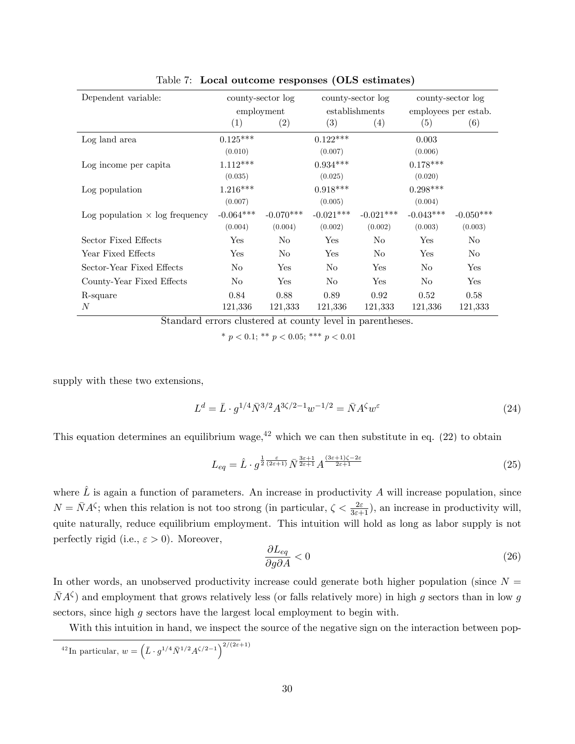| Dependent variable:                   | county-sector log |                |                   | county-sector log | county-sector log    |                |
|---------------------------------------|-------------------|----------------|-------------------|-------------------|----------------------|----------------|
|                                       |                   | employment     |                   | establishments    | employees per estab. |                |
|                                       | $\left( 1\right)$ | (2)            | $\left( 3\right)$ | (4)               | (5)                  | (6)            |
| Log land area                         | $0.125***$        |                | $0.122***$        |                   | 0.003                |                |
|                                       | (0.010)           |                | (0.007)           |                   | (0.006)              |                |
| Log income per capita                 | $1.112***$        |                | $0.934***$        |                   | $0.178***$           |                |
|                                       | (0.035)           |                | (0.025)           |                   | (0.020)              |                |
| Log population                        | $1.216***$        |                | $0.918***$        |                   | $0.298***$           |                |
|                                       | (0.007)           |                | (0.005)           |                   | (0.004)              |                |
| Log population $\times$ log frequency | $-0.064***$       | $-0.070***$    | $-0.021***$       | $-0.021***$       | $-0.043***$          | $-0.050***$    |
|                                       | (0.004)           | (0.004)        | (0.002)           | (0.002)           | (0.003)              | (0.003)        |
| Sector Fixed Effects                  | Yes               | No             | Yes               | No                | Yes                  | No             |
| Year Fixed Effects                    | Yes               | N <sub>o</sub> | Yes               | No                | Yes                  | N <sub>o</sub> |
| Sector-Year Fixed Effects             | N <sub>o</sub>    | Yes            | N <sub>o</sub>    | Yes               | No                   | Yes            |
| County-Year Fixed Effects             | N <sub>o</sub>    | Yes            | $\rm No$          | Yes               | No                   | Yes            |
| R-square                              | 0.84              | 0.88           | 0.89              | 0.92              | 0.52                 | 0.58           |
| N                                     | 121,336           | 121,333        | 121,336           | 121,333           | 121,336              | 121,333        |

<span id="page-30-0"></span>Table 7: Local outcome responses (OLS estimates)

Standard errors clustered at county level in parentheses.

\*  $p < 0.1$ ; \*\*  $p < 0.05$ ; \*\*\*  $p < 0.01$ 

supply with these two extensions,

$$
L^{d} = \bar{L} \cdot g^{1/4} \bar{N}^{3/2} A^{3\zeta/2 - 1} w^{-1/2} = \bar{N} A^{\zeta} w^{\varepsilon}
$$
 (24)

This equation determines an equilibrium wage,  $42$  which we can then substitute in eq. [\(22\)](#page-28-2) to obtain

<span id="page-30-1"></span>
$$
L_{eq} = \hat{L} \cdot g^{\frac{1}{2}\frac{\varepsilon}{(2\varepsilon+1)}} \bar{N}^{\frac{3\varepsilon+1}{2\varepsilon+1}} A^{\frac{(3\varepsilon+1)\zeta-2\varepsilon}{2\varepsilon+1}} \tag{25}
$$

where  $\hat{L}$  is again a function of parameters. An increase in productivity A will increase population, since  $N = \overline{N}A^{\zeta}$ ; when this relation is not too strong (in particular,  $\zeta < \frac{2\varepsilon}{3\varepsilon+1}$ ), an increase in productivity will, quite naturally, reduce equilibrium employment. This intuition will hold as long as labor supply is not perfectly rigid (i.e.,  $\varepsilon > 0$ ). Moreover,

$$
\frac{\partial L_{eq}}{\partial g \partial A} < 0 \tag{26}
$$

In other words, an unobserved productivity increase could generate both higher population (since  $N =$  $\bar{N}A^{\zeta}$  and employment that grows relatively less (or falls relatively more) in high g sectors than in low g sectors, since high g sectors have the largest local employment to begin with.

With this intuition in hand, we inspect the source of the negative sign on the interaction between pop-

<sup>42</sup>In particular, 
$$
w = \left(\bar{L} \cdot g^{1/4} \bar{N}^{1/2} A^{\zeta/2 - 1} \right)^{2/(2\varepsilon + 1)}
$$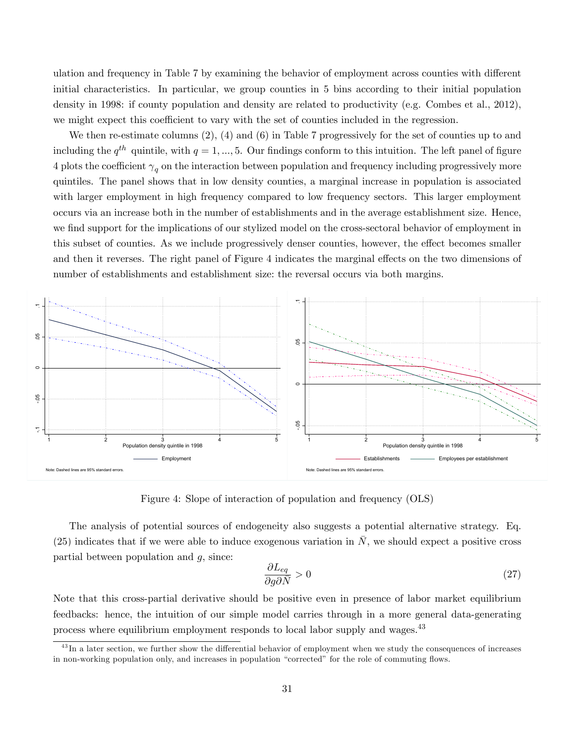ulation and frequency in Table [7](#page-30-0) by examining the behavior of employment across counties with different initial characteristics. In particular, we group counties in 5 bins according to their initial population density in 1998: if county population and density are related to productivity (e.g. Combes et al., 2012), we might expect this coefficient to vary with the set of counties included in the regression.

We then re-estimate columns (2), (4) and (6) in Table [7](#page-30-0) progressively for the set of counties up to and including the  $q^{th}$  quintile, with  $q = 1, ..., 5$ . Our findings conform to this intuition. The left panel of figure [4](#page-31-0) plots the coefficient  $\gamma_q$  on the interaction between population and frequency including progressively more quintiles. The panel shows that in low density counties, a marginal increase in population is associated with larger employment in high frequency compared to low frequency sectors. This larger employment occurs via an increase both in the number of establishments and in the average establishment size. Hence, we find support for the implications of our stylized model on the cross-sectoral behavior of employment in this subset of counties. As we include progressively denser counties, however, the effect becomes smaller and then it reverses. The right panel of Figure [4](#page-31-0) indicates the marginal effects on the two dimensions of number of establishments and establishment size: the reversal occurs via both margins.



<span id="page-31-0"></span>Figure 4: Slope of interaction of population and frequency (OLS)

The analysis of potential sources of endogeneity also suggests a potential alternative strategy. Eq. [\(25\)](#page-30-1) indicates that if we were able to induce exogenous variation in  $\overline{N}$ , we should expect a positive cross partial between population and  $g$ , since:

$$
\frac{\partial L_{eq}}{\partial g \partial \bar{N}} > 0 \tag{27}
$$

Note that this cross-partial derivative should be positive even in presence of labor market equilibrium feedbacks: hence, the intuition of our simple model carries through in a more general data-generating process where equilibrium employment responds to local labor supply and wages.<sup>43</sup>

 $^{43}$ In a later section, we further show the differential behavior of employment when we study the consequences of increases in non-working population only, and increases in population "corrected" for the role of commuting flows.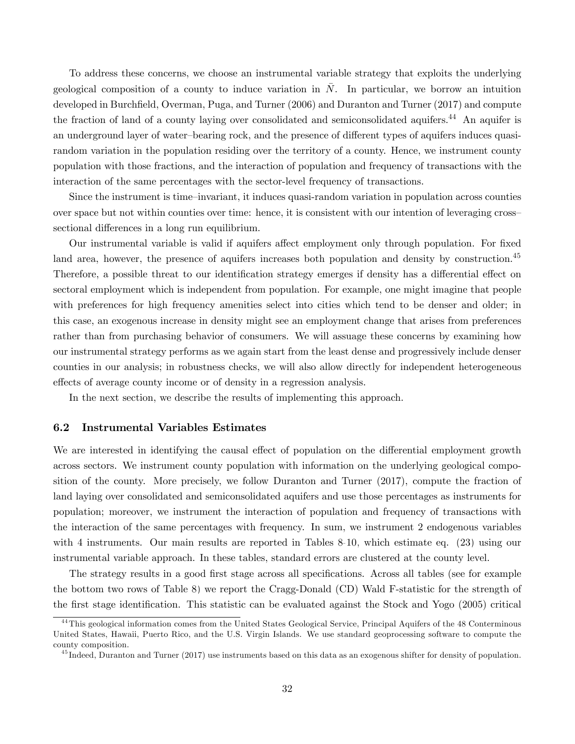To address these concerns, we choose an instrumental variable strategy that exploits the underlying geological composition of a county to induce variation in  $\overline{N}$ . In particular, we borrow an intuition developed in Burchfield, Overman, Puga, and Turner (2006) and Duranton and Turner (2017) and compute the fraction of land of a county laying over consolidated and semiconsolidated aquifers.<sup>44</sup> An aquifer is an underground layer of water-bearing rock, and the presence of different types of aquifers induces quasirandom variation in the population residing over the territory of a county. Hence, we instrument county population with those fractions, and the interaction of population and frequency of transactions with the interaction of the same percentages with the sector-level frequency of transactions.

Since the instrument is time–invariant, it induces quasi-random variation in population across counties over space but not within counties over time: hence, it is consistent with our intention of leveraging crosssectional differences in a long run equilibrium.

Our instrumental variable is valid if aquifers affect employment only through population. For fixed land area, however, the presence of aquifers increases both population and density by construction.<sup>45</sup> Therefore, a possible threat to our identification strategy emerges if density has a differential effect on sectoral employment which is independent from population. For example, one might imagine that people with preferences for high frequency amenities select into cities which tend to be denser and older; in this case, an exogenous increase in density might see an employment change that arises from preferences rather than from purchasing behavior of consumers. We will assuage these concerns by examining how our instrumental strategy performs as we again start from the least dense and progressively include denser counties in our analysis; in robustness checks, we will also allow directly for independent heterogeneous effects of average county income or of density in a regression analysis.

In the next section, we describe the results of implementing this approach.

### 6.2 Instrumental Variables Estimates

We are interested in identifying the causal effect of population on the differential employment growth across sectors. We instrument county population with information on the underlying geological composition of the county. More precisely, we follow Duranton and Turner (2017), compute the fraction of land laying over consolidated and semiconsolidated aquifers and use those percentages as instruments for population; moreover, we instrument the interaction of population and frequency of transactions with the interaction of the same percentages with frequency. In sum, we instrument 2 endogenous variables with 4 instruments. Our main results are reported in Tables [8-](#page-34-0)[10,](#page-36-0) which estimate eq. [\(23\)](#page-29-0) using our instrumental variable approach. In these tables, standard errors are clustered at the county level.

The strategy results in a good first stage across all specifications. Across all tables (see for example the bottom two rows of Table [8\)](#page-34-0) we report the Cragg-Donald (CD) Wald F-statistic for the strength of the first stage identification. This statistic can be evaluated against the Stock and Yogo (2005) critical

<sup>&</sup>lt;sup>44</sup>This geological information comes from the United States Geological Service, Principal Aquifers of the 48 Conterminous United States, Hawaii, Puerto Rico, and the U.S. Virgin Islands. We use standard geoprocessing software to compute the county composition.

 $^{45}$  Indeed, Duranton and Turner (2017) use instruments based on this data as an exogenous shifter for density of population.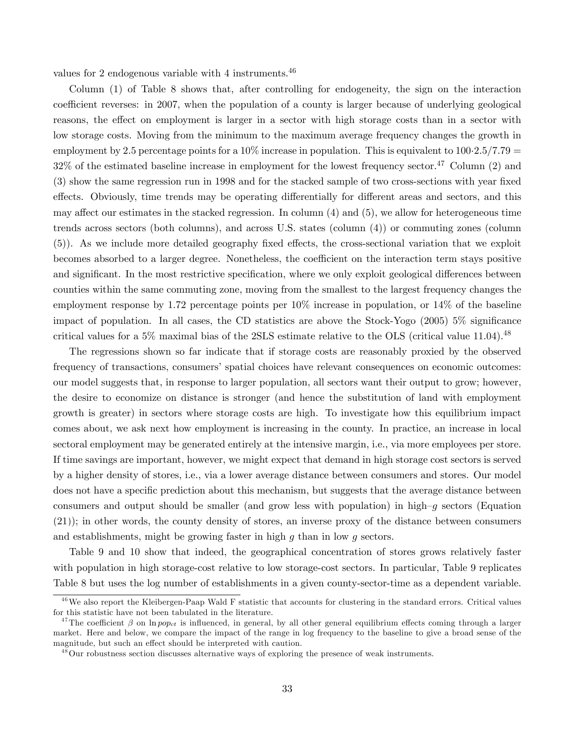values for 2 endogenous variable with 4 instruments.<sup>46</sup>

Column (1) of Table [8](#page-34-0) shows that, after controlling for endogeneity, the sign on the interaction coefficient reverses: in 2007, when the population of a county is larger because of underlying geological reasons, the effect on employment is larger in a sector with high storage costs than in a sector with low storage costs. Moving from the minimum to the maximum average frequency changes the growth in employment by 2.5 percentage points for a  $10\%$  increase in population. This is equivalent to  $100.2.5/7.79$  =  $32\%$  of the estimated baseline increase in employment for the lowest frequency sector.<sup>47</sup> Column (2) and (3) show the same regression run in 1998 and for the stacked sample of two cross-sections with year fixed effects. Obviously, time trends may be operating differentially for different areas and sectors, and this may affect our estimates in the stacked regression. In column  $(4)$  and  $(5)$ , we allow for heterogeneous time trends across sectors (both columns), and across U.S. states (column (4)) or commuting zones (column (5)). As we include more detailed geography fixed effects, the cross-sectional variation that we exploit becomes absorbed to a larger degree. Nonetheless, the coefficient on the interaction term stays positive and significant. In the most restrictive specification, where we only exploit geological differences between counties within the same commuting zone, moving from the smallest to the largest frequency changes the employment response by 1:72 percentage points per 10% increase in population, or 14% of the baseline impact of population. In all cases, the CD statistics are above the Stock-Yogo (2005)  $5\%$  significance critical values for a 5% maximal bias of the 2SLS estimate relative to the OLS (critical value 11.04).<sup>48</sup>

The regressions shown so far indicate that if storage costs are reasonably proxied by the observed frequency of transactions, consumers' spatial choices have relevant consequences on economic outcomes: our model suggests that, in response to larger population, all sectors want their output to grow; however, the desire to economize on distance is stronger (and hence the substitution of land with employment growth is greater) in sectors where storage costs are high. To investigate how this equilibrium impact comes about, we ask next how employment is increasing in the county. In practice, an increase in local sectoral employment may be generated entirely at the intensive margin, i.e., via more employees per store. If time savings are important, however, we might expect that demand in high storage cost sectors is served by a higher density of stores, i.e., via a lower average distance between consumers and stores. Our model does not have a specific prediction about this mechanism, but suggests that the average distance between consumers and output should be smaller (and grow less with population) in high- $g$  sectors (Equation [\(21\)](#page-28-1)); in other words, the county density of stores, an inverse proxy of the distance between consumers and establishments, might be growing faster in high  $g$  than in low  $g$  sectors.

Table [9](#page-35-0) and [10](#page-36-0) show that indeed, the geographical concentration of stores grows relatively faster with population in high storage-cost relative to low storage-cost sectors. In particular, Table [9](#page-35-0) replicates Table [8](#page-34-0) but uses the log number of establishments in a given county-sector-time as a dependent variable.

<sup>&</sup>lt;sup>46</sup>We also report the Kleibergen-Paap Wald F statistic that accounts for clustering in the standard errors. Critical values for this statistic have not been tabulated in the literature.

<sup>&</sup>lt;sup>47</sup>The coefficient  $\beta$  on ln pop<sub>ct</sub> is influenced, in general, by all other general equilibrium effects coming through a larger market. Here and below, we compare the impact of the range in log frequency to the baseline to give a broad sense of the magnitude, but such an effect should be interpreted with caution.

<sup>&</sup>lt;sup>48</sup>Our robustness section discusses alternative ways of exploring the presence of weak instruments.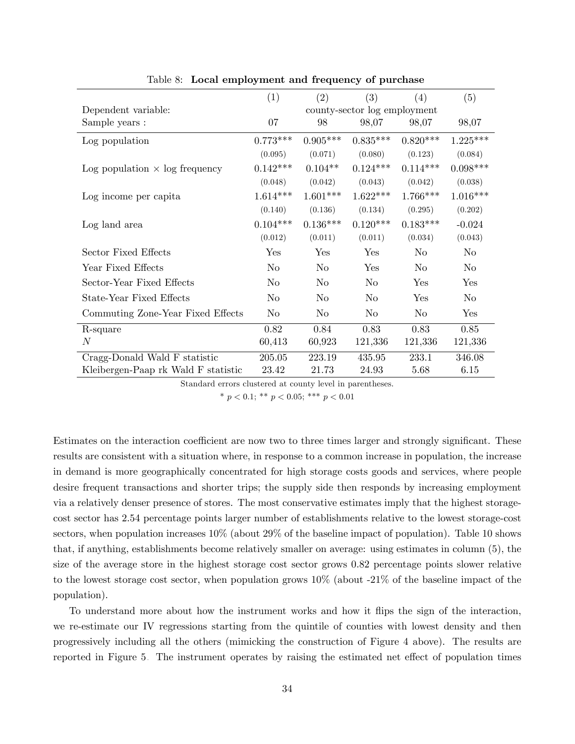|                                       | (1)            | (2)                          | (3)            | (4)            | (5)        |  |  |
|---------------------------------------|----------------|------------------------------|----------------|----------------|------------|--|--|
| Dependent variable:                   |                | county-sector log employment |                |                |            |  |  |
| Sample years :                        | 07             | 98                           | 98,07          | 98,07          | 98,07      |  |  |
| Log population                        | $0.773***$     | $0.905***$                   | $0.835***$     | $0.820***$     | $1.225***$ |  |  |
|                                       | (0.095)        | (0.071)                      | (0.080)        | (0.123)        | (0.084)    |  |  |
| Log population $\times$ log frequency | $0.142***$     | $0.104**$                    | $0.124***$     | $0.114***$     | $0.098***$ |  |  |
|                                       | (0.048)        | (0.042)                      | (0.043)        | (0.042)        | (0.038)    |  |  |
| Log income per capita                 | $1.614***$     | $1.601***$                   | $1.622***$     | $1.766***$     | $1.016***$ |  |  |
|                                       | (0.140)        | (0.136)                      | (0.134)        | (0.295)        | (0.202)    |  |  |
| Log land area                         | $0.104***$     | $0.136***$                   | $0.120***$     | $0.183***$     | $-0.024$   |  |  |
|                                       | (0.012)        | (0.011)                      | (0.011)        | (0.034)        | (0.043)    |  |  |
| Sector Fixed Effects                  | Yes            | Yes                          | Yes            | No             | No         |  |  |
| Year Fixed Effects                    | N <sub>o</sub> | No                           | Yes            | N <sub>o</sub> | $\rm No$   |  |  |
| Sector-Year Fixed Effects             | No             | No                           | N <sub>o</sub> | Yes            | Yes        |  |  |
| State-Year Fixed Effects              | No             | No                           | N <sub>o</sub> | Yes            | No         |  |  |
| Commuting Zone-Year Fixed Effects     | $\rm No$       | $\rm No$                     | $\rm No$       | $\rm No$       | Yes        |  |  |
| R-square                              | 0.82           | 0.84                         | 0.83           | 0.83           | 0.85       |  |  |
| $\boldsymbol{N}$                      | 60,413         | 60,923                       | 121,336        | 121,336        | 121,336    |  |  |
| Cragg-Donald Wald F statistic         | 205.05         | 223.19                       | 435.95         | 233.1          | 346.08     |  |  |
| Kleibergen-Paap rk Wald F statistic   | 23.42          | 21.73                        | 24.93          | 5.68           | 6.15       |  |  |

<span id="page-34-0"></span>Table 8: Local employment and frequency of purchase

Standard errors clustered at county level in parentheses.

\*  $p < 0.1$ ; \*\*  $p < 0.05$ ; \*\*\*  $p < 0.01$ 

Estimates on the interaction coefficient are now two to three times larger and strongly significant. These results are consistent with a situation where, in response to a common increase in population, the increase in demand is more geographically concentrated for high storage costs goods and services, where people desire frequent transactions and shorter trips; the supply side then responds by increasing employment via a relatively denser presence of stores. The most conservative estimates imply that the highest storagecost sector has 2:54 percentage points larger number of establishments relative to the lowest storage-cost sectors, when population increases 10% (about 29% of the baseline impact of population). Table [10](#page-36-0) shows that, if anything, establishments become relatively smaller on average: using estimates in column (5), the size of the average store in the highest storage cost sector grows 0:82 percentage points slower relative to the lowest storage cost sector, when population grows 10% (about -21% of the baseline impact of the population).

To understand more about how the instrument works and how it áips the sign of the interaction, we re-estimate our IV regressions starting from the quintile of counties with lowest density and then progressively including all the others (mimicking the construction of Figure [4](#page-31-0) above). The results are reported in Figure [5.](#page-36-1) The instrument operates by raising the estimated net effect of population times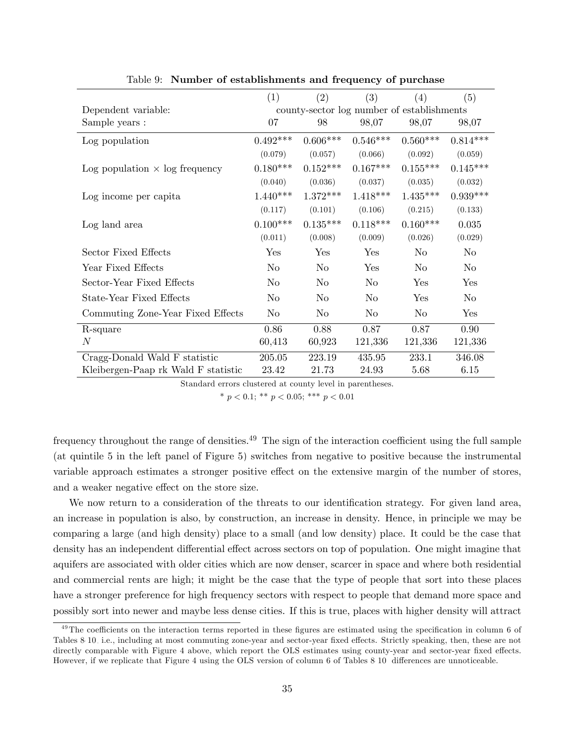|                                       | (1)            | (2)            | (3)        | (4)                                        | (5)        |
|---------------------------------------|----------------|----------------|------------|--------------------------------------------|------------|
| Dependent variable:                   |                |                |            | county-sector log number of establishments |            |
| Sample years :                        | 07             | 98             | 98,07      | 98,07                                      | 98,07      |
| Log population                        | $0.492***$     | $0.606***$     | $0.546***$ | $0.560***$                                 | $0.814***$ |
|                                       | (0.079)        | (0.057)        | (0.066)    | (0.092)                                    | (0.059)    |
| Log population $\times$ log frequency | $0.180***$     | $0.152***$     | $0.167***$ | $0.155***$                                 | $0.145***$ |
|                                       | (0.040)        | (0.036)        | (0.037)    | (0.035)                                    | (0.032)    |
| Log income per capita                 | $1.440***$     | $1.372***$     | $1.418***$ | $1.435***$                                 | $0.939***$ |
|                                       | (0.117)        | (0.101)        | (0.106)    | (0.215)                                    | (0.133)    |
| Log land area                         | $0.100***$     | $0.135***$     | $0.118***$ | $0.160***$                                 | 0.035      |
|                                       | (0.011)        | (0.008)        | (0.009)    | (0.026)                                    | (0.029)    |
| Sector Fixed Effects                  | Yes            | Yes            | Yes        | No                                         | No         |
| Year Fixed Effects                    | N <sub>o</sub> | No             | Yes        | N <sub>o</sub>                             | No         |
| Sector-Year Fixed Effects             | No             | No             | No.        | Yes                                        | Yes        |
| State-Year Fixed Effects              | No             | No             | No         | Yes                                        | No         |
| Commuting Zone-Year Fixed Effects     | N <sub>o</sub> | N <sub>o</sub> | $\rm No$   | No                                         | Yes        |
| R-square                              | 0.86           | 0.88           | 0.87       | 0.87                                       | 0.90       |
| $\,N$                                 | 60,413         | 60,923         | 121,336    | 121,336                                    | 121,336    |
| Cragg-Donald Wald F statistic         | 205.05         | 223.19         | 435.95     | 233.1                                      | 346.08     |
| Kleibergen-Paap rk Wald F statistic   | 23.42          | 21.73          | 24.93      | 5.68                                       | 6.15       |

<span id="page-35-0"></span>Table 9: Number of establishments and frequency of purchase

Standard errors clustered at county level in parentheses.

\*  $p < 0.1$ ; \*\*  $p < 0.05$ ; \*\*\*  $p < 0.01$ 

frequency throughout the range of densities.<sup>49</sup> The sign of the interaction coefficient using the full sample (at quintile 5 in the left panel of Figure [5\)](#page-36-1) switches from negative to positive because the instrumental variable approach estimates a stronger positive effect on the extensive margin of the number of stores, and a weaker negative effect on the store size.

We now return to a consideration of the threats to our identification strategy. For given land area, an increase in population is also, by construction, an increase in density. Hence, in principle we may be comparing a large (and high density) place to a small (and low density) place. It could be the case that density has an independent differential effect across sectors on top of population. One might imagine that aquifers are associated with older cities which are now denser, scarcer in space and where both residential and commercial rents are high; it might be the case that the type of people that sort into these places have a stronger preference for high frequency sectors with respect to people that demand more space and possibly sort into newer and maybe less dense cities. If this is true, places with higher density will attract

 $49$ The coefficients on the interaction terms reported in these figures are estimated using the specification in column 6 of Tables [8](#page-34-0)[-10,](#page-36-0) i.e., including at most commuting zone-year and sector-year fixed effects. Strictly speaking, then, these are not directly comparable with Figure [4](#page-31-0) above, which report the OLS estimates using county-year and sector-year fixed effects. However, if we replicate that Figure [4](#page-31-0) using the OLS version of column 6 of Tables [8](#page-34-0)[-10,](#page-36-0) differences are unnoticeable.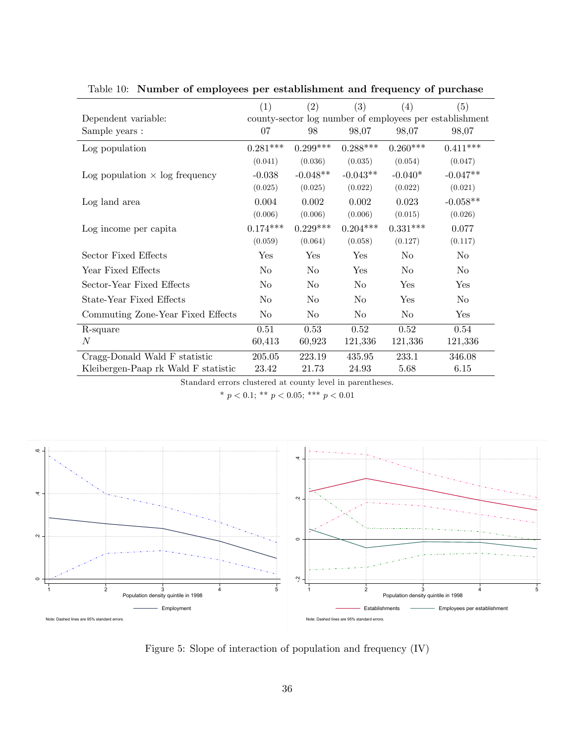|                                       | (1)            | (2)            | (3)            | (4)            | (5)                                                     |
|---------------------------------------|----------------|----------------|----------------|----------------|---------------------------------------------------------|
| Dependent variable:                   |                |                |                |                | county-sector log number of employees per establishment |
| Sample years :                        | 07             | 98             | 98,07          | 98,07          | 98,07                                                   |
| Log population                        | $0.281***$     | $0.299***$     | $0.288***$     | $0.260***$     | $0.411***$                                              |
|                                       | (0.041)        | (0.036)        | (0.035)        | (0.054)        | (0.047)                                                 |
| Log population $\times$ log frequency | $-0.038$       | $-0.048**$     | $-0.043**$     | $-0.040*$      | $-0.047**$                                              |
|                                       | (0.025)        | (0.025)        | (0.022)        | (0.022)        | (0.021)                                                 |
| Log land area                         | 0.004          | 0.002          | 0.002          | 0.023          | $-0.058**$                                              |
|                                       | (0.006)        | (0.006)        | (0.006)        | (0.015)        | (0.026)                                                 |
| Log income per capita                 | $0.174***$     | $0.229***$     | $0.204***$     | $0.331***$     | 0.077                                                   |
|                                       | (0.059)        | (0.064)        | (0.058)        | (0.127)        | (0.117)                                                 |
| Sector Fixed Effects                  | Yes            | Yes            | Yes            | No             | N <sub>o</sub>                                          |
| Year Fixed Effects                    | N <sub>o</sub> | N <sub>o</sub> | Yes            | N <sub>0</sub> | N <sub>0</sub>                                          |
| Sector-Year Fixed Effects             | N <sub>o</sub> | N <sub>o</sub> | N <sub>0</sub> | Yes            | Yes                                                     |
| State-Year Fixed Effects              | N <sub>o</sub> | N <sub>o</sub> | N <sub>o</sub> | Yes            | N <sub>o</sub>                                          |
| Commuting Zone-Year Fixed Effects     | N <sub>o</sub> | N <sub>o</sub> | N <sub>0</sub> | N <sub>o</sub> | Yes                                                     |
| R-square                              | 0.51           | 0.53           | 0.52           | 0.52           | 0.54                                                    |
| $\boldsymbol{N}$                      | 60,413         | 60,923         | 121,336        | 121,336        | 121,336                                                 |
| Cragg-Donald Wald F statistic         | 205.05         | 223.19         | 435.95         | 233.1          | 346.08                                                  |
| Kleibergen-Paap rk Wald F statistic   | 23.42          | 21.73          | 24.93          | 5.68           | 6.15                                                    |

<span id="page-36-0"></span>Table 10: Number of employees per establishment and frequency of purchase

Standard errors clustered at county level in parentheses.

\*  $p < 0.1$ ; \*\*  $p < 0.05$ ; \*\*\*  $p < 0.01$ 



<span id="page-36-1"></span>Figure 5: Slope of interaction of population and frequency (IV)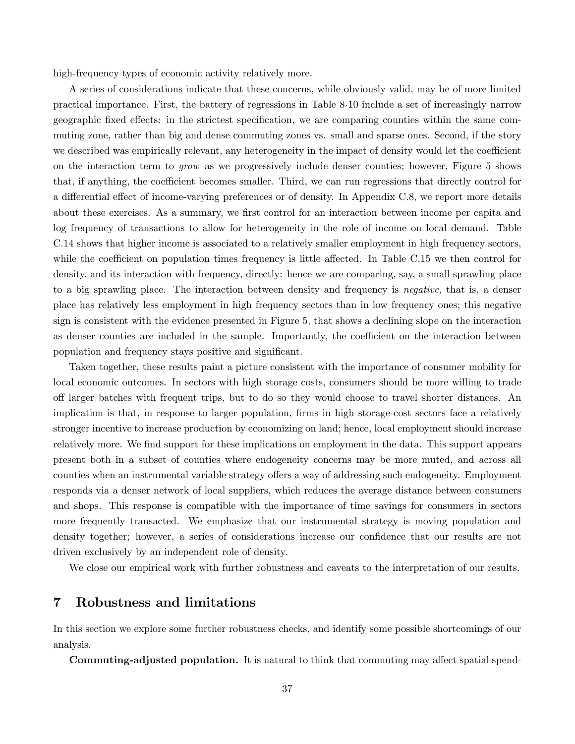high-frequency types of economic activity relatively more.

A series of considerations indicate that these concerns, while obviously valid, may be of more limited practical importance. First, the battery of regressions in Table [8-](#page-34-0)[10](#page-36-0) include a set of increasingly narrow geographic fixed effects: in the strictest specification, we are comparing counties within the same commuting zone, rather than big and dense commuting zones vs. small and sparse ones. Second, if the story we described was empirically relevant, any heterogeneity in the impact of density would let the coefficient on the interaction term to grow as we progressively include denser counties; however, Figure [5](#page-36-1) shows that, if anything, the coefficient becomes smaller. Third, we can run regressions that directly control for a differential effect of income-varying preferences or of density. In Appendix [C.8,](#page-68-0) we report more details about these exercises. As a summary, we first control for an interaction between income per capita and log frequency of transactions to allow for heterogeneity in the role of income on local demand. Table [C.14](#page-72-0) shows that higher income is associated to a relatively smaller employment in high frequency sectors, while the coefficient on population times frequency is little affected. In Table  $C.15$  we then control for density, and its interaction with frequency, directly: hence we are comparing, say, a small sprawling place to a big sprawling place. The interaction between density and frequency is negative, that is, a denser place has relatively less employment in high frequency sectors than in low frequency ones; this negative sign is consistent with the evidence presented in Figure [5,](#page-36-1) that shows a declining slope on the interaction as denser counties are included in the sample. Importantly, the coefficient on the interaction between population and frequency stays positive and significant.

Taken together, these results paint a picture consistent with the importance of consumer mobility for local economic outcomes. In sectors with high storage costs, consumers should be more willing to trade o§ larger batches with frequent trips, but to do so they would choose to travel shorter distances. An implication is that, in response to larger population, firms in high storage-cost sectors face a relatively stronger incentive to increase production by economizing on land; hence, local employment should increase relatively more. We find support for these implications on employment in the data. This support appears present both in a subset of counties where endogeneity concerns may be more muted, and across all counties when an instrumental variable strategy offers a way of addressing such endogeneity. Employment responds via a denser network of local suppliers, which reduces the average distance between consumers and shops. This response is compatible with the importance of time savings for consumers in sectors more frequently transacted. We emphasize that our instrumental strategy is moving population and density together; however, a series of considerations increase our confidence that our results are not driven exclusively by an independent role of density.

We close our empirical work with further robustness and caveats to the interpretation of our results.

## 7 Robustness and limitations

In this section we explore some further robustness checks, and identify some possible shortcomings of our analysis.

Commuting-adjusted population. It is natural to think that commuting may affect spatial spend-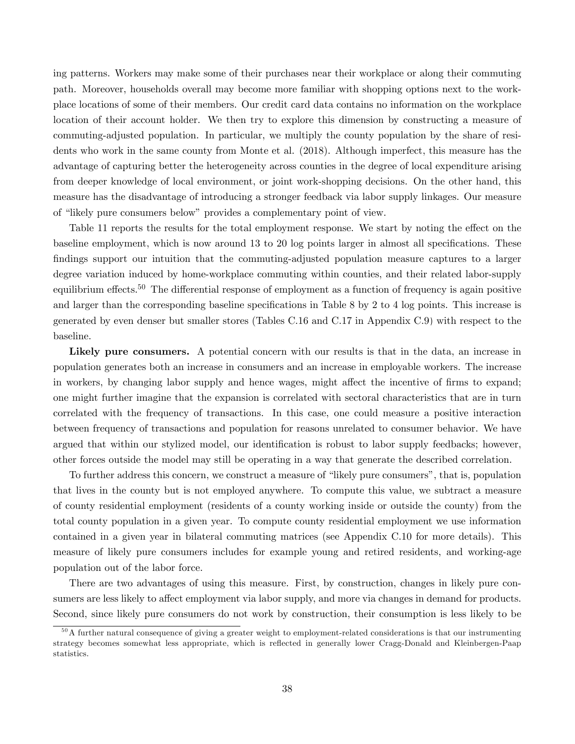ing patterns. Workers may make some of their purchases near their workplace or along their commuting path. Moreover, households overall may become more familiar with shopping options next to the workplace locations of some of their members. Our credit card data contains no information on the workplace location of their account holder. We then try to explore this dimension by constructing a measure of commuting-adjusted population. In particular, we multiply the county population by the share of residents who work in the same county from Monte et al. (2018). Although imperfect, this measure has the advantage of capturing better the heterogeneity across counties in the degree of local expenditure arising from deeper knowledge of local environment, or joint work-shopping decisions. On the other hand, this measure has the disadvantage of introducing a stronger feedback via labor supply linkages. Our measure of "likely pure consumers below" provides a complementary point of view.

Table [11](#page-39-0) reports the results for the total employment response. We start by noting the effect on the baseline employment, which is now around 13 to 20 log points larger in almost all specifications. These findings support our intuition that the commuting-adjusted population measure captures to a larger degree variation induced by home-workplace commuting within counties, and their related labor-supply equilibrium effects.<sup>50</sup> The differential response of employment as a function of frequency is again positive and larger than the corresponding baseline specifications in Table [8](#page-34-0) by 2 to 4 log points. This increase is generated by even denser but smaller stores (Tables [C.16](#page-74-0) and [C.17](#page-75-0) in Appendix [C.9\)](#page-73-1) with respect to the baseline.

Likely pure consumers. A potential concern with our results is that in the data, an increase in population generates both an increase in consumers and an increase in employable workers. The increase in workers, by changing labor supply and hence wages, might affect the incentive of firms to expand; one might further imagine that the expansion is correlated with sectoral characteristics that are in turn correlated with the frequency of transactions. In this case, one could measure a positive interaction between frequency of transactions and population for reasons unrelated to consumer behavior. We have argued that within our stylized model, our identification is robust to labor supply feedbacks; however, other forces outside the model may still be operating in a way that generate the described correlation.

To further address this concern, we construct a measure of "likely pure consumers", that is, population that lives in the county but is not employed anywhere. To compute this value, we subtract a measure of county residential employment (residents of a county working inside or outside the county) from the total county population in a given year. To compute county residential employment we use information contained in a given year in bilateral commuting matrices (see Appendix [C.10](#page-74-1) for more details). This measure of likely pure consumers includes for example young and retired residents, and working-age population out of the labor force.

There are two advantages of using this measure. First, by construction, changes in likely pure consumers are less likely to affect employment via labor supply, and more via changes in demand for products. Second, since likely pure consumers do not work by construction, their consumption is less likely to be

 $50$ A further natural consequence of giving a greater weight to employment-related considerations is that our instrumenting strategy becomes somewhat less appropriate, which is reflected in generally lower Cragg-Donald and Kleinbergen-Paap statistics.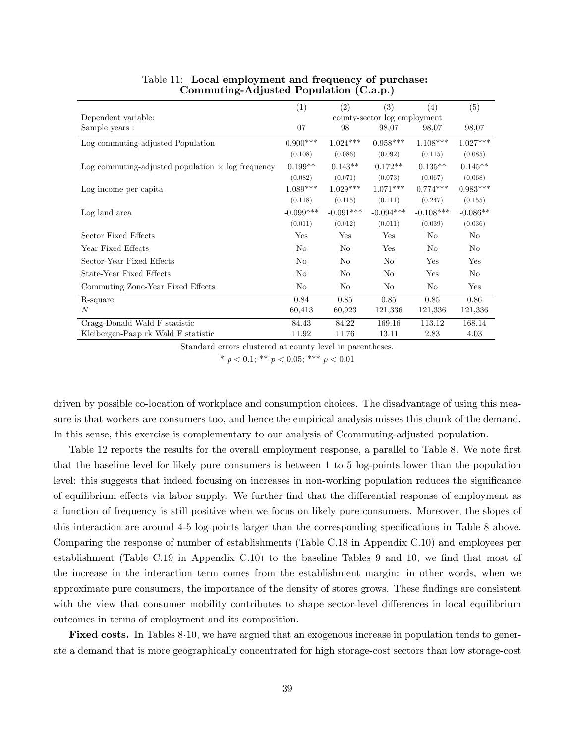|                                                          | (1)         | (2)            | $\left(3\right)$             | (4)            | (5)        |
|----------------------------------------------------------|-------------|----------------|------------------------------|----------------|------------|
| Dependent variable:                                      |             |                | county-sector log employment |                |            |
| Sample years :                                           | 07          | 98             | 98,07                        | 98,07          | 98,07      |
| Log commuting-adjusted Population                        | $0.900***$  | $1.024***$     | $0.958***$                   | $1.108***$     | $1.027***$ |
|                                                          | (0.108)     | (0.086)        | (0.092)                      | (0.115)        | (0.085)    |
| Log commuting-adjusted population $\times$ log frequency | $0.199**$   | $0.143**$      | $0.172**$                    | $0.135**$      | $0.145**$  |
|                                                          | (0.082)     | (0.071)        | (0.073)                      | (0.067)        | (0.068)    |
| Log income per capita                                    | $1.089***$  | $1.029***$     | $1.071***$                   | $0.774***$     | $0.983***$ |
|                                                          | (0.118)     | (0.115)        | (0.111)                      | (0.247)        | (0.155)    |
| Log land area                                            | $-0.099***$ | $-0.091***$    | $-0.094***$                  | $-0.108***$    | $-0.086**$ |
|                                                          | (0.011)     | (0.012)        | (0.011)                      | (0.039)        | (0.036)    |
| Sector Fixed Effects                                     | Yes         | Yes            | Yes                          | No             | No         |
| Year Fixed Effects                                       | No          | No             | Yes                          | N <sub>0</sub> | No         |
| Sector-Year Fixed Effects                                | No          | No             | No                           | Yes            | Yes        |
| State-Year Fixed Effects                                 | No          | N <sub>o</sub> | N <sub>o</sub>               | Yes            | No         |
| Commuting Zone-Year Fixed Effects                        | No          | No             | No                           | No             | Yes        |
| R-square                                                 | 0.84        | 0.85           | 0.85                         | 0.85           | 0.86       |
| $\overline{N}$                                           | 60,413      | 60,923         | 121,336                      | 121,336        | 121,336    |
| Cragg-Donald Wald F statistic                            | 84.43       | 84.22          | 169.16                       | 113.12         | 168.14     |
| Kleibergen-Paap rk Wald F statistic                      | 11.92       | 11.76          | 13.11                        | 2.83           | 4.03       |

#### <span id="page-39-0"></span>Table 11: Local employment and frequency of purchase: Commuting-Adjusted Population (C.a.p.)

Standard errors clustered at county level in parentheses.

\*  $p < 0.1$ ; \*\*  $p < 0.05$ ; \*\*\*  $p < 0.01$ 

driven by possible co-location of workplace and consumption choices. The disadvantage of using this measure is that workers are consumers too, and hence the empirical analysis misses this chunk of the demand. In this sense, this exercise is complementary to our analysis of Ccommuting-adjusted population.

Table [12](#page-40-0) reports the results for the overall employment response, a parallel to Table [8.](#page-34-0) We note first that the baseline level for likely pure consumers is between 1 to 5 log-points lower than the population level: this suggests that indeed focusing on increases in non-working population reduces the significance of equilibrium effects via labor supply. We further find that the differential response of employment as a function of frequency is still positive when we focus on likely pure consumers. Moreover, the slopes of this interaction are around 4-5 log-points larger than the corresponding specifications in Table [8](#page-34-0) above. Comparing the response of number of establishments (Table [C.18](#page-76-0) in Appendix [C.10\)](#page-74-1) and employees per establishment (Table [C.19](#page-77-0) in Appendix [C.10\)](#page-74-1) to the baseline Tables [9](#page-35-0) and [10,](#page-36-0) we find that most of the increase in the interaction term comes from the establishment margin: in other words, when we approximate pure consumers, the importance of the density of stores grows. These findings are consistent with the view that consumer mobility contributes to shape sector-level differences in local equilibrium outcomes in terms of employment and its composition.

Fixed costs. In Tables [8-](#page-34-0)[10,](#page-36-0) we have argued that an exogenous increase in population tends to generate a demand that is more geographically concentrated for high storage-cost sectors than low storage-cost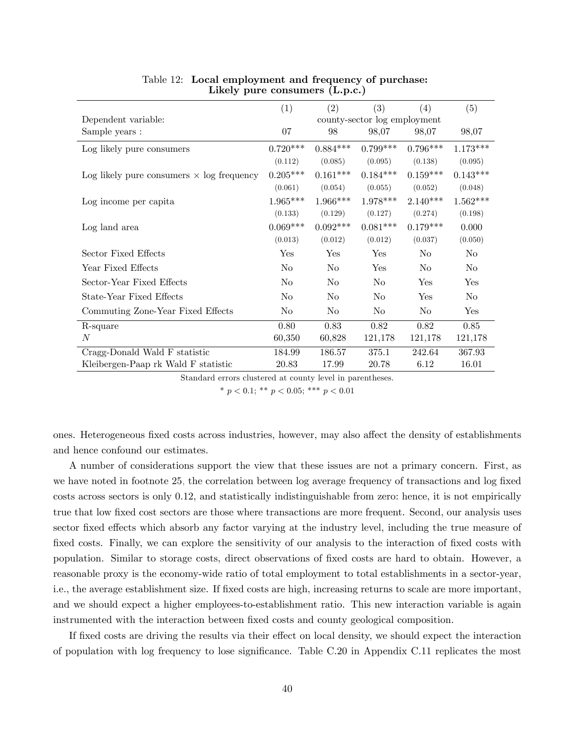|                                                  | (1)            | (2)            | (3)                          | (4)        | (5)            |
|--------------------------------------------------|----------------|----------------|------------------------------|------------|----------------|
| Dependent variable:                              |                |                | county-sector log employment |            |                |
| Sample years :                                   | 07             | 98             | 98,07                        | 98,07      | 98,07          |
| Log likely pure consumers                        | $0.720***$     | $0.884***$     | $0.799***$                   | $0.796***$ | $1.173***$     |
|                                                  | (0.112)        | (0.085)        | (0.095)                      | (0.138)    | (0.095)        |
| Log likely pure consumers $\times$ log frequency | $0.205***$     | $0.161***$     | $0.184***$                   | $0.159***$ | $0.143***$     |
|                                                  | (0.061)        | (0.054)        | (0.055)                      | (0.052)    | (0.048)        |
| Log income per capita                            | $1.965***$     | $1.966***$     | $1.978***$                   | $2.140***$ | $1.562***$     |
|                                                  | (0.133)        | (0.129)        | (0.127)                      | (0.274)    | (0.198)        |
| Log land area                                    | $0.069***$     | $0.092***$     | $0.081***$                   | $0.179***$ | 0.000          |
|                                                  | (0.013)        | (0.012)        | (0.012)                      | (0.037)    | (0.050)        |
| Sector Fixed Effects                             | Yes            | Yes            | <b>Yes</b>                   | No         | N <sub>o</sub> |
| Year Fixed Effects                               | No             | No             | Yes                          | No         | N <sub>0</sub> |
| Sector-Year Fixed Effects                        | N <sub>o</sub> | No             | N <sub>o</sub>               | Yes        | Yes            |
| State-Year Fixed Effects                         | No             | No             | No                           | Yes        | N <sub>o</sub> |
| Commuting Zone-Year Fixed Effects                | No.            | N <sub>0</sub> | N <sub>o</sub>               | No         | Yes            |
| R-square                                         | 0.80           | 0.83           | 0.82                         | 0.82       | 0.85           |
| N                                                | 60,350         | 60,828         | 121,178                      | 121,178    | 121,178        |
| Cragg-Donald Wald F statistic                    | 184.99         | 186.57         | 375.1                        | 242.64     | 367.93         |
| Kleibergen-Paap rk Wald F statistic              | 20.83          | 17.99          | 20.78                        | 6.12       | 16.01          |

#### <span id="page-40-0"></span>Table 12: Local employment and frequency of purchase: Likely pure consumers (L.p.c.)

Standard errors clustered at county level in parentheses.

\*  $p < 0.1$ ; \*\*  $p < 0.05$ ; \*\*\*  $p < 0.01$ 

ones. Heterogeneous fixed costs across industries, however, may also affect the density of establishments and hence confound our estimates.

A number of considerations support the view that these issues are not a primary concern. First, as we have noted in footnote [25,](#page-19-0) the correlation between log average frequency of transactions and log fixed costs across sectors is only 0.12, and statistically indistinguishable from zero: hence, it is not empirically true that low fixed cost sectors are those where transactions are more frequent. Second, our analysis uses sector fixed effects which absorb any factor varying at the industry level, including the true measure of fixed costs. Finally, we can explore the sensitivity of our analysis to the interaction of fixed costs with population. Similar to storage costs, direct observations of Öxed costs are hard to obtain. However, a reasonable proxy is the economy-wide ratio of total employment to total establishments in a sector-year, i.e., the average establishment size. If Öxed costs are high, increasing returns to scale are more important, and we should expect a higher employees-to-establishment ratio. This new interaction variable is again instrumented with the interaction between fixed costs and county geological composition.

If fixed costs are driving the results via their effect on local density, we should expect the interaction of population with log frequency to lose significance. Table [C.20](#page-78-0) in Appendix [C.11](#page-75-1) replicates the most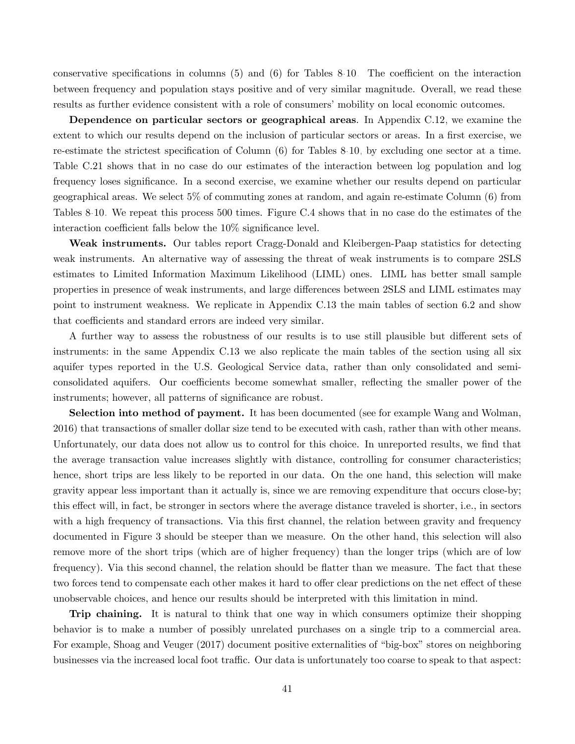conservative specifications in columns  $(5)$  and  $(6)$  for Tables [8-](#page-34-0)[10.](#page-36-0) The coefficient on the interaction between frequency and population stays positive and of very similar magnitude. Overall, we read these results as further evidence consistent with a role of consumers' mobility on local economic outcomes.

Dependence on particular sectors or geographical areas. In Appendix [C.12,](#page-76-1) we examine the extent to which our results depend on the inclusion of particular sectors or areas. In a first exercise, we re-estimate the strictest specification of Column (6) for Tables [8-](#page-34-0)[10,](#page-36-0) by excluding one sector at a time. Table [C.21](#page-78-1) shows that in no case do our estimates of the interaction between log population and log frequency loses significance. In a second exercise, we examine whether our results depend on particular geographical areas. We select 5% of commuting zones at random, and again re-estimate Column (6) from Tables [8-](#page-34-0)[10.](#page-36-0) We repeat this process 500 times. Figure [C.4](#page-77-1) shows that in no case do the estimates of the interaction coefficient falls below the  $10\%$  significance level.

Weak instruments. Our tables report Cragg-Donald and Kleibergen-Paap statistics for detecting weak instruments. An alternative way of assessing the threat of weak instruments is to compare 2SLS estimates to Limited Information Maximum Likelihood (LIML) ones. LIML has better small sample properties in presence of weak instruments, and large differences between 2SLS and LIML estimates may point to instrument weakness. We replicate in Appendix [C.13](#page-79-0) the main tables of section [6.2](#page-32-0) and show that coefficients and standard errors are indeed very similar.

A further way to assess the robustness of our results is to use still plausible but different sets of instruments: in the same Appendix [C.13](#page-79-0) we also replicate the main tables of the section using all six aquifer types reported in the U.S. Geological Service data, rather than only consolidated and semiconsolidated aquifers. Our coefficients become somewhat smaller, reflecting the smaller power of the instruments; however, all patterns of significance are robust.

Selection into method of payment. It has been documented (see for example Wang and Wolman, 2016) that transactions of smaller dollar size tend to be executed with cash, rather than with other means. Unfortunately, our data does not allow us to control for this choice. In unreported results, we find that the average transaction value increases slightly with distance, controlling for consumer characteristics; hence, short trips are less likely to be reported in our data. On the one hand, this selection will make gravity appear less important than it actually is, since we are removing expenditure that occurs close-by; this effect will, in fact, be stronger in sectors where the average distance traveled is shorter, i.e., in sectors with a high frequency of transactions. Via this first channel, the relation between gravity and frequency documented in Figure [3](#page-17-0) should be steeper than we measure. On the other hand, this selection will also remove more of the short trips (which are of higher frequency) than the longer trips (which are of low frequency). Via this second channel, the relation should be flatter than we measure. The fact that these two forces tend to compensate each other makes it hard to offer clear predictions on the net effect of these unobservable choices, and hence our results should be interpreted with this limitation in mind.

Trip chaining. It is natural to think that one way in which consumers optimize their shopping behavior is to make a number of possibly unrelated purchases on a single trip to a commercial area. For example, Shoag and Veuger (2017) document positive externalities of "big-box" stores on neighboring businesses via the increased local foot traffic. Our data is unfortunately too coarse to speak to that aspect: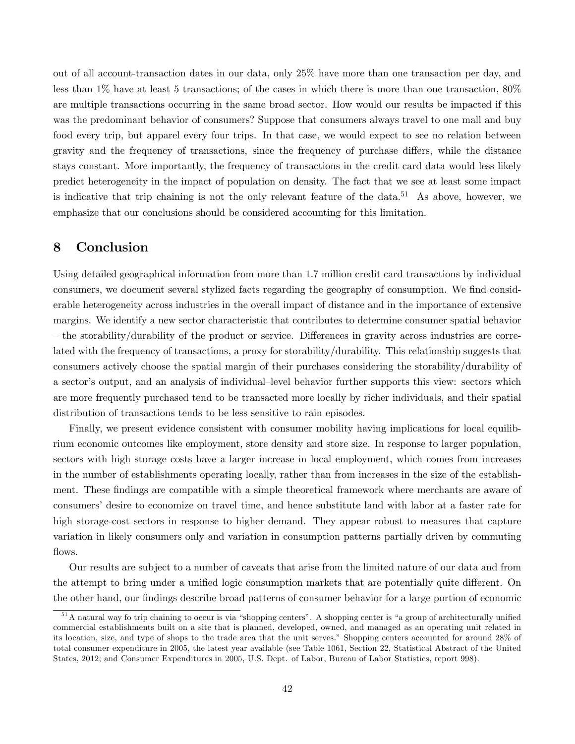out of all account-transaction dates in our data, only 25% have more than one transaction per day, and less than 1% have at least 5 transactions; of the cases in which there is more than one transaction, 80% are multiple transactions occurring in the same broad sector. How would our results be impacted if this was the predominant behavior of consumers? Suppose that consumers always travel to one mall and buy food every trip, but apparel every four trips. In that case, we would expect to see no relation between gravity and the frequency of transactions, since the frequency of purchase differs, while the distance stays constant. More importantly, the frequency of transactions in the credit card data would less likely predict heterogeneity in the impact of population on density. The fact that we see at least some impact is indicative that trip chaining is not the only relevant feature of the data.<sup>51</sup> As above, however, we emphasize that our conclusions should be considered accounting for this limitation.

### 8 Conclusion

Using detailed geographical information from more than 1.7 million credit card transactions by individual consumers, we document several stylized facts regarding the geography of consumption. We find considerable heterogeneity across industries in the overall impact of distance and in the importance of extensive margins. We identify a new sector characteristic that contributes to determine consumer spatial behavior – the storability/durability of the product or service. Differences in gravity across industries are correlated with the frequency of transactions, a proxy for storability/durability. This relationship suggests that consumers actively choose the spatial margin of their purchases considering the storability/durability of a sector's output, and an analysis of individual-level behavior further supports this view: sectors which are more frequently purchased tend to be transacted more locally by richer individuals, and their spatial distribution of transactions tends to be less sensitive to rain episodes.

Finally, we present evidence consistent with consumer mobility having implications for local equilibrium economic outcomes like employment, store density and store size. In response to larger population, sectors with high storage costs have a larger increase in local employment, which comes from increases in the number of establishments operating locally, rather than from increases in the size of the establishment. These findings are compatible with a simple theoretical framework where merchants are aware of consumers' desire to economize on travel time, and hence substitute land with labor at a faster rate for high storage-cost sectors in response to higher demand. They appear robust to measures that capture variation in likely consumers only and variation in consumption patterns partially driven by commuting flows.

Our results are subject to a number of caveats that arise from the limited nature of our data and from the attempt to bring under a unified logic consumption markets that are potentially quite different. On the other hand, our findings describe broad patterns of consumer behavior for a large portion of economic

 $51A$  natural way fo trip chaining to occur is via "shopping centers". A shopping center is "a group of architecturally unified commercial establishments built on a site that is planned, developed, owned, and managed as an operating unit related in its location, size, and type of shops to the trade area that the unit serves.î Shopping centers accounted for around 28% of total consumer expenditure in 2005, the latest year available (see Table 1061, Section 22, Statistical Abstract of the United States, 2012; and Consumer Expenditures in 2005, U.S. Dept. of Labor, Bureau of Labor Statistics, report 998).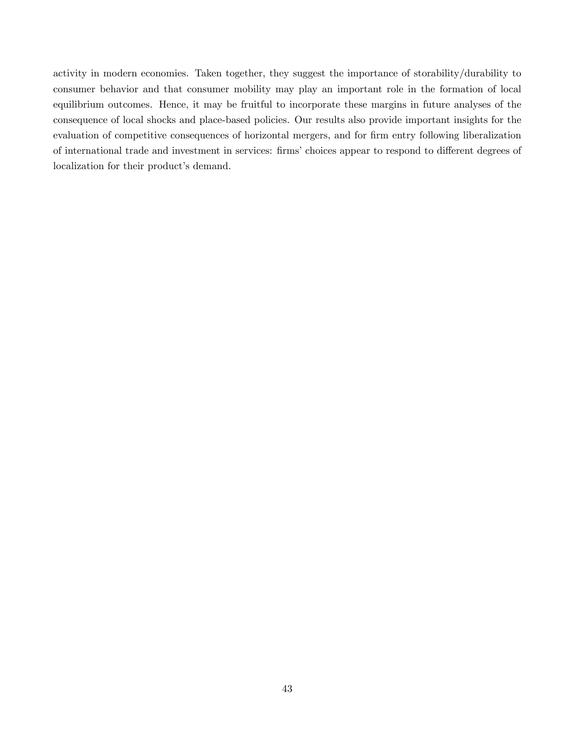activity in modern economies. Taken together, they suggest the importance of storability/durability to consumer behavior and that consumer mobility may play an important role in the formation of local equilibrium outcomes. Hence, it may be fruitful to incorporate these margins in future analyses of the consequence of local shocks and place-based policies. Our results also provide important insights for the evaluation of competitive consequences of horizontal mergers, and for firm entry following liberalization of international trade and investment in services: firms' choices appear to respond to different degrees of localization for their product's demand.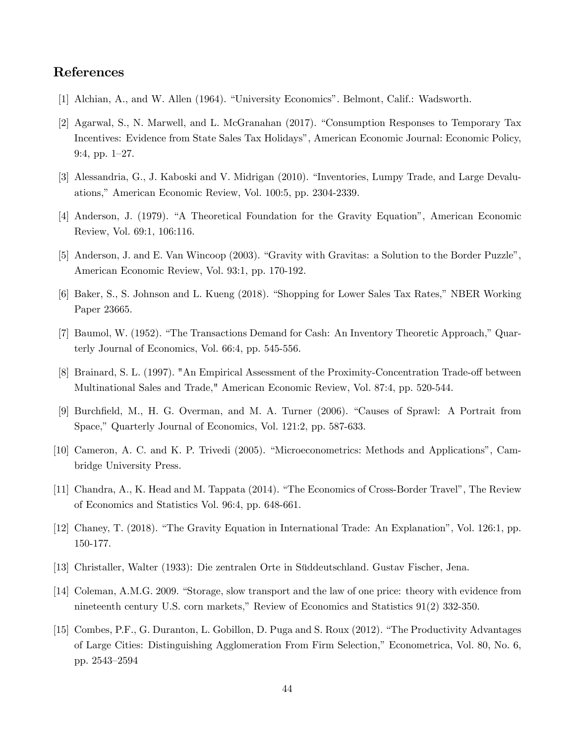## References

- [1] Alchian, A., and W. Allen (1964). "University Economics". Belmont, Calif.: Wadsworth.
- [2] Agarwal, S., N. Marwell, and L. McGranahan (2017). "Consumption Responses to Temporary Tax Incentives: Evidence from State Sales Tax Holidaysî, American Economic Journal: Economic Policy, 9:4, pp. 1-27.
- [3] Alessandria, G., J. Kaboski and V. Midrigan (2010). "Inventories, Lumpy Trade, and Large Devaluations," American Economic Review, Vol. 100:5, pp. 2304-2339.
- [4] Anderson, J. (1979). "A Theoretical Foundation for the Gravity Equation", American Economic Review, Vol. 69:1, 106:116.
- [5] Anderson, J. and E. Van Wincoop (2003). "Gravity with Gravitas: a Solution to the Border Puzzle", American Economic Review, Vol. 93:1, pp. 170-192.
- [6] Baker, S., S. Johnson and L. Kueng (2018). "Shopping for Lower Sales Tax Rates," NBER Working Paper 23665.
- [7] Baumol, W. (1952). "The Transactions Demand for Cash: An Inventory Theoretic Approach," Quarterly Journal of Economics, Vol. 66:4, pp. 545-556.
- [8] Brainard, S. L. (1997). "An Empirical Assessment of the Proximity-Concentration Trade-off between Multinational Sales and Trade," American Economic Review, Vol. 87:4, pp. 520-544.
- [9] Burchfield, M., H. G. Overman, and M. A. Turner (2006). "Causes of Sprawl: A Portrait from Space," Quarterly Journal of Economics, Vol. 121:2, pp. 587-633.
- [10] Cameron, A. C. and K. P. Trivedi (2005). "Microeconometrics: Methods and Applications", Cambridge University Press.
- [11] Chandra, A., K. Head and M. Tappata (2014). "The Economics of Cross-Border Travel", The Review of Economics and Statistics Vol. 96:4, pp. 648-661.
- [12] Chaney, T. (2018). "The Gravity Equation in International Trade: An Explanation", Vol. 126:1, pp. 150-177.
- [13] Christaller, Walter (1933): Die zentralen Orte in Süddeutschland. Gustav Fischer, Jena.
- [14] Coleman, A.M.G. 2009. "Storage, slow transport and the law of one price: theory with evidence from nineteenth century U.S. corn markets," Review of Economics and Statistics  $91(2)$  332-350.
- [15] Combes, P.F., G. Duranton, L. Gobillon, D. Puga and S. Roux (2012). "The Productivity Advantages of Large Cities: Distinguishing Agglomeration From Firm Selection," Econometrica, Vol. 80, No. 6, pp. 2543–2594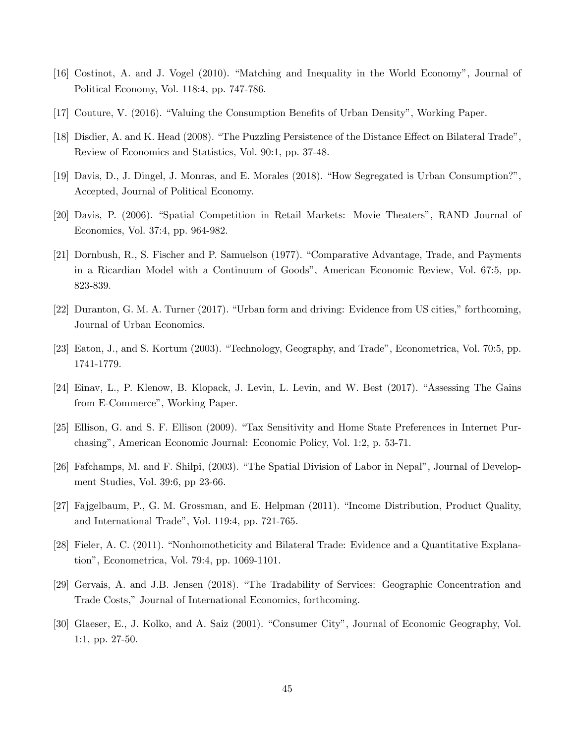- [16] Costinot, A. and J. Vogel (2010). "Matching and Inequality in the World Economy", Journal of Political Economy, Vol. 118:4, pp. 747-786.
- [17] Couture, V. (2016). "Valuing the Consumption Benefits of Urban Density", Working Paper.
- [18] Disdier, A. and K. Head (2008). "The Puzzling Persistence of the Distance Effect on Bilateral Trade", Review of Economics and Statistics, Vol. 90:1, pp. 37-48.
- [19] Davis, D., J. Dingel, J. Monras, and E. Morales (2018). "How Segregated is Urban Consumption?", Accepted, Journal of Political Economy.
- [20] Davis, P. (2006). "Spatial Competition in Retail Markets: Movie Theaters", RAND Journal of Economics, Vol. 37:4, pp. 964-982.
- [21] Dornbush, R., S. Fischer and P. Samuelson (1977). "Comparative Advantage, Trade, and Payments in a Ricardian Model with a Continuum of Goodsî, American Economic Review, Vol. 67:5, pp. 823-839.
- [22] Duranton, G. M. A. Turner (2017). "Urban form and driving: Evidence from US cities," forthcoming, Journal of Urban Economics.
- [23] Eaton, J., and S. Kortum (2003). "Technology, Geography, and Trade", Econometrica, Vol. 70:5, pp. 1741-1779.
- [24] Einav, L., P. Klenow, B. Klopack, J. Levin, L. Levin, and W. Best (2017). "Assessing The Gains from E-Commerce", Working Paper.
- [25] Ellison, G. and S. F. Ellison (2009). "Tax Sensitivity and Home State Preferences in Internet Purchasingî, American Economic Journal: Economic Policy, Vol. 1:2, p. 53-71.
- [26] Fafchamps, M. and F. Shilpi, (2003). "The Spatial Division of Labor in Nepal", Journal of Development Studies, Vol. 39:6, pp 23-66.
- [27] Fajgelbaum, P., G. M. Grossman, and E. Helpman (2011). "Income Distribution, Product Quality, and International Trade", Vol. 119:4, pp. 721-765.
- [28] Fieler, A. C. (2011). "Nonhomotheticity and Bilateral Trade: Evidence and a Quantitative Explanationî, Econometrica, Vol. 79:4, pp. 1069-1101.
- [29] Gervais, A. and J.B. Jensen (2018). "The Tradability of Services: Geographic Concentration and Trade Costs," Journal of International Economics, forthcoming.
- [30] Glaeser, E., J. Kolko, and A. Saiz (2001). "Consumer City", Journal of Economic Geography, Vol. 1:1, pp. 27-50.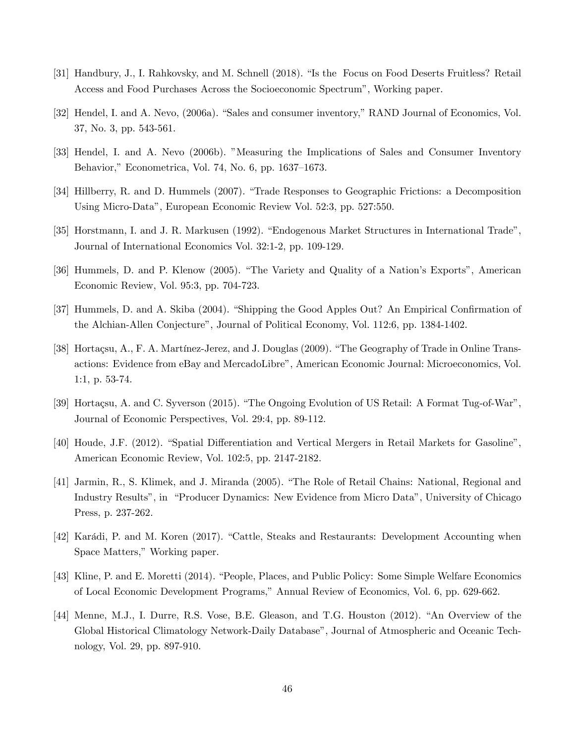- [31] Handbury, J., I. Rahkovsky, and M. Schnell (2018). "Is the Focus on Food Deserts Fruitless? Retail Access and Food Purchases Across the Socioeconomic Spectrum<sup>n</sup>, Working paper.
- [32] Hendel, I. and A. Nevo, (2006a). "Sales and consumer inventory," RAND Journal of Economics, Vol. 37, No. 3, pp. 543-561.
- [33] Hendel, I. and A. Nevo (2006b). "Measuring the Implications of Sales and Consumer Inventory Behavior," Econometrica, Vol. 74, No. 6, pp.  $1637-1673$ .
- [34] Hillberry, R. and D. Hummels (2007). "Trade Responses to Geographic Frictions: a Decomposition Using Micro-Dataî, European Economic Review Vol. 52:3, pp. 527:550.
- [35] Horstmann, I. and J. R. Markusen (1992). "Endogenous Market Structures in International Trade", Journal of International Economics Vol. 32:1-2, pp. 109-129.
- [36] Hummels, D. and P. Klenow (2005). "The Variety and Quality of a Nation's Exports", American Economic Review, Vol. 95:3, pp. 704-723.
- [37] Hummels, D. and A. Skiba (2004). "Shipping the Good Apples Out? An Empirical Confirmation of the Alchian-Allen Conjecture", Journal of Political Economy, Vol. 112:6, pp. 1384-1402.
- [38] Hortaçsu, A., F. A. Martínez-Jerez, and J. Douglas (2009). "The Geography of Trade in Online Transactions: Evidence from eBay and MercadoLibreî, American Economic Journal: Microeconomics, Vol. 1:1, p. 53-74.
- [39] Hortaçsu, A. and C. Syverson (2015). "The Ongoing Evolution of US Retail: A Format Tug-of-War", Journal of Economic Perspectives, Vol. 29:4, pp. 89-112.
- [40] Houde, J.F. (2012). "Spatial Differentiation and Vertical Mergers in Retail Markets for Gasoline", American Economic Review, Vol. 102:5, pp. 2147-2182.
- [41] Jarmin, R., S. Klimek, and J. Miranda (2005). "The Role of Retail Chains: National, Regional and Industry Results", in "Producer Dynamics: New Evidence from Micro Data", University of Chicago Press, p. 237-262.
- [42] Karádi, P. and M. Koren (2017). "Cattle, Steaks and Restaurants: Development Accounting when Space Matters," Working paper.
- [43] Kline, P. and E. Moretti (2014). "People, Places, and Public Policy: Some Simple Welfare Economics of Local Economic Development Programs," Annual Review of Economics, Vol. 6, pp. 629-662.
- [44] Menne, M.J., I. Durre, R.S. Vose, B.E. Gleason, and T.G. Houston (2012). "An Overview of the Global Historical Climatology Network-Daily Database", Journal of Atmospheric and Oceanic Technology, Vol. 29, pp. 897-910.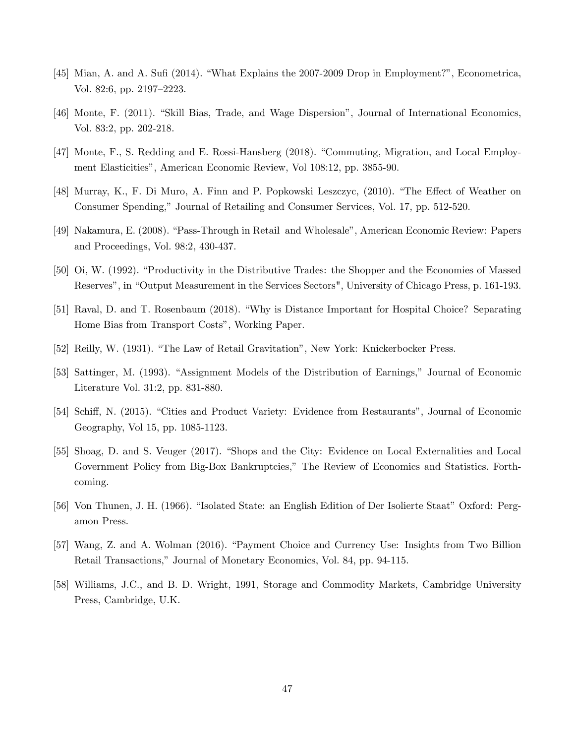- [45] Mian, A. and A. Sufi (2014). "What Explains the 2007-2009 Drop in Employment?", Econometrica, Vol. 82:6, pp.  $2197-2223$ .
- [46] Monte, F. (2011). "Skill Bias, Trade, and Wage Dispersion", Journal of International Economics, Vol. 83:2, pp. 202-218.
- [47] Monte, F., S. Redding and E. Rossi-Hansberg (2018). "Commuting, Migration, and Local Employment Elasticitiesî, American Economic Review, Vol 108:12, pp. 3855-90.
- [48] Murray, K., F. Di Muro, A. Finn and P. Popkowski Leszczyc, (2010). "The Effect of Weather on Consumer Spending,î Journal of Retailing and Consumer Services, Vol. 17, pp. 512-520.
- [49] Nakamura, E. (2008). "Pass-Through in Retail and Wholesale", American Economic Review: Papers and Proceedings, Vol. 98:2, 430-437.
- [50] Oi, W. (1992). "Productivity in the Distributive Trades: the Shopper and the Economies of Massed Reserves", in "Output Measurement in the Services Sectors", University of Chicago Press, p. 161-193.
- [51] Raval, D. and T. Rosenbaum (2018). "Why is Distance Important for Hospital Choice? Separating Home Bias from Transport Costs", Working Paper.
- [52] Reilly, W. (1931). "The Law of Retail Gravitation", New York: Knickerbocker Press.
- [53] Sattinger, M. (1993). "Assignment Models of the Distribution of Earnings," Journal of Economic Literature Vol. 31:2, pp. 831-880.
- [54] Schiff, N. (2015). "Cities and Product Variety: Evidence from Restaurants", Journal of Economic Geography, Vol 15, pp. 1085-1123.
- [55] Shoag, D. and S. Veuger (2017). "Shops and the City: Evidence on Local Externalities and Local Government Policy from Big-Box Bankruptcies," The Review of Economics and Statistics. Forthcoming.
- [56] Von Thunen, J. H. (1966). "Isolated State: an English Edition of Der Isolierte Staat" Oxford: Pergamon Press.
- [57] Wang, Z. and A. Wolman (2016). "Payment Choice and Currency Use: Insights from Two Billion Retail Transactions," Journal of Monetary Economics, Vol. 84, pp. 94-115.
- [58] Williams, J.C., and B. D. Wright, 1991, Storage and Commodity Markets, Cambridge University Press, Cambridge, U.K.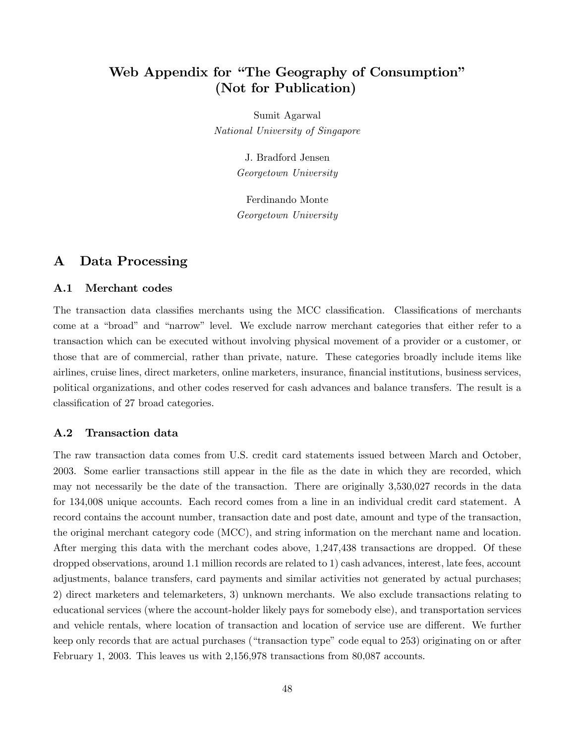# Web Appendix for "The Geography of Consumption" (Not for Publication)

Sumit Agarwal National University of Singapore

> J. Bradford Jensen Georgetown University

> Ferdinando Monte Georgetown University

## A Data Processing

#### A.1 Merchant codes

The transaction data classifies merchants using the MCC classification. Classifications of merchants come at a "broad" and "narrow" level. We exclude narrow merchant categories that either refer to a transaction which can be executed without involving physical movement of a provider or a customer, or those that are of commercial, rather than private, nature. These categories broadly include items like airlines, cruise lines, direct marketers, online marketers, insurance, Önancial institutions, business services, political organizations, and other codes reserved for cash advances and balance transfers. The result is a classification of 27 broad categories.

### A.2 Transaction data

The raw transaction data comes from U.S. credit card statements issued between March and October, 2003. Some earlier transactions still appear in the Öle as the date in which they are recorded, which may not necessarily be the date of the transaction. There are originally 3,530,027 records in the data for 134,008 unique accounts. Each record comes from a line in an individual credit card statement. A record contains the account number, transaction date and post date, amount and type of the transaction, the original merchant category code (MCC), and string information on the merchant name and location. After merging this data with the merchant codes above, 1,247,438 transactions are dropped. Of these dropped observations, around 1.1 million records are related to 1) cash advances, interest, late fees, account adjustments, balance transfers, card payments and similar activities not generated by actual purchases; 2) direct marketers and telemarketers, 3) unknown merchants. We also exclude transactions relating to educational services (where the account-holder likely pays for somebody else), and transportation services and vehicle rentals, where location of transaction and location of service use are different. We further keep only records that are actual purchases ("transaction type" code equal to 253) originating on or after February 1, 2003. This leaves us with 2,156,978 transactions from 80,087 accounts.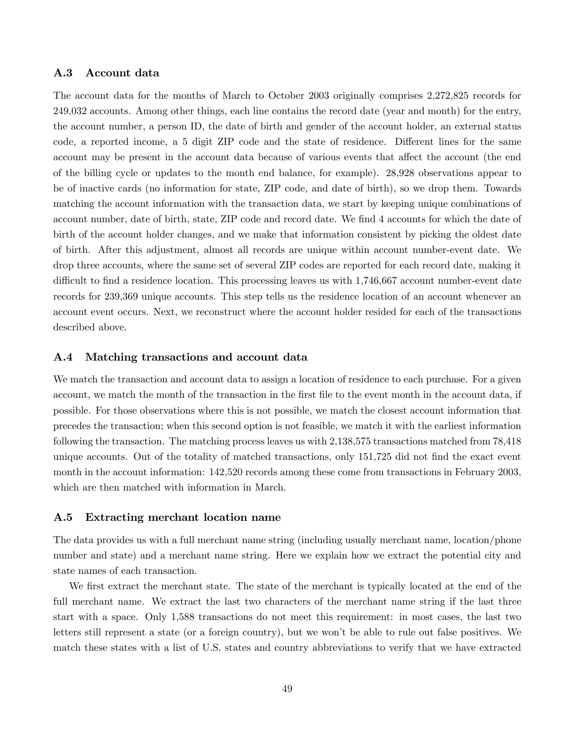#### A.3 Account data

The account data for the months of March to October 2003 originally comprises 2,272,825 records for 249,032 accounts. Among other things, each line contains the record date (year and month) for the entry, the account number, a person ID, the date of birth and gender of the account holder, an external status code, a reported income, a 5 digit ZIP code and the state of residence. Different lines for the same account may be present in the account data because of various events that affect the account (the end of the billing cycle or updates to the month end balance, for example). 28,928 observations appear to be of inactive cards (no information for state, ZIP code, and date of birth), so we drop them. Towards matching the account information with the transaction data, we start by keeping unique combinations of account number, date of birth, state, ZIP code and record date. We find 4 accounts for which the date of birth of the account holder changes, and we make that information consistent by picking the oldest date of birth. After this adjustment, almost all records are unique within account number-event date. We drop three accounts, where the same set of several ZIP codes are reported for each record date, making it difficult to find a residence location. This processing leaves us with 1,746,667 account number-event date records for 239,369 unique accounts. This step tells us the residence location of an account whenever an account event occurs. Next, we reconstruct where the account holder resided for each of the transactions described above.

#### A.4 Matching transactions and account data

We match the transaction and account data to assign a location of residence to each purchase. For a given account, we match the month of the transaction in the first file to the event month in the account data, if possible. For those observations where this is not possible, we match the closest account information that precedes the transaction; when this second option is not feasible, we match it with the earliest information following the transaction. The matching process leaves us with 2,138,575 transactions matched from 78,418 unique accounts. Out of the totality of matched transactions, only 151,725 did not find the exact event month in the account information: 142,520 records among these come from transactions in February 2003, which are then matched with information in March.

#### A.5 Extracting merchant location name

The data provides us with a full merchant name string (including usually merchant name, location/phone number and state) and a merchant name string. Here we explain how we extract the potential city and state names of each transaction.

We first extract the merchant state. The state of the merchant is typically located at the end of the full merchant name. We extract the last two characters of the merchant name string if the last three start with a space. Only 1,588 transactions do not meet this requirement: in most cases, the last two letters still represent a state (or a foreign country), but we won't be able to rule out false positives. We match these states with a list of U.S. states and country abbreviations to verify that we have extracted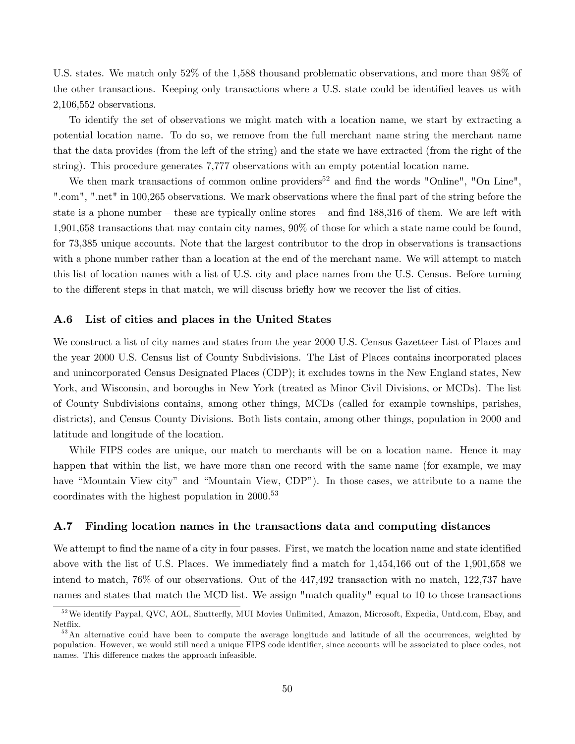U.S. states. We match only 52% of the 1,588 thousand problematic observations, and more than 98% of the other transactions. Keeping only transactions where a U.S. state could be identified leaves us with 2,106,552 observations.

To identify the set of observations we might match with a location name, we start by extracting a potential location name. To do so, we remove from the full merchant name string the merchant name that the data provides (from the left of the string) and the state we have extracted (from the right of the string). This procedure generates 7,777 observations with an empty potential location name.

We then mark transactions of common online providers<sup>52</sup> and find the words "Online", "On Line", ".com", ".net" in 100,265 observations. We mark observations where the final part of the string before the state is a phone number  $-$  these are typically online stores  $-$  and find 188,316 of them. We are left with 1,901,658 transactions that may contain city names, 90% of those for which a state name could be found, for 73,385 unique accounts. Note that the largest contributor to the drop in observations is transactions with a phone number rather than a location at the end of the merchant name. We will attempt to match this list of location names with a list of U.S. city and place names from the U.S. Census. Before turning to the different steps in that match, we will discuss briefly how we recover the list of cities.

#### A.6 List of cities and places in the United States

We construct a list of city names and states from the year 2000 U.S. Census Gazetteer List of Places and the year 2000 U.S. Census list of County Subdivisions. The List of Places contains incorporated places and unincorporated Census Designated Places (CDP); it excludes towns in the New England states, New York, and Wisconsin, and boroughs in New York (treated as Minor Civil Divisions, or MCDs). The list of County Subdivisions contains, among other things, MCDs (called for example townships, parishes, districts), and Census County Divisions. Both lists contain, among other things, population in 2000 and latitude and longitude of the location.

While FIPS codes are unique, our match to merchants will be on a location name. Hence it may happen that within the list, we have more than one record with the same name (for example, we may have "Mountain View city" and "Mountain View, CDP"). In those cases, we attribute to a name the coordinates with the highest population in 2000.<sup>53</sup>

#### A.7 Finding location names in the transactions data and computing distances

We attempt to find the name of a city in four passes. First, we match the location name and state identified above with the list of U.S. Places. We immediately find a match for 1,454,166 out of the 1,901,658 we intend to match, 76% of our observations. Out of the 447,492 transaction with no match, 122,737 have names and states that match the MCD list. We assign "match quality" equal to 10 to those transactions

<sup>&</sup>lt;sup>52</sup>We identify Paypal, QVC, AOL, Shutterfly, MUI Movies Unlimited, Amazon, Microsoft, Expedia, Untd.com, Ebay, and Netflix.

<sup>&</sup>lt;sup>53</sup>An alternative could have been to compute the average longitude and latitude of all the occurrences, weighted by population. However, we would still need a unique FIPS code identifier, since accounts will be associated to place codes, not names. This difference makes the approach infeasible.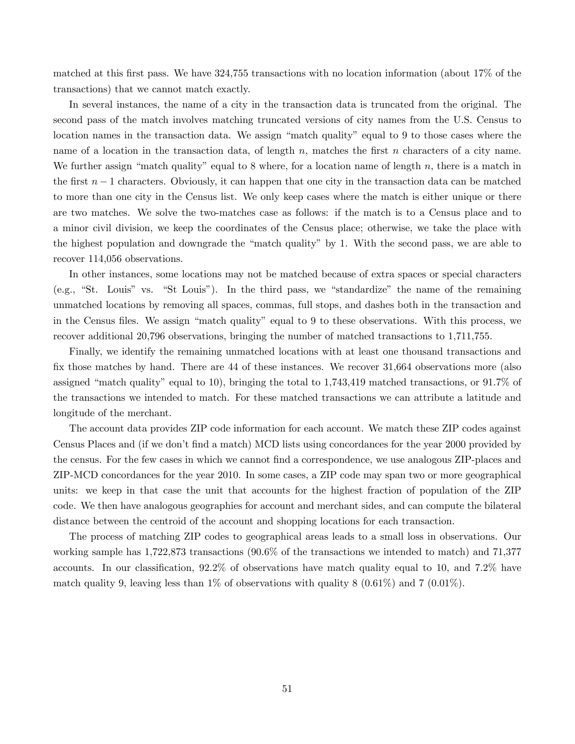matched at this first pass. We have  $324,755$  transactions with no location information (about  $17\%$  of the transactions) that we cannot match exactly.

In several instances, the name of a city in the transaction data is truncated from the original. The second pass of the match involves matching truncated versions of city names from the U.S. Census to location names in the transaction data. We assign "match quality" equal to 9 to those cases where the name of a location in the transaction data, of length  $n$ , matches the first  $n$  characters of a city name. We further assign "match quality" equal to 8 where, for a location name of length n, there is a match in the first  $n-1$  characters. Obviously, it can happen that one city in the transaction data can be matched to more than one city in the Census list. We only keep cases where the match is either unique or there are two matches. We solve the two-matches case as follows: if the match is to a Census place and to a minor civil division, we keep the coordinates of the Census place; otherwise, we take the place with the highest population and downgrade the "match quality" by 1. With the second pass, we are able to recover 114,056 observations.

In other instances, some locations may not be matched because of extra spaces or special characters  $(e.g., "St. Louis" vs. "St Louis").$  In the third pass, we "standardize" the name of the remaining unmatched locations by removing all spaces, commas, full stops, and dashes both in the transaction and in the Census files. We assign "match quality" equal to 9 to these observations. With this process, we recover additional 20,796 observations, bringing the number of matched transactions to 1,711,755.

Finally, we identify the remaining unmatched locations with at least one thousand transactions and fix those matches by hand. There are 44 of these instances. We recover 31,664 observations more (also assigned "match quality" equal to 10), bringing the total to  $1,743,419$  matched transactions, or  $91.7\%$  of the transactions we intended to match. For these matched transactions we can attribute a latitude and longitude of the merchant.

The account data provides ZIP code information for each account. We match these ZIP codes against Census Places and (if we don't find a match) MCD lists using concordances for the year 2000 provided by the census. For the few cases in which we cannot Önd a correspondence, we use analogous ZIP-places and ZIP-MCD concordances for the year 2010. In some cases, a ZIP code may span two or more geographical units: we keep in that case the unit that accounts for the highest fraction of population of the ZIP code. We then have analogous geographies for account and merchant sides, and can compute the bilateral distance between the centroid of the account and shopping locations for each transaction.

The process of matching ZIP codes to geographical areas leads to a small loss in observations. Our working sample has 1,722,873 transactions (90.6% of the transactions we intended to match) and 71,377 accounts. In our classification,  $92.2\%$  of observations have match quality equal to 10, and 7.2% have match quality 9, leaving less than 1% of observations with quality 8  $(0.61\%)$  and 7  $(0.01\%)$ .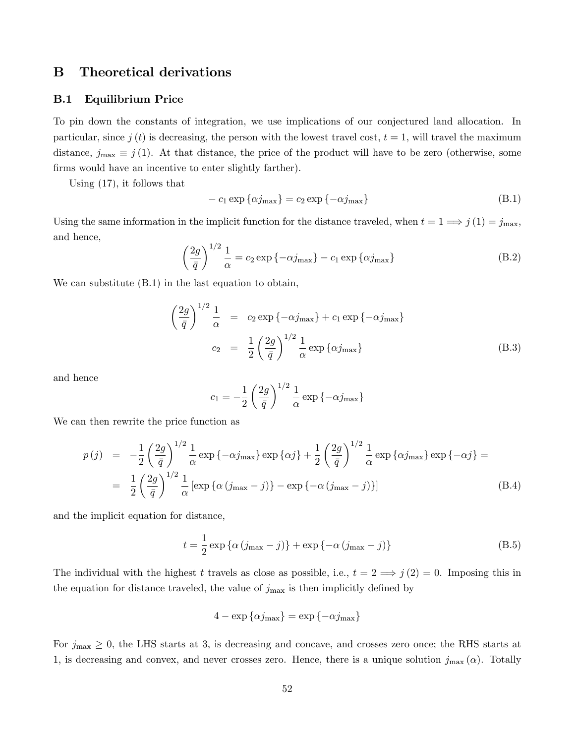## B Theoretical derivations

#### B.1 Equilibrium Price

To pin down the constants of integration, we use implications of our conjectured land allocation. In particular, since j (t) is decreasing, the person with the lowest travel cost,  $t = 1$ , will travel the maximum distance,  $j_{\text{max}} \equiv j(1)$ . At that distance, the price of the product will have to be zero (otherwise, some firms would have an incentive to enter slightly farther).

Using [\(17\)](#page-26-0), it follows that

<span id="page-52-0"></span>
$$
-c_1 \exp {\alpha j_{\text{max}}} = c_2 \exp{-\alpha j_{\text{max}}}
$$
\n(B.1)

Using the same information in the implicit function for the distance traveled, when  $t = 1 \Longrightarrow j(1) = j_{\text{max}}$ , and hence,

$$
\left(\frac{2g}{\bar{q}}\right)^{1/2} \frac{1}{\alpha} = c_2 \exp\left\{-\alpha j_{\text{max}}\right\} - c_1 \exp\left\{\alpha j_{\text{max}}\right\} \tag{B.2}
$$

We can substitute [\(B.1\)](#page-52-0) in the last equation to obtain,

$$
\left(\frac{2g}{\bar{q}}\right)^{1/2} \frac{1}{\alpha} = c_2 \exp\left\{-\alpha j_{\text{max}}\right\} + c_1 \exp\left\{-\alpha j_{\text{max}}\right\}
$$

$$
c_2 = \frac{1}{2} \left(\frac{2g}{\bar{q}}\right)^{1/2} \frac{1}{\alpha} \exp\left\{\alpha j_{\text{max}}\right\} \tag{B.3}
$$

and hence

$$
c_1 = -\frac{1}{2} \left(\frac{2g}{\bar{q}}\right)^{1/2} \frac{1}{\alpha} \exp\left\{-\alpha j_{\text{max}}\right\}
$$

We can then rewrite the price function as

$$
p(j) = -\frac{1}{2} \left(\frac{2g}{\bar{q}}\right)^{1/2} \frac{1}{\alpha} \exp\left\{-\alpha j_{\text{max}}\right\} \exp\left\{\alpha j\right\} + \frac{1}{2} \left(\frac{2g}{\bar{q}}\right)^{1/2} \frac{1}{\alpha} \exp\left\{\alpha j_{\text{max}}\right\} \exp\left\{-\alpha j\right\} =
$$

$$
= \frac{1}{2} \left(\frac{2g}{\bar{q}}\right)^{1/2} \frac{1}{\alpha} \left[\exp\left\{\alpha \left(j_{\text{max}} - j\right)\right\} - \exp\left\{-\alpha \left(j_{\text{max}} - j\right)\right\}\right]
$$
(B.4)

and the implicit equation for distance,

<span id="page-52-1"></span>
$$
t = \frac{1}{2} \exp \left\{ \alpha \left( j_{\text{max}} - j \right) \right\} + \exp \left\{ -\alpha \left( j_{\text{max}} - j \right) \right\} \tag{B.5}
$$

The individual with the highest t travels as close as possible, i.e.,  $t = 2 \implies j(2) = 0$ . Imposing this in the equation for distance traveled, the value of  $j_{\text{max}}$  is then implicitly defined by

$$
4 - \exp{\{\alpha j_{\max}\}} = \exp{\{-\alpha j_{\max}\}}
$$

For  $j_{\text{max}} \geq 0$ , the LHS starts at 3, is decreasing and concave, and crosses zero once; the RHS starts at 1, is decreasing and convex, and never crosses zero. Hence, there is a unique solution  $j_{\text{max}}(\alpha)$ . Totally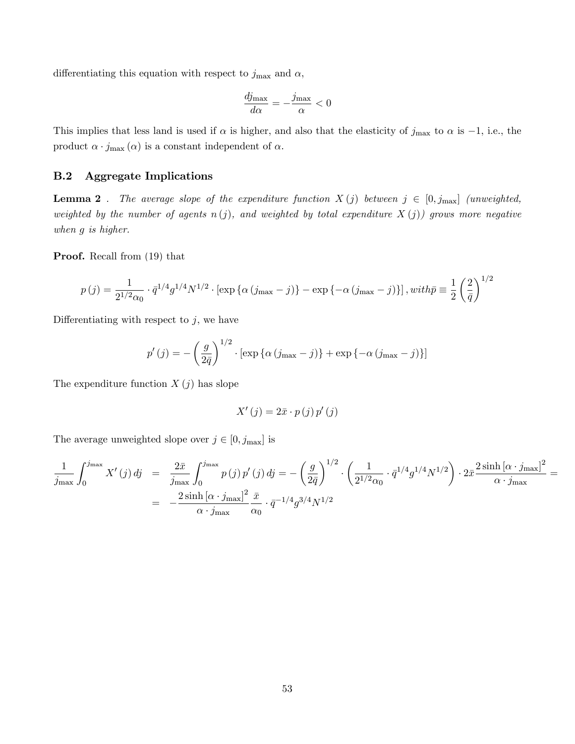differentiating this equation with respect to  $j_{\text{max}}$  and  $\alpha$ ,

$$
\frac{dj_{\text{max}}}{d\alpha} = -\frac{j_{\text{max}}}{\alpha} < 0
$$

This implies that less land is used if  $\alpha$  is higher, and also that the elasticity of  $j_{\text{max}}$  to  $\alpha$  is -1, i.e., the product  $\alpha \cdot j_{\max}\left(\alpha\right)$  is a constant independent of  $\alpha.$ 

### B.2 Aggregate Implications

**Lemma 2**. The average slope of the expenditure function  $X(j)$  between  $j \in [0, j_{\text{max}}]$  (unweighted, weighted by the number of agents  $n(j)$ , and weighted by total expenditure  $X(j)$  grows more negative when g is higher.

Proof. Recall from [\(19\)](#page-26-1) that

$$
p(j) = \frac{1}{2^{1/2}\alpha_0} \cdot \bar{q}^{1/4} g^{1/4} N^{1/2} \cdot \left[ \exp \{ \alpha \left( j_{\text{max}} - j \right) \} - \exp \{ -\alpha \left( j_{\text{max}} - j \right) \} \right], with \bar{p} \equiv \frac{1}{2} \left( \frac{2}{\bar{q}} \right)^{1/2}
$$

Differentiating with respect to  $j$ , we have

$$
p'(j) = -\left(\frac{g}{2\bar{q}}\right)^{1/2} \cdot \left[\exp\left\{\alpha\left(j_{\max} - j\right)\right\} + \exp\left\{-\alpha\left(j_{\max} - j\right)\right\}\right]
$$

The expenditure function  $X(j)$  has slope

$$
X'\left(j\right) = 2\bar{x}\cdot p\left(j\right)p'\left(j\right)
$$

The average unweighted slope over  $j \in [0, j_{\text{max}}]$  is

$$
\frac{1}{j_{\max}} \int_0^{j_{\max}} X'(j) \, dj = \frac{2\bar{x}}{j_{\max}} \int_0^{j_{\max}} p(j) \, p'(j) \, dj = -\left(\frac{g}{2\bar{q}}\right)^{1/2} \cdot \left(\frac{1}{2^{1/2}\alpha_0} \cdot \bar{q}^{1/4} g^{1/4} N^{1/2}\right) \cdot 2\bar{x} \frac{2\sinh\left[\alpha \cdot j_{\max}\right]^2}{\alpha \cdot j_{\max}} = \frac{2\sinh\left[\alpha \cdot j_{\max}\right]^2 \bar{x}}{\alpha \cdot j_{\max}} \cdot \bar{q}^{-1/4} g^{3/4} N^{1/2}
$$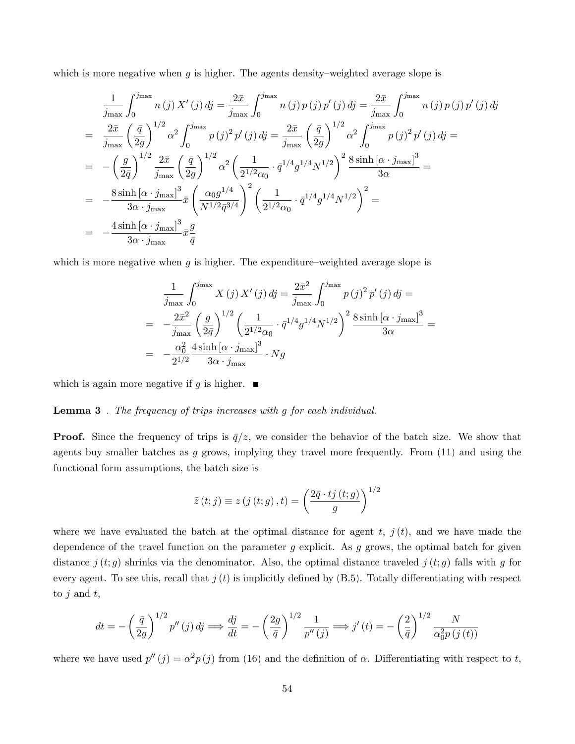which is more negative when  $g$  is higher. The agents density–weighted average slope is

$$
\frac{1}{j_{\max}} \int_{0}^{j_{\max}} n(j) X'(j) \, dj = \frac{2\bar{x}}{j_{\max}} \int_{0}^{j_{\max}} n(j) p(j) p'(j) \, dj = \frac{2\bar{x}}{j_{\max}} \int_{0}^{j_{\max}} n(j) p(j) p'(j) \, dj
$$
\n
$$
= \frac{2\bar{x}}{j_{\max}} \left(\frac{\bar{q}}{2g}\right)^{1/2} \alpha^{2} \int_{0}^{j_{\max}} p(j)^{2} p'(j) \, dj = \frac{2\bar{x}}{j_{\max}} \left(\frac{\bar{q}}{2g}\right)^{1/2} \alpha^{2} \int_{0}^{j_{\max}} p(j)^{2} p'(j) \, dj =
$$
\n
$$
= -\left(\frac{g}{2\bar{q}}\right)^{1/2} \frac{2\bar{x}}{j_{\max}} \left(\frac{\bar{q}}{2g}\right)^{1/2} \alpha^{2} \left(\frac{1}{2^{1/2}\alpha_{0}} \cdot \bar{q}^{1/4} g^{1/4} N^{1/2}\right)^{2} \frac{8 \sinh\left[\alpha \cdot j_{\max}\right]^{3}}{3\alpha}
$$
\n
$$
= -\frac{8 \sinh\left[\alpha \cdot j_{\max}\right]^{3}}{3\alpha \cdot j_{\max}} \bar{x} \left(\frac{\alpha_{0} g^{1/4}}{N^{1/2} \bar{q}^{3/4}}\right)^{2} \left(\frac{1}{2^{1/2}\alpha_{0}} \cdot \bar{q}^{1/4} g^{1/4} N^{1/2}\right)^{2} =
$$
\n
$$
= -\frac{4 \sinh\left[\alpha \cdot j_{\max}\right]^{3}}{3\alpha \cdot j_{\max}} \bar{x} \frac{g}{\bar{q}}
$$

which is more negative when  $g$  is higher. The expenditure–weighted average slope is

$$
\frac{1}{j_{\max}} \int_0^{j_{\max}} X(j) X'(j) \, dj = \frac{2\bar{x}^2}{j_{\max}} \int_0^{j_{\max}} p(j)^2 p'(j) \, dj =
$$
\n
$$
= -\frac{2\bar{x}^2}{j_{\max}} \left(\frac{g}{2\bar{q}}\right)^{1/2} \left(\frac{1}{2^{1/2}\alpha_0} \cdot \bar{q}^{1/4} g^{1/4} N^{1/2}\right)^2 \frac{8 \sinh\left[\alpha \cdot j_{\max}\right]^3}{3\alpha} =
$$
\n
$$
= -\frac{\alpha_0^2}{2^{1/2}} \frac{4 \sinh\left[\alpha \cdot j_{\max}\right]^3}{3\alpha \cdot j_{\max}} \cdot Ng
$$

which is again more negative if g is higher.  $\blacksquare$ 

#### **Lemma 3**. The frequency of trips increases with g for each individual.

**Proof.** Since the frequency of trips is  $\bar{q}/z$ , we consider the behavior of the batch size. We show that agents buy smaller batches as g grows, implying they travel more frequently. From  $(11)$  and using the functional form assumptions, the batch size is

$$
\tilde{z}(t;j) \equiv z(j(t;g),t) = \left(\frac{2\bar{q} \cdot t j(t;g)}{g}\right)^{1/2}
$$

where we have evaluated the batch at the optimal distance for agent  $t, j(t)$ , and we have made the dependence of the travel function on the parameter  $g$  explicit. As  $g$  grows, the optimal batch for given distance  $j(t; g)$  shrinks via the denominator. Also, the optimal distance traveled  $j(t; g)$  falls with g for every agent. To see this, recall that  $j(t)$  is implicitly defined by  $(B.5)$ . Totally differentiating with respect to  $j$  and  $t$ ,

$$
dt = -\left(\frac{\bar{q}}{2g}\right)^{1/2} p''(j) dj \Longrightarrow \frac{dj}{dt} = -\left(\frac{2g}{\bar{q}}\right)^{1/2} \frac{1}{p''(j)} \Longrightarrow j'(t) = -\left(\frac{2}{\bar{q}}\right)^{1/2} \frac{N}{\alpha_0^2 p(j(t))}
$$

where we have used  $p''(j) = \alpha^2 p(j)$  from [\(16\)](#page-26-2) and the definition of  $\alpha$ . Differentiating with respect to t,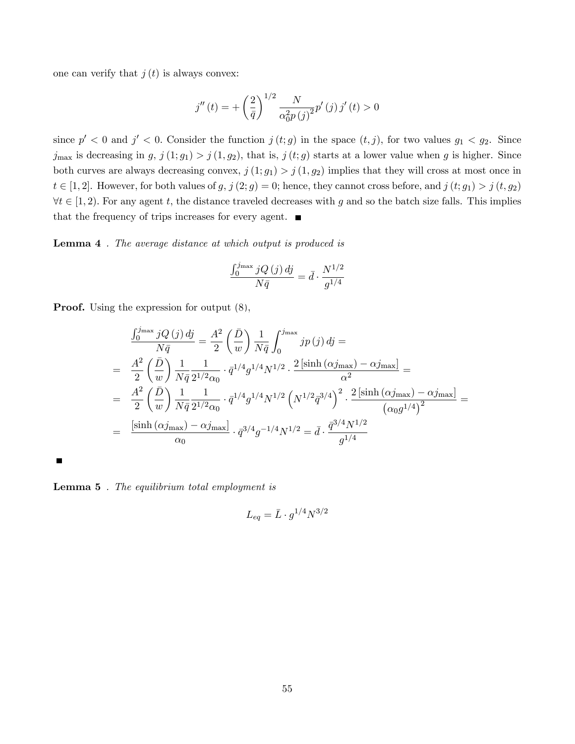one can verify that  $j(t)$  is always convex:

$$
j''(t) = + \left(\frac{2}{\bar{q}}\right)^{1/2} \frac{N}{\alpha_0^2 p(j)^2} p'(j) j'(t) > 0
$$

since  $p' < 0$  and  $j' < 0$ . Consider the function  $j(t;g)$  in the space  $(t, j)$ , for two values  $g_1 < g_2$ . Since  $j_{\text{max}}$  is decreasing in  $g, j(1; g_1) > j(1, g_2)$ , that is,  $j(t; g)$  starts at a lower value when g is higher. Since both curves are always decreasing convex,  $j(1; g_1) > j(1, g_2)$  implies that they will cross at most once in  $t \in [1, 2]$ . However, for both values of  $g, j (2; g) = 0$ ; hence, they cannot cross before, and  $j (t; g_1) > j (t, g_2)$  $\forall t \in [1, 2)$ . For any agent t, the distance traveled decreases with g and so the batch size falls. This implies that the frequency of trips increases for every agent.  $\blacksquare$ 

Lemma 4 . The average distance at which output is produced is

$$
\frac{\int_0^{j_{\max}} jQ\left(j\right)dj}{N\bar{q}} = \bar{d} \cdot \frac{N^{1/2}}{g^{1/4}}
$$

Proof. Using the expression for output [\(8\)](#page-23-0),

$$
\frac{\int_0^{j_{\text{max}}} jQ(j) \, dj}{N\bar{q}} = \frac{A^2}{2} \left(\frac{\bar{D}}{w}\right) \frac{1}{N\bar{q}} \int_0^{j_{\text{max}}} jp(j) \, dj =
$$
\n
$$
= \frac{A^2}{2} \left(\frac{\bar{D}}{w}\right) \frac{1}{N\bar{q}} \frac{1}{2^{1/2}\alpha_0} \cdot \bar{q}^{1/4} g^{1/4} N^{1/2} \cdot \frac{2\left[\sinh\left(\alpha j_{\text{max}}\right) - \alpha j_{\text{max}}\right]}{\alpha^2} =
$$
\n
$$
= \frac{A^2}{2} \left(\frac{\bar{D}}{w}\right) \frac{1}{N\bar{q}} \frac{1}{2^{1/2}\alpha_0} \cdot \bar{q}^{1/4} g^{1/4} N^{1/2} \left(N^{1/2} \bar{q}^{3/4}\right)^2 \cdot \frac{2\left[\sinh\left(\alpha j_{\text{max}}\right) - \alpha j_{\text{max}}\right]}{(\alpha_0 g^{1/4})^2} =
$$
\n
$$
= \frac{\left[\sinh\left(\alpha j_{\text{max}}\right) - \alpha j_{\text{max}}\right]}{\alpha_0} \cdot \bar{q}^{3/4} g^{-1/4} N^{1/2} = \bar{d} \cdot \frac{\bar{q}^{3/4} N^{1/2}}{g^{1/4}}
$$

 $\blacksquare$ 

Lemma 5 . The equilibrium total employment is

$$
L_{eq} = \bar{L} \cdot g^{1/4} N^{3/2}
$$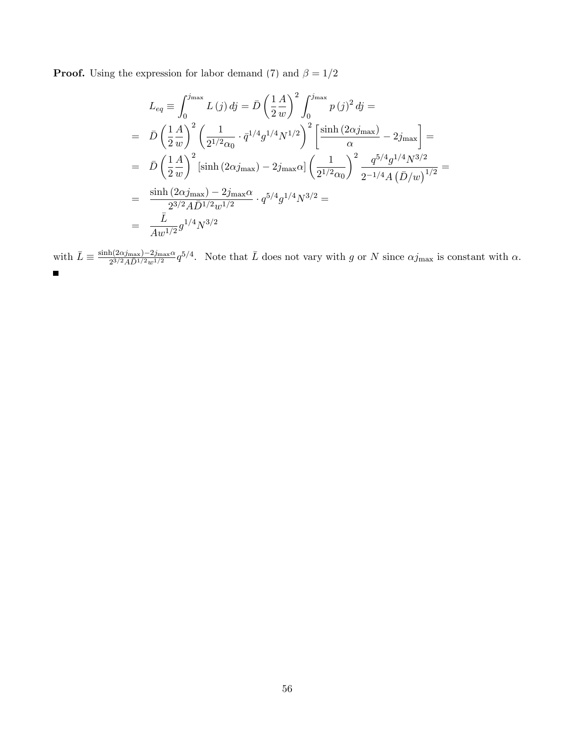**Proof.** Using the expression for labor demand [\(7\)](#page-23-1) and  $\beta = 1/2$ 

$$
L_{eq} \equiv \int_0^{j_{\text{max}}} L(j) \, dj = \bar{D} \left(\frac{1}{2} \frac{A}{w}\right)^2 \int_0^{j_{\text{max}}} p(j)^2 \, dj =
$$
\n
$$
= \bar{D} \left(\frac{1}{2} \frac{A}{w}\right)^2 \left(\frac{1}{2^{1/2} \alpha_0} \cdot \bar{q}^{1/4} g^{1/4} N^{1/2}\right)^2 \left[\frac{\sinh(2\alpha j_{\text{max}})}{\alpha} - 2j_{\text{max}}\right] =
$$
\n
$$
= \bar{D} \left(\frac{1}{2} \frac{A}{w}\right)^2 \left[\sinh(2\alpha j_{\text{max}}) - 2j_{\text{max}}\alpha\right] \left(\frac{1}{2^{1/2} \alpha_0}\right)^2 \frac{q^{5/4} g^{1/4} N^{3/2}}{2^{-1/4} A \left(\bar{D}/w\right)^{1/2}} =
$$
\n
$$
= \frac{\sinh(2\alpha j_{\text{max}}) - 2j_{\text{max}}\alpha}{2^{3/2} A \bar{D}^{1/2} w^{1/2}} \cdot q^{5/4} g^{1/4} N^{3/2} =
$$
\n
$$
= \frac{\bar{L}}{A w^{1/2}} g^{1/4} N^{3/2}
$$

with  $\bar{L} \equiv \frac{\sinh(2\alpha j_{\text{max}}) - 2j_{\text{max}}\alpha}{2^{3/2} A \bar{D}^{1/2} w^{1/2}} q^{5/4}$ . Note that  $\bar{L}$  does not vary with g or N since  $\alpha j_{\text{max}}$  is constant with  $\alpha$ .  $\blacksquare$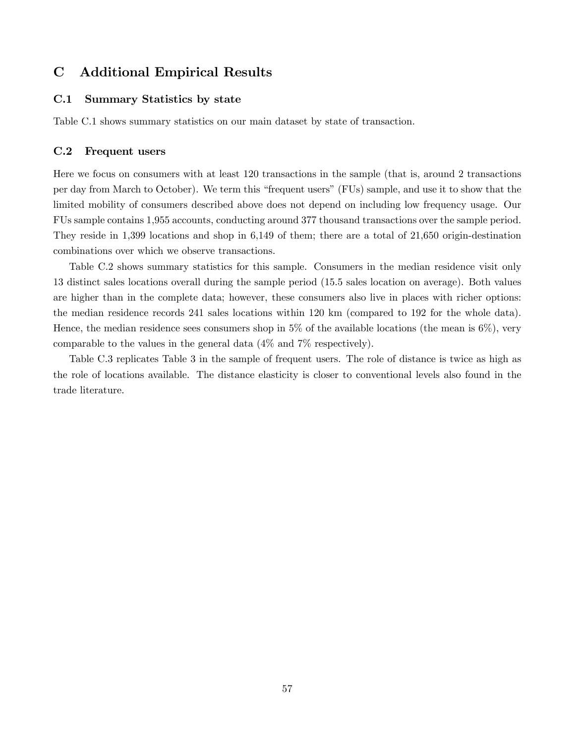## C Additional Empirical Results

#### C.1 Summary Statistics by state

Table [C.1](#page-58-0) shows summary statistics on our main dataset by state of transaction.

#### C.2 Frequent users

Here we focus on consumers with at least 120 transactions in the sample (that is, around 2 transactions per day from March to October). We term this "frequent users" (FUs) sample, and use it to show that the limited mobility of consumers described above does not depend on including low frequency usage. Our FUs sample contains 1,955 accounts, conducting around 377 thousand transactions over the sample period. They reside in 1,399 locations and shop in 6,149 of them; there are a total of 21,650 origin-destination combinations over which we observe transactions.

Table [C.2](#page-59-0) shows summary statistics for this sample. Consumers in the median residence visit only 13 distinct sales locations overall during the sample period (15.5 sales location on average). Both values are higher than in the complete data; however, these consumers also live in places with richer options: the median residence records 241 sales locations within 120 km (compared to 192 for the whole data). Hence, the median residence sees consumers shop in  $5\%$  of the available locations (the mean is  $6\%$ ), very comparable to the values in the general data (4% and 7% respectively).

Table [C.3](#page-59-1) replicates Table [3](#page-10-0) in the sample of frequent users. The role of distance is twice as high as the role of locations available. The distance elasticity is closer to conventional levels also found in the trade literature.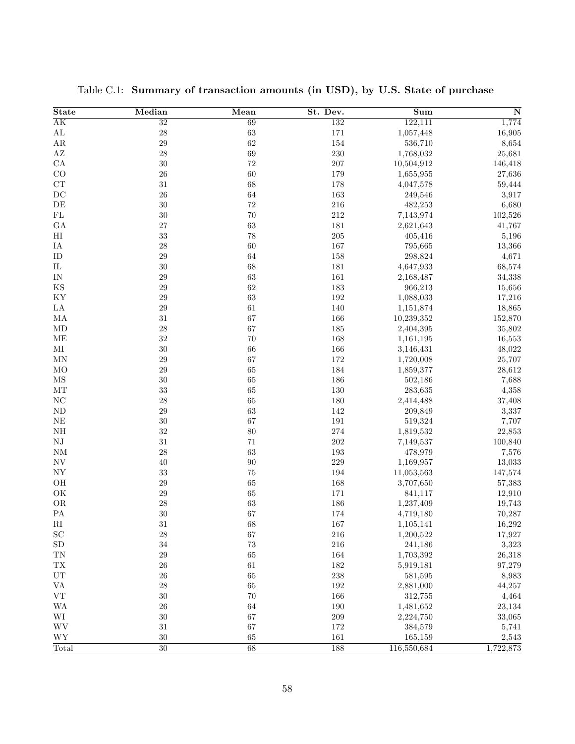| <b>State</b>                    | Median          | Mean        | St. Dev. | sum         | $\overline{\bf N}$ |
|---------------------------------|-----------------|-------------|----------|-------------|--------------------|
| $\overline{AK}$                 | $\overline{32}$ | 69          | 132      | 122,111     | 1,774              |
| $\mathbf{AL}$                   | 28              | 63          | 171      | 1,057,448   | 16,905             |
| $\rm{AR}$                       | 29              | 62          | 154      | 536,710     | 8,654              |
| $\mathbf{A}\mathbf{Z}$          | $\sqrt{28}$     | 69          | 230      | 1,768,032   | 25,681             |
| ${\rm CA}$                      | $30\,$          | $72\,$      | 207      | 10,504,912  | 146,418            |
| CO                              | 26              | 60          | 179      | 1,655,955   | 27,636             |
| ${\cal C}{\cal T}$              | $31\,$          | 68          | 178      | 4,047,578   | 59,444             |
| DC                              | 26              | 64          | 163      | 249,546     | 3,917              |
| $\rm{DE}$                       | 30              | 72          | 216      | 482,253     | 6,680              |
| ${\rm FL}$                      | $30\,$          | 70          | $212\,$  | 7,143,974   | 102,526            |
| GA                              | 27              | 63          | 181      | 2,621,643   | 41,767             |
| $\rm HI$                        | 33              | 78          | $205\,$  | 405,416     | 5,196              |
| IA                              | $\sqrt{28}$     | 60          | 167      | 795,665     | 13,366             |
| ID                              | $\,29$          | 64          | 158      | 298,824     | 4,671              |
| $\rm IL$                        | $30\,$          | 68          | 181      | 4,647,933   | 68,574             |
| IN                              | 29              | 63          | 161      | 2,168,487   | 34,338             |
| $_{\rm KS}$                     | $\,29$          | 62          | 183      | 966,213     | 15,656             |
| KY                              | $\,29$          | 63          | $192\,$  | 1,088,033   | 17,216             |
| LA                              | $\,29$          | $61\,$      | 140      | 1,151,874   | 18,865             |
| МA                              | $31\,$          | 67          | 166      | 10,239,352  | 152,870            |
| MD                              | $\sqrt{28}$     | 67          | 185      | 2,404,395   | 35,802             |
| ME                              | $32\,$          | $70\,$      | 168      | 1,161,195   | 16,553             |
| $\rm MI$                        | $30\,$          | 66          | 166      | 3,146,431   | 48,022             |
| MN                              | $\,29$          | 67          | 172      | 1,720,008   | 25,707             |
| M <sub>O</sub>                  | $\,29$          | 65          | 184      | 1,859,377   | 28,612             |
| $\overline{\rm MS}$             | 30              | 65          | 186      | 502,186     | 7,688              |
| $\rm{MT}$                       | $33\,$          | 65          | 130      | 283,635     | 4,358              |
| $\rm NC$                        | $\sqrt{28}$     | 65          | 180      | 2,414,488   | 37,408             |
| $\rm ND$                        | $\,29$          | 63          | 142      | 209,849     | 3,337              |
| $\rm NE$                        | $30\,$          | 67          | $191\,$  | 519,324     | 7,707              |
| NH                              | $32\,$          | 80          | 274      | 1,819,532   | 22,853             |
| ${\rm NJ}$                      | $31\,$          | 71          | 202      | 7,149,537   | 100,840            |
| NM                              | $\sqrt{28}$     | 63          | 193      | 478,979     | 7,576              |
| $\ensuremath{\text{NV}}$        | 40              | 90          | 229      | 1,169,957   | 13,033             |
| ${\rm NY}$                      | $33\,$          | 75          | 194      | 11,053,563  | 147,574            |
| OH                              | $\,29$          | 65          | 168      | 3,707,650   | 57,383             |
| $\mathrm{OK}$                   | $\,29$          | 65          | 171      | 841,117     | 12,910             |
| OR                              | $\sqrt{28}$     | 63          | 186      | 1,237,409   | 19,743             |
| ${\rm PA}$                      | 30              | 67          | 174      | 4,719,180   | 70,287             |
| $\rm RI$                        | 31              | 68          | 167      | 1,105,141   | 16,292             |
| $\operatorname{SC}$             | $\sqrt{28}$     | $67\,$      | $216\,$  | 1,200,522   | 17,927             |
| ${\rm SD}$                      | $34\,$          | $73\,$      | 216      | 241,186     | 3,323              |
| ${\rm TN}$                      | $\,29$          | 65          | 164      | 1,703,392   | 26,318             |
| ${\rm T}{\rm X}$                | ${\bf 26}$      | $61\,$      | 182      | 5,919,181   | 97,279             |
| ${\rm UT}$                      | ${\bf 26}$      | 65          | 238      | 581,595     | 8,983              |
| $\ensuremath{\text{VA}}\xspace$ | $\sqrt{28}$     | $\sqrt{65}$ | 192      | 2,881,000   | 44,257             |
| ${\rm VT}$                      | $30\,$          | $70\,$      | 166      | 312,755     | 4,464              |
| <b>WA</b>                       | ${\bf 26}$      | 64          | 190      | 1,481,652   | 23,134             |
| $\rm WI$                        | $30\,$          | 67          | $209\,$  | 2,224,750   | 33,065             |
| $\mathbf{W}\mathbf{V}$          | $31\,$          | 67          | 172      | 384,579     | 5,741              |
| <b>WY</b>                       | $30\,$          | 65          | 161      | 165,159     | 2,543              |
| Total                           | 30              | 68          | 188      | 116,550,684 | 1,722,873          |

<span id="page-58-0"></span>Table C.1: Summary of transaction amounts (in USD), by U.S. State of purchase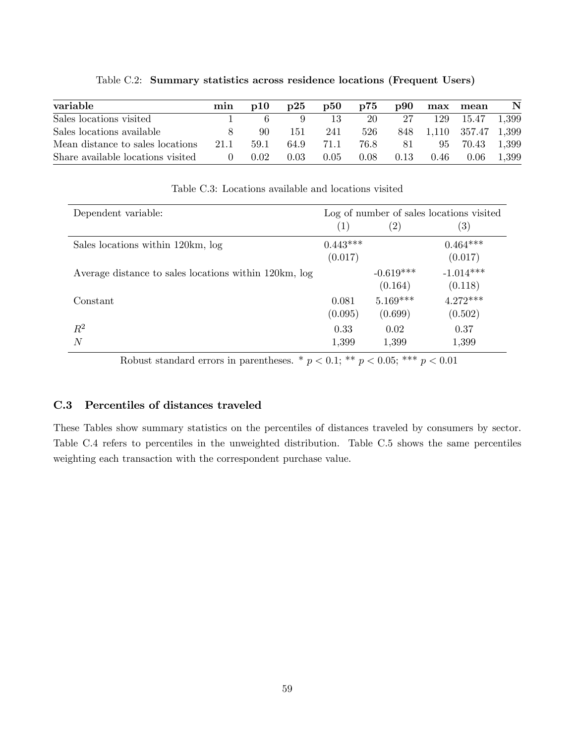| variable                          | min              | $\mathbf{D}10$ | $\mathbf{D}25$ | <b>p50</b> | p75  |      |      | p90 max mean           | $\mathbf N$ |
|-----------------------------------|------------------|----------------|----------------|------------|------|------|------|------------------------|-------------|
| Sales locations visited           |                  |                |                | 13         | 20   | 27   |      | 129 15.47 1,399        |             |
| Sales locations available         |                  | -90            | 151            | 241        | 526  |      |      | 848 1,110 357.47 1,399 |             |
| Mean distance to sales locations  | 21.1             | 59.1           | 64.9           | 71.1       | 76.8 | 81   |      | 95 70.43               | 1,399       |
| Share available locations visited | $\left( \right)$ | 0.02           | 0.03           | 0.05       | 0.08 | 0.13 | 0.46 | 0.06                   | - 1.399     |

<span id="page-59-0"></span>Table C.2: Summary statistics across residence locations (Frequent Users)

| Dependent variable:                                   |            |                   | Log of number of sales locations visited |
|-------------------------------------------------------|------------|-------------------|------------------------------------------|
|                                                       | (1)        | $\left( 2\right)$ | $\left( 3\right)$                        |
| Sales locations within 120km, log                     | $0.443***$ |                   | $0.464***$                               |
|                                                       | (0.017)    |                   | (0.017)                                  |
| Average distance to sales locations within 120km, log |            | $-0.619***$       | $-1.014***$                              |
|                                                       |            | (0.164)           | (0.118)                                  |
| Constant                                              | 0.081      | $5.169***$        | $4.272***$                               |
|                                                       | (0.095)    | (0.699)           | (0.502)                                  |
| $R^2$                                                 | 0.33       | 0.02              | 0.37                                     |
| N                                                     | 1,399      | 1,399             | 1,399                                    |

<span id="page-59-1"></span>Table C.3: Locations available and locations visited

Robust standard errors in parentheses. \*  $p < 0.1$ ; \*\*  $p < 0.05$ ; \*\*\*  $p < 0.01$ 

### C.3 Percentiles of distances traveled

These Tables show summary statistics on the percentiles of distances traveled by consumers by sector. Table [C.4](#page-60-0) refers to percentiles in the unweighted distribution. Table [C.5](#page-61-0) shows the same percentiles weighting each transaction with the correspondent purchase value.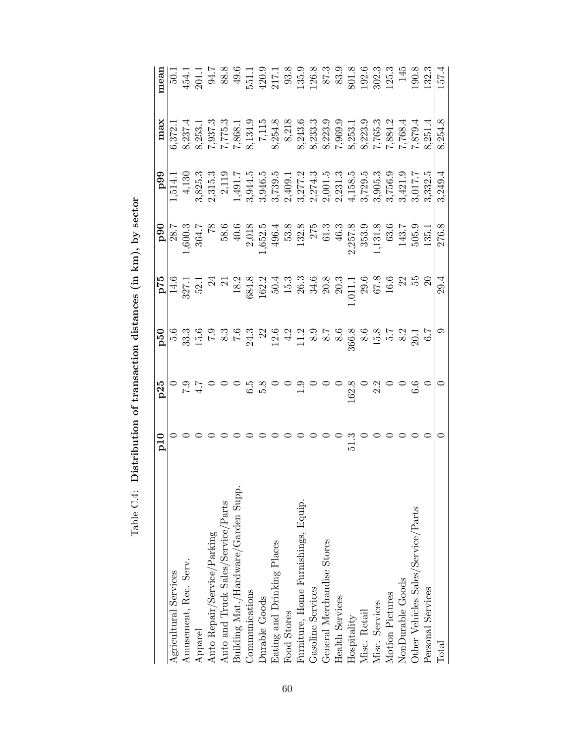<span id="page-60-0"></span>

|                                     | $_{\rm p10}$ | p25 |                                                                                                                                                                                                                                                                                                                      |                                                                                                                                                                             |                                                                                                                                                                                                                                                                                                                                                                                         | max     | mear                                                                                                                                                                                                                                                                                                          |
|-------------------------------------|--------------|-----|----------------------------------------------------------------------------------------------------------------------------------------------------------------------------------------------------------------------------------------------------------------------------------------------------------------------|-----------------------------------------------------------------------------------------------------------------------------------------------------------------------------|-----------------------------------------------------------------------------------------------------------------------------------------------------------------------------------------------------------------------------------------------------------------------------------------------------------------------------------------------------------------------------------------|---------|---------------------------------------------------------------------------------------------------------------------------------------------------------------------------------------------------------------------------------------------------------------------------------------------------------------|
| Agricultural Services               |              |     | $\begin{array}{r} \mathbf{55} \\ \hline 14.5 \\ 32.1 \\ 33.2 \\ 54.3 \\ 68.4 \\ 72.4 \\ 83.4 \\ 18.2 \\ 18.3 \\ 18.4 \\ 18.4 \\ 18.4 \\ 18.4 \\ 18.4 \\ 18.4 \\ 18.4 \\ 18.4 \\ 18.5 \\ 18.5 \\ 18.5 \\ 18.5 \\ 18.5 \\ 18.5 \\ 18.5 \\ 18.5 \\ 18.5 \\ 18.5 \\ 18.5 \\ 18.5 \\ 18.5 \\ 18.5 \\ 18.5 \\ 18.5 \\ 18.$ | $1,600.3$ $1,600.3$ $1,600.5$ $1,600.5$ $1,652.5$ $1,652.5$ $1,652.5$ $1,652.5$ $1,652.5$ $1,652.5$ $2,75$ $2,75$ $2,75$ $2,75$ $2,75$ $2,75$ $1,131.3$ $1,131.5$ $1,135.7$ | $\begin{array}{r} \textbf{99} \\ \textbf{99} \\ \textbf{1}, \overline{514.1} \\ 1, \overline{141.1} \\ 3, \overline{825.3} \\ 2, \overline{1191.7} \\ 1, \overline{491.7} \\ 4, \overline{1300.7} \\ 2, \overline{1191.7} \\ 1, \overline{4994.5} \\ 5, \overline{217.2} \\ 6, \overline{217.2} \\ 7, \overline{121.3} \\ 7, \overline{211.3} \\ 8, \overline{211.3} \\ 9, \overline{2$ | 6,372.1 |                                                                                                                                                                                                                                                                                                               |
| Amusement, Rec. Serv.               |              |     |                                                                                                                                                                                                                                                                                                                      |                                                                                                                                                                             |                                                                                                                                                                                                                                                                                                                                                                                         |         |                                                                                                                                                                                                                                                                                                               |
| Apparel                             |              |     |                                                                                                                                                                                                                                                                                                                      |                                                                                                                                                                             |                                                                                                                                                                                                                                                                                                                                                                                         |         |                                                                                                                                                                                                                                                                                                               |
| Auto Repair/Service/Parking         |              |     |                                                                                                                                                                                                                                                                                                                      |                                                                                                                                                                             |                                                                                                                                                                                                                                                                                                                                                                                         |         | $\begin{array}{l} 50.1 \\ 50.4 \\ 50.7 \\ 50.8 \\ 60.9 \\ 70.1 \\ 70.8 \\ 80.9 \\ 70.1 \\ 70.9 \\ 70.9 \\ 70.1 \\ 70.9 \\ 70.1 \\ 70.1 \\ 70.1 \\ 70.1 \\ 70.1 \\ 70.1 \\ 70.1 \\ 70.1 \\ 70.1 \\ 70.1 \\ 70.1 \\ 70.1 \\ 70.1 \\ 70.1 \\ 70.1 \\ 70.1 \\ 70.1 \\ 70.1 \\ 70.1 \\ 70.1 \\ 70.1 \\ 70.1 \\ 70$ |
| Auto and Truck Sales/Service/Parts  |              |     |                                                                                                                                                                                                                                                                                                                      |                                                                                                                                                                             |                                                                                                                                                                                                                                                                                                                                                                                         |         |                                                                                                                                                                                                                                                                                                               |
| Building Mat./Hardware/Garden Supp. |              |     |                                                                                                                                                                                                                                                                                                                      |                                                                                                                                                                             |                                                                                                                                                                                                                                                                                                                                                                                         |         |                                                                                                                                                                                                                                                                                                               |
| Communications                      |              |     |                                                                                                                                                                                                                                                                                                                      |                                                                                                                                                                             |                                                                                                                                                                                                                                                                                                                                                                                         |         |                                                                                                                                                                                                                                                                                                               |
| <b>Durable Goods</b>                |              |     |                                                                                                                                                                                                                                                                                                                      |                                                                                                                                                                             |                                                                                                                                                                                                                                                                                                                                                                                         |         |                                                                                                                                                                                                                                                                                                               |
| Eating and Drinking Places          |              |     |                                                                                                                                                                                                                                                                                                                      |                                                                                                                                                                             |                                                                                                                                                                                                                                                                                                                                                                                         |         |                                                                                                                                                                                                                                                                                                               |
| Food Stores                         |              |     |                                                                                                                                                                                                                                                                                                                      |                                                                                                                                                                             |                                                                                                                                                                                                                                                                                                                                                                                         |         |                                                                                                                                                                                                                                                                                                               |
| Furniture, Home Furnishings, Equip. |              |     |                                                                                                                                                                                                                                                                                                                      |                                                                                                                                                                             |                                                                                                                                                                                                                                                                                                                                                                                         |         |                                                                                                                                                                                                                                                                                                               |
| Gasoline Services                   |              |     |                                                                                                                                                                                                                                                                                                                      |                                                                                                                                                                             |                                                                                                                                                                                                                                                                                                                                                                                         |         |                                                                                                                                                                                                                                                                                                               |
| General Merchandise Stores          |              |     |                                                                                                                                                                                                                                                                                                                      |                                                                                                                                                                             |                                                                                                                                                                                                                                                                                                                                                                                         |         |                                                                                                                                                                                                                                                                                                               |
| Health Services                     |              |     |                                                                                                                                                                                                                                                                                                                      |                                                                                                                                                                             |                                                                                                                                                                                                                                                                                                                                                                                         |         |                                                                                                                                                                                                                                                                                                               |
| Hospitality                         | 51.3         |     |                                                                                                                                                                                                                                                                                                                      |                                                                                                                                                                             |                                                                                                                                                                                                                                                                                                                                                                                         |         |                                                                                                                                                                                                                                                                                                               |
| Misc. Retail                        |              |     |                                                                                                                                                                                                                                                                                                                      |                                                                                                                                                                             |                                                                                                                                                                                                                                                                                                                                                                                         |         |                                                                                                                                                                                                                                                                                                               |
| Misc. Services                      |              |     |                                                                                                                                                                                                                                                                                                                      |                                                                                                                                                                             |                                                                                                                                                                                                                                                                                                                                                                                         |         |                                                                                                                                                                                                                                                                                                               |
| Motion Pictures                     |              |     |                                                                                                                                                                                                                                                                                                                      |                                                                                                                                                                             |                                                                                                                                                                                                                                                                                                                                                                                         |         |                                                                                                                                                                                                                                                                                                               |
| NonDurable Goods                    |              |     |                                                                                                                                                                                                                                                                                                                      |                                                                                                                                                                             |                                                                                                                                                                                                                                                                                                                                                                                         |         |                                                                                                                                                                                                                                                                                                               |
| Other Vehicles Sales/Service/Parts  |              |     |                                                                                                                                                                                                                                                                                                                      |                                                                                                                                                                             |                                                                                                                                                                                                                                                                                                                                                                                         |         | $\begin{array}{c} 801.8 \\ 192.6 \\ 302.3 \\ 125.3 \\ 145 \\ 190.8 \\ 132.3 \end{array}$                                                                                                                                                                                                                      |
| Personal Services                   |              |     |                                                                                                                                                                                                                                                                                                                      |                                                                                                                                                                             |                                                                                                                                                                                                                                                                                                                                                                                         |         |                                                                                                                                                                                                                                                                                                               |
| Total                               |              |     | 29.4                                                                                                                                                                                                                                                                                                                 | 276.8                                                                                                                                                                       | 3,249.4                                                                                                                                                                                                                                                                                                                                                                                 | 8,254.8 | 157.4                                                                                                                                                                                                                                                                                                         |
|                                     |              |     |                                                                                                                                                                                                                                                                                                                      |                                                                                                                                                                             |                                                                                                                                                                                                                                                                                                                                                                                         |         |                                                                                                                                                                                                                                                                                                               |

Table C.4: Distribution of transaction distances (in km), by sector Table C.4: Distribution of transaction distances (in km), by sector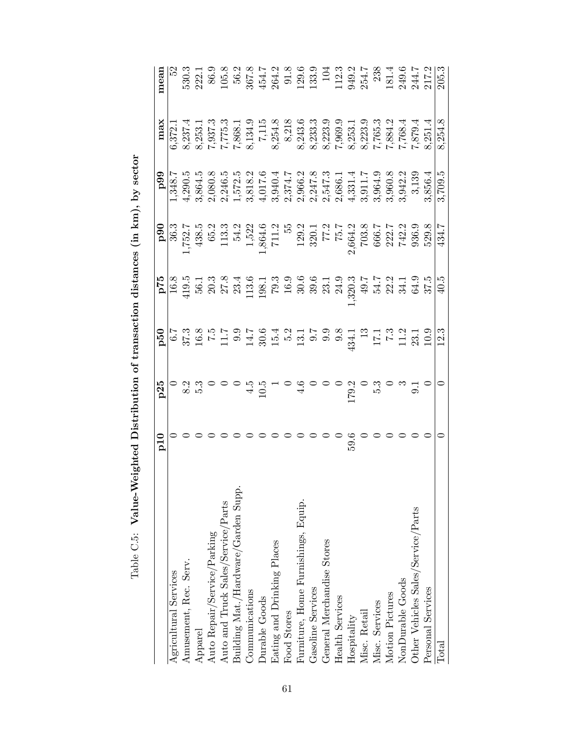<span id="page-61-0"></span>

|                                     | p10      | p25                                                                                                                                                                                                                                                                                                                            | $\mathbf{p}^{\mathbf{50}}$ |                                                                                                                                                                                                                                                                                                                                                                                                                                       | $\frac{100}{100}$                                                                                                                                                                                                                                                                                     | 66d                                                                                                                                                                                                                                                                  | $_{\rm max}$                                                                                                                                                                                                                                                                          | mean                                                                                                |
|-------------------------------------|----------|--------------------------------------------------------------------------------------------------------------------------------------------------------------------------------------------------------------------------------------------------------------------------------------------------------------------------------|----------------------------|---------------------------------------------------------------------------------------------------------------------------------------------------------------------------------------------------------------------------------------------------------------------------------------------------------------------------------------------------------------------------------------------------------------------------------------|-------------------------------------------------------------------------------------------------------------------------------------------------------------------------------------------------------------------------------------------------------------------------------------------------------|----------------------------------------------------------------------------------------------------------------------------------------------------------------------------------------------------------------------------------------------------------------------|---------------------------------------------------------------------------------------------------------------------------------------------------------------------------------------------------------------------------------------------------------------------------------------|-----------------------------------------------------------------------------------------------------|
| Agricultural Services               |          |                                                                                                                                                                                                                                                                                                                                |                            | $\begin{array}{r} \texttt{P1} \\ \texttt{P2} \\ \hline \texttt{P3} \\ \texttt{G3} \\ \texttt{G4} \\ \texttt{D5} \\ \texttt{G1} \\ \texttt{G2} \\ \texttt{G3} \\ \texttt{G4} \\ \texttt{G5} \\ \texttt{G7} \\ \texttt{G8} \\ \texttt{G9} \\ \texttt{G1} \\ \texttt{G2} \\ \texttt{G3} \\ \texttt{G4} \\ \texttt{G5} \\ \texttt{G6} \\ \texttt{G7} \\ \texttt{G8} \\ \texttt{G9} \\ \texttt{G9} \\ \texttt{G0} \\ \texttt{G1} \\ \text$ |                                                                                                                                                                                                                                                                                                       | 1,348.7                                                                                                                                                                                                                                                              | 6,372.                                                                                                                                                                                                                                                                                |                                                                                                     |
| Amusement, Rec. Serv.               |          |                                                                                                                                                                                                                                                                                                                                |                            |                                                                                                                                                                                                                                                                                                                                                                                                                                       |                                                                                                                                                                                                                                                                                                       | 4,290.5                                                                                                                                                                                                                                                              | 8,237.4                                                                                                                                                                                                                                                                               |                                                                                                     |
| Apparel                             |          |                                                                                                                                                                                                                                                                                                                                |                            |                                                                                                                                                                                                                                                                                                                                                                                                                                       |                                                                                                                                                                                                                                                                                                       | 3,864.5                                                                                                                                                                                                                                                              | 8,253.1                                                                                                                                                                                                                                                                               | 222.1                                                                                               |
| Auto Repair/Service/Parking         |          |                                                                                                                                                                                                                                                                                                                                |                            |                                                                                                                                                                                                                                                                                                                                                                                                                                       |                                                                                                                                                                                                                                                                                                       | 2,080.8                                                                                                                                                                                                                                                              |                                                                                                                                                                                                                                                                                       | 86.9                                                                                                |
| Auto and Truck Sales/Service/Parts  |          |                                                                                                                                                                                                                                                                                                                                |                            |                                                                                                                                                                                                                                                                                                                                                                                                                                       | $\begin{array}{r} 36.3 \\ 1,752.7 \\ 438.5 \\ 65.2 \\ 113.3 \\ 54.2 \end{array}$                                                                                                                                                                                                                      |                                                                                                                                                                                                                                                                      |                                                                                                                                                                                                                                                                                       |                                                                                                     |
| Building Mat./Hardware/Garden Supp. |          |                                                                                                                                                                                                                                                                                                                                |                            |                                                                                                                                                                                                                                                                                                                                                                                                                                       |                                                                                                                                                                                                                                                                                                       | $\begin{smallmatrix} &1&6\\ 2,246.5\\ 1,572.5\\ 1,672.3\\ 1,781.2\\ 1,940.17\\ 2,940.2\\ 2,947.2\\ 2,947.3\\ 2,947.3\\ 2,947.3\\ 2,947.3\\ 2,947.3\\ 2,947.3\\ 2,947.3\\ 2,947.3\\ 2,947.3\\ 2,940.3\\ 2,942.3\\ 2,942.3\\ 2,942.3\\ 2,942.3\\ 2,942.3\\ 2,942.3\\ $ | $\begin{array}{r} 7,937.3 \\ 7,775.3 \\ 7,868.1 \\ 8,134.9 \\ 8,254.8 \\ 8,243.6 \\ 8,243.33.3 \\ 8,243.5 \\ 7,765.3 \\ 8,243.5 \\ 7,765.3 \\ 7,884.2 \\ 7,884.2 \\ 7,884.2 \\ 7,884.2 \\ 7,884.2 \\ 7,884.2 \\ 7,884.2 \\ 7,884.2 \\ 7,884.2 \\ 7,884.2 \\ 7,884.2 \\ 7,884.2 \\ 7,$ | $\begin{array}{c} 105.8 \\ 56.2 \\ 567.8 \\ 454.7 \\ 264.3 \\ 21.3 \\ 133.9 \\ 133. \\ \end{array}$ |
| Communications                      |          |                                                                                                                                                                                                                                                                                                                                |                            |                                                                                                                                                                                                                                                                                                                                                                                                                                       |                                                                                                                                                                                                                                                                                                       |                                                                                                                                                                                                                                                                      |                                                                                                                                                                                                                                                                                       |                                                                                                     |
| <b>Durable Goods</b>                |          |                                                                                                                                                                                                                                                                                                                                |                            |                                                                                                                                                                                                                                                                                                                                                                                                                                       |                                                                                                                                                                                                                                                                                                       |                                                                                                                                                                                                                                                                      |                                                                                                                                                                                                                                                                                       |                                                                                                     |
| Eating and Drinking Places          |          |                                                                                                                                                                                                                                                                                                                                |                            |                                                                                                                                                                                                                                                                                                                                                                                                                                       |                                                                                                                                                                                                                                                                                                       |                                                                                                                                                                                                                                                                      |                                                                                                                                                                                                                                                                                       |                                                                                                     |
| <b>Food Stores</b>                  |          |                                                                                                                                                                                                                                                                                                                                |                            |                                                                                                                                                                                                                                                                                                                                                                                                                                       |                                                                                                                                                                                                                                                                                                       |                                                                                                                                                                                                                                                                      |                                                                                                                                                                                                                                                                                       |                                                                                                     |
| Furniture, Home Furnishings, Equip. |          | $\begin{array}{c} 0 & 0 & 0 & 0 \\ 0 & 0 & 0 & 0 \\ 0 & 0 & 0 & 0 \\ 0 & 0 & 0 & 0 \\ 0 & 0 & 0 & 0 \\ 0 & 0 & 0 & 0 \\ 0 & 0 & 0 & 0 \\ 0 & 0 & 0 & 0 \\ 0 & 0 & 0 & 0 \\ 0 & 0 & 0 & 0 \\ 0 & 0 & 0 & 0 \\ 0 & 0 & 0 & 0 \\ 0 & 0 & 0 & 0 & 0 \\ 0 & 0 & 0 & 0 & 0 \\ 0 & 0 & 0 & 0 & 0 \\ 0 & 0 & 0 & 0 & 0 \\ 0 & 0 & 0 &$ |                            |                                                                                                                                                                                                                                                                                                                                                                                                                                       | $\begin{array}{r} 1,522 \\ 1,864.6 \\ 711.2 \\ 55 \\ 129.1 \\ 129.1 \\ 77.2 \\ 77.2 \\ 78.7 \\ 79.3 \\ 764.2 \\ 763.8 \\ 764.2 \\ 763.6 \\ 742.2 \\ 742.2 \\ 742.3 \\ 742.3 \\ 742.3 \\ 742.3 \\ 742.3 \\ 742.3 \\ 742.3 \\ 742.3 \\ 742.3 \\ 742.3 \\ 742.3 \\ 742.3 \\ 742.3 \\ 742.3 \\ 742.3 \\ $ |                                                                                                                                                                                                                                                                      |                                                                                                                                                                                                                                                                                       |                                                                                                     |
| Gasoline Services                   |          |                                                                                                                                                                                                                                                                                                                                |                            |                                                                                                                                                                                                                                                                                                                                                                                                                                       |                                                                                                                                                                                                                                                                                                       |                                                                                                                                                                                                                                                                      |                                                                                                                                                                                                                                                                                       |                                                                                                     |
| General Merchandise Stores          |          |                                                                                                                                                                                                                                                                                                                                |                            |                                                                                                                                                                                                                                                                                                                                                                                                                                       |                                                                                                                                                                                                                                                                                                       |                                                                                                                                                                                                                                                                      |                                                                                                                                                                                                                                                                                       | 104                                                                                                 |
| Health Services                     |          |                                                                                                                                                                                                                                                                                                                                |                            |                                                                                                                                                                                                                                                                                                                                                                                                                                       |                                                                                                                                                                                                                                                                                                       |                                                                                                                                                                                                                                                                      |                                                                                                                                                                                                                                                                                       |                                                                                                     |
| Hospitality                         | $59.6\,$ |                                                                                                                                                                                                                                                                                                                                |                            |                                                                                                                                                                                                                                                                                                                                                                                                                                       |                                                                                                                                                                                                                                                                                                       |                                                                                                                                                                                                                                                                      |                                                                                                                                                                                                                                                                                       |                                                                                                     |
| Misc. Retail                        |          |                                                                                                                                                                                                                                                                                                                                |                            |                                                                                                                                                                                                                                                                                                                                                                                                                                       |                                                                                                                                                                                                                                                                                                       |                                                                                                                                                                                                                                                                      |                                                                                                                                                                                                                                                                                       |                                                                                                     |
| Misc. Services                      |          |                                                                                                                                                                                                                                                                                                                                |                            |                                                                                                                                                                                                                                                                                                                                                                                                                                       |                                                                                                                                                                                                                                                                                                       |                                                                                                                                                                                                                                                                      |                                                                                                                                                                                                                                                                                       |                                                                                                     |
| Motion Pictures                     |          |                                                                                                                                                                                                                                                                                                                                |                            |                                                                                                                                                                                                                                                                                                                                                                                                                                       |                                                                                                                                                                                                                                                                                                       |                                                                                                                                                                                                                                                                      |                                                                                                                                                                                                                                                                                       |                                                                                                     |
| NonDurable Goods                    |          |                                                                                                                                                                                                                                                                                                                                |                            |                                                                                                                                                                                                                                                                                                                                                                                                                                       |                                                                                                                                                                                                                                                                                                       |                                                                                                                                                                                                                                                                      |                                                                                                                                                                                                                                                                                       |                                                                                                     |
| Other Vehicles Sales/Service/Parts  |          | $\begin{array}{c} 2 \ 2 \ 0 \end{array}$                                                                                                                                                                                                                                                                                       |                            |                                                                                                                                                                                                                                                                                                                                                                                                                                       |                                                                                                                                                                                                                                                                                                       |                                                                                                                                                                                                                                                                      | $7,879.4$<br>7,879.4                                                                                                                                                                                                                                                                  | 112.3<br>949.2<br>254.7<br>238<br>181.4<br>244.7<br>244.7                                           |
| Personal Services                   |          |                                                                                                                                                                                                                                                                                                                                |                            |                                                                                                                                                                                                                                                                                                                                                                                                                                       | 529.8                                                                                                                                                                                                                                                                                                 | 3,856.4                                                                                                                                                                                                                                                              | 8,251.4                                                                                                                                                                                                                                                                               |                                                                                                     |
| Total                               |          |                                                                                                                                                                                                                                                                                                                                | 12.3                       | 40.5                                                                                                                                                                                                                                                                                                                                                                                                                                  | 434.7                                                                                                                                                                                                                                                                                                 | 3,709.5                                                                                                                                                                                                                                                              | 8,254.8                                                                                                                                                                                                                                                                               | 205.3                                                                                               |
|                                     |          |                                                                                                                                                                                                                                                                                                                                |                            |                                                                                                                                                                                                                                                                                                                                                                                                                                       |                                                                                                                                                                                                                                                                                                       |                                                                                                                                                                                                                                                                      |                                                                                                                                                                                                                                                                                       |                                                                                                     |

Table C.5: Value-Weighted Distribution of transaction distances (in km), by sector Table C.5: Value-Weighted Distribution of transaction distances (in km), by sector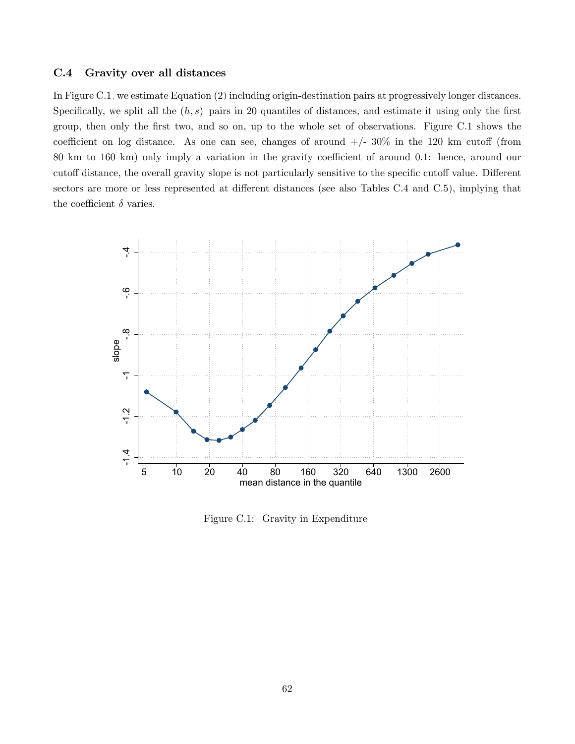#### C.4 Gravity over all distances

In Figure [C.1,](#page-62-0) we estimate Equation [\(2\)](#page-12-0) including origin-destination pairs at progressively longer distances. Specifically, we split all the  $(h, s)$  pairs in 20 quantiles of distances, and estimate it using only the first group, then only the first two, and so on, up to the whole set of observations. Figure [C.1](#page-62-0) shows the coefficient on log distance. As one can see, changes of around  $+/- 30\%$  in the 120 km cutoff (from 80 km to 160 km) only imply a variation in the gravity coefficient of around 0.1: hence, around our cutoff distance, the overall gravity slope is not particularly sensitive to the specific cutoff value. Different sectors are more or less represented at different distances (see also Tables [C.4](#page-60-0) and [C.5\)](#page-61-0), implying that the coefficient  $\delta$  varies.



<span id="page-62-0"></span>Figure C.1: Gravity in Expenditure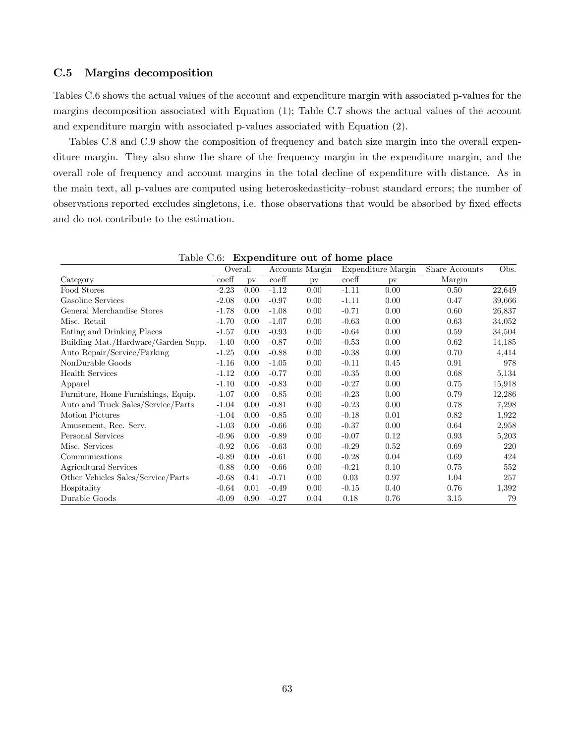#### C.5 Margins decomposition

Tables [C.6](#page-63-0) shows the actual values of the account and expenditure margin with associated p-values for the margins decomposition associated with Equation [\(1\)](#page-12-1); Table [C.7](#page-64-0) shows the actual values of the account and expenditure margin with associated p-values associated with Equation [\(2\)](#page-12-0).

Tables [C.8](#page-64-1) and [C.9](#page-65-0) show the composition of frequency and batch size margin into the overall expenditure margin. They also show the share of the frequency margin in the expenditure margin, and the overall role of frequency and account margins in the total decline of expenditure with distance. As in the main text, all p-values are computed using heteroskedasticity–robust standard errors; the number of observations reported excludes singletons, i.e. those observations that would be absorbed by fixed effects and do not contribute to the estimation.

|                                     | Overall          |      |                  | Accounts Margin |                  | Expenditure Margin | Share Accounts | Obs.   |
|-------------------------------------|------------------|------|------------------|-----------------|------------------|--------------------|----------------|--------|
| Category                            | $\mathrm{coeff}$ | pv   | $\mathrm{coeff}$ | pv              | $\mathrm{coeff}$ | pv                 | Margin         |        |
| Food Stores                         | $-2.23$          | 0.00 | $-1.12$          | 0.00            | $-1.11$          | 0.00               | 0.50           | 22,649 |
| Gasoline Services                   | $-2.08$          | 0.00 | $-0.97$          | 0.00            | $-1.11$          | 0.00               | 0.47           | 39,666 |
| General Merchandise Stores          | $-1.78$          | 0.00 | $-1.08$          | 0.00            | $-0.71$          | 0.00               | 0.60           | 26,837 |
| Misc. Retail                        | $-1.70$          | 0.00 | $-1.07$          | 0.00            | $-0.63$          | 0.00               | 0.63           | 34,052 |
| Eating and Drinking Places          | $-1.57$          | 0.00 | $-0.93$          | 0.00            | $-0.64$          | 0.00               | 0.59           | 34,504 |
| Building Mat./Hardware/Garden Supp. | $-1.40$          | 0.00 | $-0.87$          | 0.00            | $-0.53$          | 0.00               | 0.62           | 14,185 |
| Auto Repair/Service/Parking         | $-1.25$          | 0.00 | $-0.88$          | 0.00            | $-0.38$          | 0.00               | 0.70           | 4,414  |
| NonDurable Goods                    | $-1.16$          | 0.00 | $-1.05$          | 0.00            | $-0.11$          | 0.45               | 0.91           | 978    |
| <b>Health Services</b>              | $-1.12$          | 0.00 | $-0.77$          | 0.00            | $-0.35$          | 0.00               | 0.68           | 5,134  |
| Apparel                             | $-1.10$          | 0.00 | $-0.83$          | 0.00            | $-0.27$          | 0.00               | 0.75           | 15,918 |
| Furniture, Home Furnishings, Equip. | $-1.07$          | 0.00 | $-0.85$          | 0.00            | $-0.23$          | 0.00               | 0.79           | 12,286 |
| Auto and Truck Sales/Service/Parts  | $-1.04$          | 0.00 | $-0.81$          | 0.00            | $-0.23$          | 0.00               | 0.78           | 7,298  |
| Motion Pictures                     | $-1.04$          | 0.00 | $-0.85$          | 0.00            | $-0.18$          | 0.01               | 0.82           | 1,922  |
| Amusement, Rec. Serv.               | $-1.03$          | 0.00 | $-0.66$          | 0.00            | $-0.37$          | 0.00               | 0.64           | 2,958  |
| Personal Services                   | $-0.96$          | 0.00 | $-0.89$          | 0.00            | $-0.07$          | 0.12               | 0.93           | 5,203  |
| Misc. Services                      | $-0.92$          | 0.06 | $-0.63$          | 0.00            | $-0.29$          | 0.52               | 0.69           | 220    |
| Communications                      | $-0.89$          | 0.00 | $-0.61$          | 0.00            | $-0.28$          | 0.04               | 0.69           | 424    |
| Agricultural Services               | $-0.88$          | 0.00 | $-0.66$          | 0.00            | $-0.21$          | 0.10               | 0.75           | 552    |
| Other Vehicles Sales/Service/Parts  | $-0.68$          | 0.41 | $-0.71$          | 0.00            | 0.03             | 0.97               | 1.04           | 257    |
| Hospitality                         | $-0.64$          | 0.01 | $-0.49$          | 0.00            | $-0.15$          | 0.40               | 0.76           | 1,392  |
| Durable Goods                       | $-0.09$          | 0.90 | $-0.27$          | 0.04            | 0.18             | 0.76               | 3.15           | 79     |

<span id="page-63-0"></span>Table C.6: Expenditure out of home place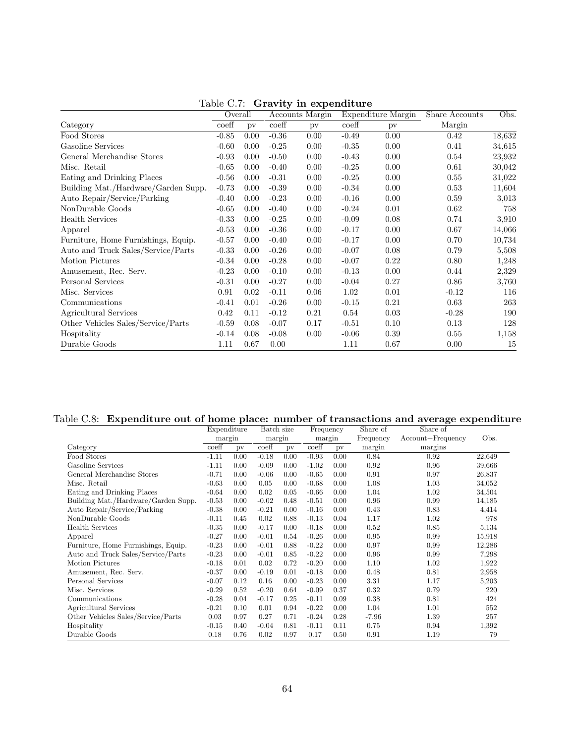|                                     | Overall          |      |         | Accounts Margin |         | Expenditure Margin | Share Accounts | Obs.   |
|-------------------------------------|------------------|------|---------|-----------------|---------|--------------------|----------------|--------|
| Category                            | $\mathrm{coeff}$ | pv   | coeff   | pv              | coeff   | pv                 | Margin         |        |
| Food Stores                         | $-0.85$          | 0.00 | $-0.36$ | 0.00            | $-0.49$ | 0.00               | 0.42           | 18,632 |
| Gasoline Services                   | $-0.60$          | 0.00 | $-0.25$ | 0.00            | $-0.35$ | 0.00               | 0.41           | 34,615 |
| General Merchandise Stores          | $-0.93$          | 0.00 | $-0.50$ | 0.00            | $-0.43$ | 0.00               | 0.54           | 23,932 |
| Misc. Retail                        | $-0.65$          | 0.00 | $-0.40$ | 0.00            | $-0.25$ | 0.00               | 0.61           | 30,042 |
| Eating and Drinking Places          | $-0.56$          | 0.00 | $-0.31$ | 0.00            | $-0.25$ | 0.00               | 0.55           | 31,022 |
| Building Mat./Hardware/Garden Supp. | $-0.73$          | 0.00 | $-0.39$ | 0.00            | $-0.34$ | 0.00               | 0.53           | 11,604 |
| Auto Repair/Service/Parking         | $-0.40$          | 0.00 | $-0.23$ | 0.00            | $-0.16$ | 0.00               | 0.59           | 3,013  |
| NonDurable Goods                    | $-0.65$          | 0.00 | $-0.40$ | 0.00            | $-0.24$ | 0.01               | 0.62           | 758    |
| <b>Health Services</b>              | $-0.33$          | 0.00 | $-0.25$ | 0.00            | $-0.09$ | 0.08               | 0.74           | 3,910  |
| Apparel                             | $-0.53$          | 0.00 | $-0.36$ | 0.00            | $-0.17$ | 0.00               | 0.67           | 14,066 |
| Furniture, Home Furnishings, Equip. | $-0.57$          | 0.00 | $-0.40$ | 0.00            | $-0.17$ | 0.00               | 0.70           | 10,734 |
| Auto and Truck Sales/Service/Parts  | $-0.33$          | 0.00 | $-0.26$ | 0.00            | $-0.07$ | 0.08               | 0.79           | 5,508  |
| <b>Motion Pictures</b>              | $-0.34$          | 0.00 | $-0.28$ | 0.00            | $-0.07$ | 0.22               | 0.80           | 1,248  |
| Amusement, Rec. Serv.               | $-0.23$          | 0.00 | $-0.10$ | 0.00            | $-0.13$ | 0.00               | 0.44           | 2,329  |
| Personal Services                   | $-0.31$          | 0.00 | $-0.27$ | 0.00            | $-0.04$ | 0.27               | 0.86           | 3,760  |
| Misc. Services                      | 0.91             | 0.02 | $-0.11$ | 0.06            | 1.02    | 0.01               | $-0.12$        | 116    |
| Communications                      | $-0.41$          | 0.01 | $-0.26$ | 0.00            | $-0.15$ | 0.21               | 0.63           | 263    |
| Agricultural Services               | 0.42             | 0.11 | $-0.12$ | 0.21            | 0.54    | 0.03               | $-0.28$        | 190    |
| Other Vehicles Sales/Service/Parts  | $-0.59$          | 0.08 | $-0.07$ | 0.17            | $-0.51$ | 0.10               | 0.13           | 128    |
| Hospitality                         | $-0.14$          | 0.08 | $-0.08$ | 0.00            | $-0.06$ | 0.39               | 0.55           | 1,158  |
| Durable Goods                       | 1.11             | 0.67 | 0.00    |                 | 1.11    | 0.67               | 0.00           | 15     |

<span id="page-64-0"></span>Table C.7: Gravity in expenditure

## Table C.8: Expenditure out of home place: number of transactions and average expenditure

<span id="page-64-1"></span>

|                                     | Expenditure               |      | Batch size |      | Frequency                 |      | Share of  | Share of              |        |
|-------------------------------------|---------------------------|------|------------|------|---------------------------|------|-----------|-----------------------|--------|
|                                     | margin                    |      | margin     |      | margin                    |      | Frequency | $Account + Frequency$ | Obs.   |
| Category                            | $\overline{\text{coeff}}$ | pv   | coeff      | pv   | $\overline{\text{coeff}}$ | pv   | margin    | margins               |        |
| Food Stores                         | $-1.11$                   | 0.00 | $-0.18$    | 0.00 | $-0.93$                   | 0.00 | 0.84      | 0.92                  | 22,649 |
| Gasoline Services                   | $-1.11$                   | 0.00 | $-0.09$    | 0.00 | $-1.02$                   | 0.00 | 0.92      | 0.96                  | 39,666 |
| General Merchandise Stores          | $-0.71$                   | 0.00 | $-0.06$    | 0.00 | $-0.65$                   | 0.00 | 0.91      | 0.97                  | 26,837 |
| Misc. Retail                        | $-0.63$                   | 0.00 | 0.05       | 0.00 | $-0.68$                   | 0.00 | 1.08      | 1.03                  | 34,052 |
| Eating and Drinking Places          | $-0.64$                   | 0.00 | 0.02       | 0.05 | $-0.66$                   | 0.00 | 1.04      | 1.02                  | 34,504 |
| Building Mat./Hardware/Garden Supp. | $-0.53$                   | 0.00 | $-0.02$    | 0.48 | $-0.51$                   | 0.00 | 0.96      | 0.99                  | 14,185 |
| Auto Repair/Service/Parking         | $-0.38$                   | 0.00 | $-0.21$    | 0.00 | $-0.16$                   | 0.00 | 0.43      | 0.83                  | 4,414  |
| NonDurable Goods                    | $-0.11$                   | 0.45 | 0.02       | 0.88 | $-0.13$                   | 0.04 | 1.17      | 1.02                  | 978    |
| <b>Health Services</b>              | $-0.35$                   | 0.00 | $-0.17$    | 0.00 | $-0.18$                   | 0.00 | 0.52      | 0.85                  | 5,134  |
| Apparel                             | $-0.27$                   | 0.00 | $-0.01$    | 0.54 | $-0.26$                   | 0.00 | 0.95      | 0.99                  | 15,918 |
| Furniture, Home Furnishings, Equip. | $-0.23$                   | 0.00 | $-0.01$    | 0.88 | $-0.22$                   | 0.00 | 0.97      | 0.99                  | 12,286 |
| Auto and Truck Sales/Service/Parts  | $-0.23$                   | 0.00 | $-0.01$    | 0.85 | $-0.22$                   | 0.00 | 0.96      | 0.99                  | 7,298  |
| Motion Pictures                     | $-0.18$                   | 0.01 | 0.02       | 0.72 | $-0.20$                   | 0.00 | 1.10      | 1.02                  | 1,922  |
| Amusement, Rec. Serv.               | $-0.37$                   | 0.00 | $-0.19$    | 0.01 | $-0.18$                   | 0.00 | 0.48      | 0.81                  | 2,958  |
| Personal Services                   | $-0.07$                   | 0.12 | 0.16       | 0.00 | $-0.23$                   | 0.00 | 3.31      | 1.17                  | 5,203  |
| Misc. Services                      | $-0.29$                   | 0.52 | $-0.20$    | 0.64 | $-0.09$                   | 0.37 | 0.32      | 0.79                  | 220    |
| Communications                      | $-0.28$                   | 0.04 | $-0.17$    | 0.25 | $-0.11$                   | 0.09 | 0.38      | 0.81                  | 424    |
| Agricultural Services               | $-0.21$                   | 0.10 | 0.01       | 0.94 | $-0.22$                   | 0.00 | 1.04      | 1.01                  | 552    |
| Other Vehicles Sales/Service/Parts  | 0.03                      | 0.97 | 0.27       | 0.71 | $-0.24$                   | 0.28 | $-7.96$   | 1.39                  | 257    |
| Hospitality                         | $-0.15$                   | 0.40 | $-0.04$    | 0.81 | $-0.11$                   | 0.11 | 0.75      | 0.94                  | 1,392  |
| Durable Goods                       | 0.18                      | 0.76 | 0.02       | 0.97 | 0.17                      | 0.50 | 0.91      | 1.19                  | 79     |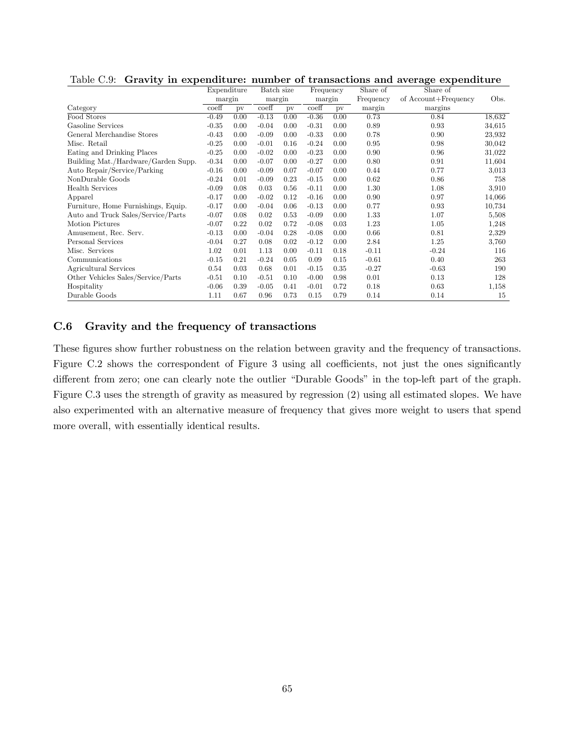|                                     | Expenditure |      | Batch size |      | Frequency                 |      | Share of  | Share of             |        |
|-------------------------------------|-------------|------|------------|------|---------------------------|------|-----------|----------------------|--------|
|                                     | margin      |      | margin     |      | margin                    |      | Frequency | of Account+Frequency | Obs.   |
| Category                            | coeff       | pv   | coeff      | pv   | $\overline{\text{coeff}}$ | pv   | margin    | margins              |        |
| Food Stores                         | $-0.49$     | 0.00 | $-0.13$    | 0.00 | $-0.36$                   | 0.00 | 0.73      | 0.84                 | 18,632 |
| Gasoline Services                   | $-0.35$     | 0.00 | $-0.04$    | 0.00 | $-0.31$                   | 0.00 | 0.89      | 0.93                 | 34.615 |
| General Merchandise Stores          | $-0.43$     | 0.00 | $-0.09$    | 0.00 | $-0.33$                   | 0.00 | 0.78      | 0.90                 | 23,932 |
| Misc. Retail                        | $-0.25$     | 0.00 | $-0.01$    | 0.16 | $-0.24$                   | 0.00 | 0.95      | 0.98                 | 30,042 |
| Eating and Drinking Places          | $-0.25$     | 0.00 | $-0.02$    | 0.00 | $-0.23$                   | 0.00 | 0.90      | 0.96                 | 31,022 |
| Building Mat./Hardware/Garden Supp. | $-0.34$     | 0.00 | $-0.07$    | 0.00 | $-0.27$                   | 0.00 | 0.80      | 0.91                 | 11,604 |
| Auto Repair/Service/Parking         | $-0.16$     | 0.00 | $-0.09$    | 0.07 | $-0.07$                   | 0.00 | 0.44      | 0.77                 | 3,013  |
| NonDurable Goods                    | $-0.24$     | 0.01 | $-0.09$    | 0.23 | $-0.15$                   | 0.00 | 0.62      | 0.86                 | 758    |
| <b>Health Services</b>              | $-0.09$     | 0.08 | 0.03       | 0.56 | $-0.11$                   | 0.00 | 1.30      | 1.08                 | 3,910  |
| Apparel                             | $-0.17$     | 0.00 | $-0.02$    | 0.12 | $-0.16$                   | 0.00 | 0.90      | 0.97                 | 14,066 |
| Furniture, Home Furnishings, Equip. | $-0.17$     | 0.00 | $-0.04$    | 0.06 | $-0.13$                   | 0.00 | 0.77      | 0.93                 | 10,734 |
| Auto and Truck Sales/Service/Parts  | $-0.07$     | 0.08 | 0.02       | 0.53 | $-0.09$                   | 0.00 | 1.33      | 1.07                 | 5,508  |
| Motion Pictures                     | $-0.07$     | 0.22 | 0.02       | 0.72 | $-0.08$                   | 0.03 | 1.23      | 1.05                 | 1,248  |
| Amusement, Rec. Serv.               | $-0.13$     | 0.00 | $-0.04$    | 0.28 | $-0.08$                   | 0.00 | 0.66      | 0.81                 | 2,329  |
| Personal Services                   | $-0.04$     | 0.27 | 0.08       | 0.02 | $-0.12$                   | 0.00 | 2.84      | 1.25                 | 3,760  |
| Misc. Services                      | 1.02        | 0.01 | 1.13       | 0.00 | $-0.11$                   | 0.18 | $-0.11$   | $-0.24$              | 116    |
| Communications                      | $-0.15$     | 0.21 | $-0.24$    | 0.05 | 0.09                      | 0.15 | $-0.61$   | 0.40                 | 263    |
| Agricultural Services               | 0.54        | 0.03 | 0.68       | 0.01 | $-0.15$                   | 0.35 | $-0.27$   | $-0.63$              | 190    |
| Other Vehicles Sales/Service/Parts  | $-0.51$     | 0.10 | $-0.51$    | 0.10 | $-0.00$                   | 0.98 | 0.01      | 0.13                 | 128    |
| Hospitality                         | $-0.06$     | 0.39 | $-0.05$    | 0.41 | $-0.01$                   | 0.72 | 0.18      | 0.63                 | 1,158  |
| Durable Goods                       | 1.11        | 0.67 | 0.96       | 0.73 | 0.15                      | 0.79 | 0.14      | 0.14                 | 15     |

<span id="page-65-0"></span>Table C.9: Gravity in expenditure: number of transactions and average expenditure

### C.6 Gravity and the frequency of transactions

These figures show further robustness on the relation between gravity and the frequency of transactions. Figure [C.2](#page-66-0) shows the correspondent of Figure [3](#page-17-0) using all coefficients, not just the ones significantly different from zero; one can clearly note the outlier "Durable Goods" in the top-left part of the graph. Figure [C.3](#page-67-0) uses the strength of gravity as measured by regression [\(2\)](#page-12-0) using all estimated slopes. We have also experimented with an alternative measure of frequency that gives more weight to users that spend more overall, with essentially identical results.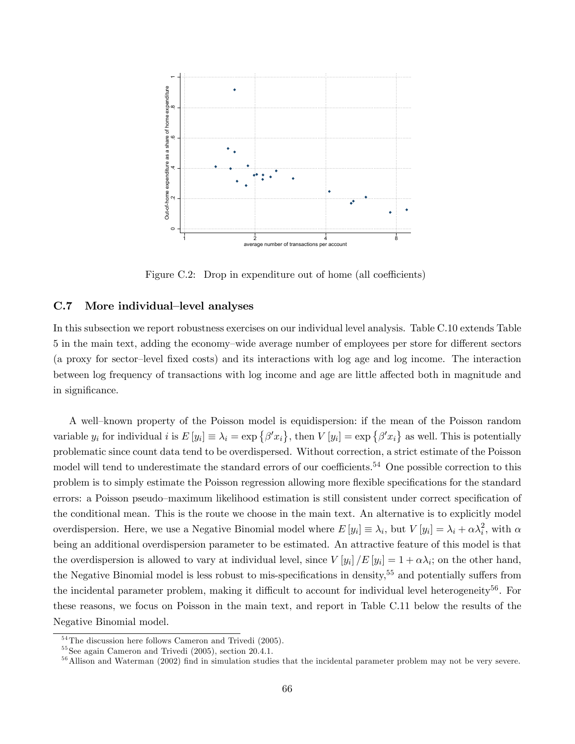

<span id="page-66-0"></span>Figure C.2: Drop in expenditure out of home (all coefficients)

### C.7 More individual-level analyses

In this subsection we report robustness exercises on our individual level analysis. Table [C.10](#page-68-1) extends Table [5](#page-19-0) in the main text, adding the economy–wide average number of employees per store for different sectors (a proxy for sector-level fixed costs) and its interactions with log age and log income. The interaction between log frequency of transactions with log income and age are little affected both in magnitude and in significance.

A well-known property of the Poisson model is equidispersion: if the mean of the Poisson random variable  $y_i$  for individual  $i$  is  $E[y_i] \equiv \lambda_i = \exp\{\beta' x_i\}$ , then  $V[y_i] = \exp\{\beta' x_i\}$  as well. This is potentially problematic since count data tend to be overdispersed. Without correction, a strict estimate of the Poisson model will tend to underestimate the standard errors of our coefficients.<sup>54</sup> One possible correction to this problem is to simply estimate the Poisson regression allowing more flexible specifications for the standard errors: a Poisson pseudo-maximum likelihood estimation is still consistent under correct specification of the conditional mean. This is the route we choose in the main text. An alternative is to explicitly model overdispersion. Here, we use a Negative Binomial model where  $E[y_i] \equiv \lambda_i$ , but  $V[y_i] = \lambda_i + \alpha \lambda_i^2$ , with  $\alpha$ being an additional overdispersion parameter to be estimated. An attractive feature of this model is that the overdispersion is allowed to vary at individual level, since  $V[y_i]/E[y_i] = 1 + \alpha \lambda_i$ ; on the other hand, the Negative Binomial model is less robust to mis-specifications in density,<sup>55</sup> and potentially suffers from the incidental parameter problem, making it difficult to account for individual level heterogeneity<sup>56</sup>. For these reasons, we focus on Poisson in the main text, and report in Table [C.11](#page-69-0) below the results of the Negative Binomial model.

 $54$ The discussion here follows Cameron and Trivedi (2005).

<sup>55</sup>See again Cameron and Trivedi (2005), section 20.4.1.

 $56$  Allison and Waterman (2002) find in simulation studies that the incidental parameter problem may not be very severe.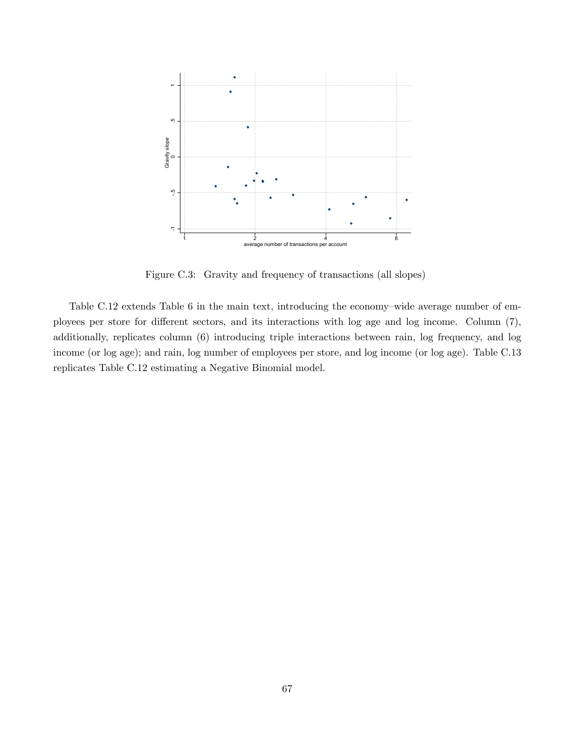

<span id="page-67-0"></span>Figure C.3: Gravity and frequency of transactions (all slopes)

Table [C.12](#page-70-0) extends Table [6](#page-21-0) in the main text, introducing the economy-wide average number of employees per store for different sectors, and its interactions with log age and log income. Column (7), additionally, replicates column (6) introducing triple interactions between rain, log frequency, and log income (or log age); and rain, log number of employees per store, and log income (or log age). Table [C.13](#page-71-0) replicates Table [C.12](#page-70-0) estimating a Negative Binomial model.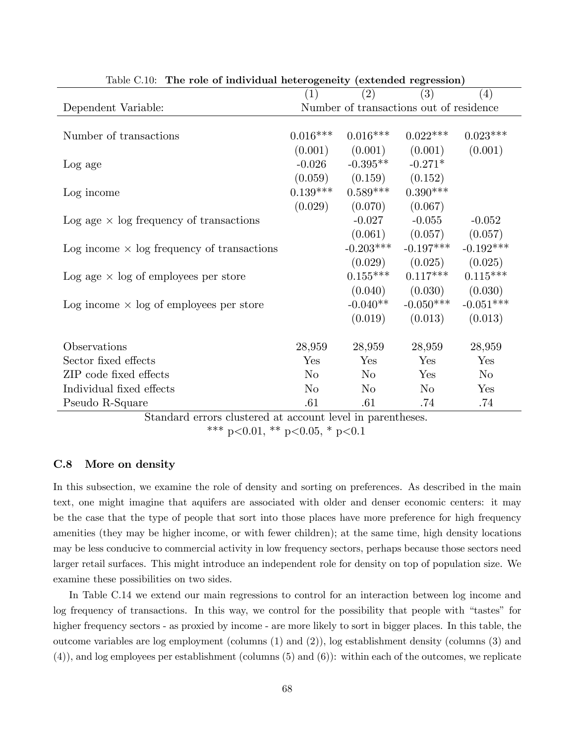| rapic O.IV.<br>The Tole of murviqual neterogeneity (extended regression) |            |                                         |             |                |
|--------------------------------------------------------------------------|------------|-----------------------------------------|-------------|----------------|
|                                                                          | (1)        | (2)                                     | (3)         | (4)            |
| Dependent Variable:                                                      |            | Number of transactions out of residence |             |                |
|                                                                          |            |                                         |             |                |
| Number of transactions                                                   | $0.016***$ | $0.016***$                              | $0.022***$  | $0.023***$     |
|                                                                          | (0.001)    | (0.001)                                 | (0.001)     | (0.001)        |
| Log age                                                                  | $-0.026$   | $-0.395***$                             | $-0.271*$   |                |
|                                                                          |            | $(0.059)$ $(0.159)$ $(0.152)$           |             |                |
| Log income                                                               | $0.139***$ | $0.589***$                              | $0.390***$  |                |
|                                                                          | (0.029)    | (0.070)                                 | (0.067)     |                |
| Log age $\times$ log frequency of transactions                           |            | $-0.027$                                | $-0.055$    | $-0.052$       |
|                                                                          |            | (0.061)                                 | (0.057)     | (0.057)        |
| Log income $\times$ log frequency of transactions                        |            | $-0.203***$                             | $-0.197***$ | $-0.192***$    |
|                                                                          |            | (0.029)                                 | (0.025)     | (0.025)        |
| Log age $\times$ log of employees per store                              |            | $0.155***$                              | $0.117***$  | $0.115***$     |
|                                                                          |            | (0.040)                                 | (0.030)     | (0.030)        |
| Log income $\times$ log of employees per store                           |            | $-0.040**$                              | $-0.050***$ | $-0.051***$    |
|                                                                          |            | (0.019)                                 | (0.013)     | (0.013)        |
|                                                                          |            |                                         |             |                |
| Observations                                                             | 28,959     | 28,959                                  | 28,959      | 28,959         |
| Sector fixed effects                                                     | Yes        | Yes                                     | Yes         | Yes            |
| ZIP code fixed effects                                                   | $\rm No$   | $\rm No$                                | Yes         | N <sub>o</sub> |
| Individual fixed effects                                                 | $\rm No$   | $\rm No$                                | $\rm No$    | Yes            |
| Pseudo R-Square                                                          | .61        | .61                                     | .74         | .74            |

<span id="page-68-1"></span>Table C.10: The role of individual heterogeneity (extended regression)

Standard errors clustered at account level in parentheses.

\*\*\* p<0.01, \*\* p<0.05, \* p<0.1

### <span id="page-68-0"></span>C.8 More on density

In this subsection, we examine the role of density and sorting on preferences. As described in the main text, one might imagine that aquifers are associated with older and denser economic centers: it may be the case that the type of people that sort into those places have more preference for high frequency amenities (they may be higher income, or with fewer children); at the same time, high density locations may be less conducive to commercial activity in low frequency sectors, perhaps because those sectors need larger retail surfaces. This might introduce an independent role for density on top of population size. We examine these possibilities on two sides.

In Table [C.14](#page-72-0) we extend our main regressions to control for an interaction between log income and log frequency of transactions. In this way, we control for the possibility that people with "tastes" for higher frequency sectors - as proxied by income - are more likely to sort in bigger places. In this table, the outcome variables are log employment (columns (1) and (2)), log establishment density (columns (3) and (4)), and log employees per establishment (columns (5) and (6)): within each of the outcomes, we replicate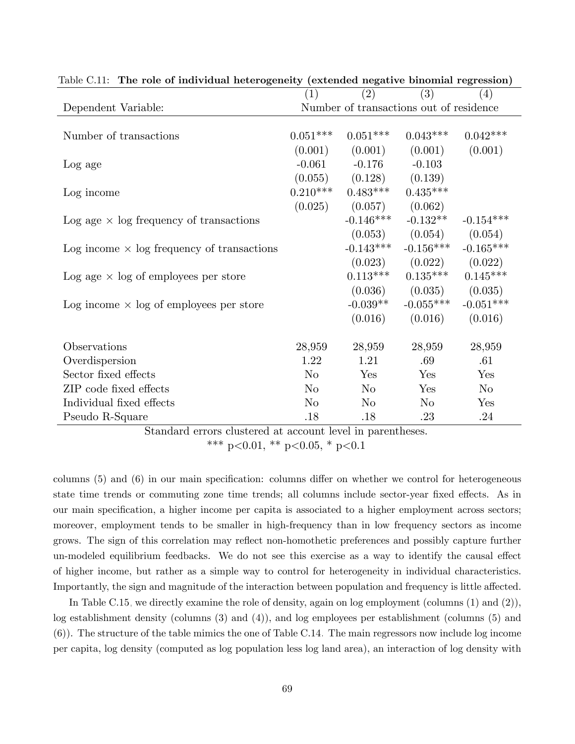<span id="page-69-0"></span>

|                                                   | (1)        | (2)         | (3)                                     | (4)            |
|---------------------------------------------------|------------|-------------|-----------------------------------------|----------------|
| Dependent Variable:                               |            |             | Number of transactions out of residence |                |
|                                                   |            |             |                                         |                |
| Number of transactions                            | $0.051***$ | $0.051***$  | $0.043***$                              | $0.042***$     |
|                                                   | (0.001)    | (0.001)     | (0.001)                                 | (0.001)        |
| Log age                                           | $-0.061$   | $-0.176$    | $-0.103$                                |                |
|                                                   | (0.055)    | (0.128)     | (0.139)                                 |                |
| Log income                                        | $0.210***$ | $0.483***$  | $0.435***$                              |                |
|                                                   | (0.025)    | (0.057)     | (0.062)                                 |                |
| Log age $\times$ log frequency of transactions    |            | $-0.146***$ | $-0.132**$                              | $-0.154***$    |
|                                                   |            | (0.053)     | (0.054)                                 | (0.054)        |
| Log income $\times$ log frequency of transactions |            | $-0.143***$ | $-0.156***$                             | $-0.165***$    |
|                                                   |            | (0.023)     | (0.022)                                 | (0.022)        |
| Log age $\times$ log of employees per store       |            | $0.113***$  | $0.135***$                              | $0.145***$     |
|                                                   |            | (0.036)     | (0.035)                                 | (0.035)        |
| Log income $\times$ log of employees per store    |            | $-0.039**$  | $-0.055***$                             | $-0.051***$    |
|                                                   |            | (0.016)     | (0.016)                                 | (0.016)        |
| Observations                                      | 28,959     | 28,959      | 28,959                                  | 28,959         |
| Overdispersion                                    | 1.22       | 1.21        | .69                                     | .61            |
| Sector fixed effects                              | $\rm No$   | Yes         | Yes                                     | Yes            |
| ZIP code fixed effects                            | $\rm No$   | $\rm No$    | Yes                                     | N <sub>o</sub> |
| Individual fixed effects                          | $\rm No$   | $\rm No$    | $\rm No$                                | Yes            |
| Pseudo R-Square                                   | .18        | .18         | .23                                     | .24            |

Table C.11: The role of individual heterogeneity (extended negative binomial regression)

Standard errors clustered at account level in parentheses. \*\*\* p<0.01, \*\* p<0.05, \* p<0.1

columns  $(5)$  and  $(6)$  in our main specification: columns differ on whether we control for heterogeneous state time trends or commuting zone time trends; all columns include sector-year fixed effects. As in our main specification, a higher income per capita is associated to a higher employment across sectors; moreover, employment tends to be smaller in high-frequency than in low frequency sectors as income grows. The sign of this correlation may reflect non-homothetic preferences and possibly capture further un-modeled equilibrium feedbacks. We do not see this exercise as a way to identify the causal effect of higher income, but rather as a simple way to control for heterogeneity in individual characteristics. Importantly, the sign and magnitude of the interaction between population and frequency is little affected.

In Table [C.15,](#page-73-0) we directly examine the role of density, again on log employment (columns (1) and (2)), log establishment density (columns (3) and (4)), and log employees per establishment (columns (5) and (6)). The structure of the table mimics the one of Table [C.14.](#page-72-0) The main regressors now include log income per capita, log density (computed as log population less log land area), an interaction of log density with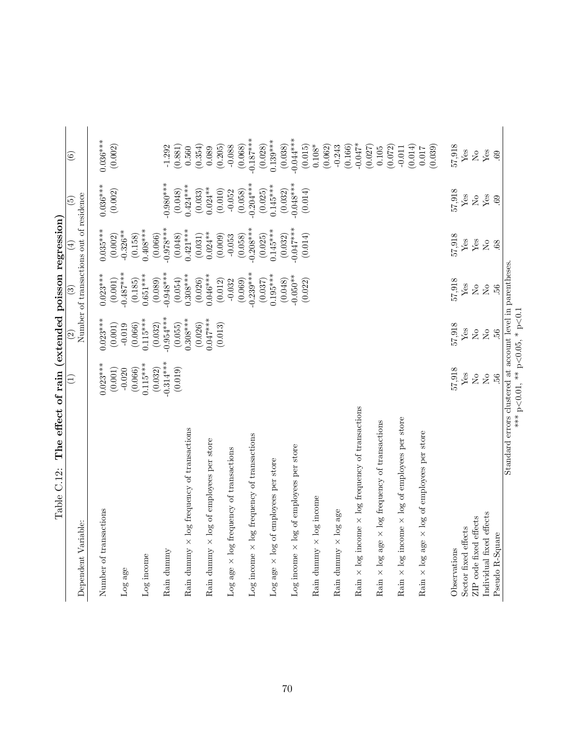<span id="page-70-0"></span>

|                                                                    |                | $\widehat{\mathfrak{S}}$ | ನಾ                    | $\widehat{\mathbb{F}}$                  | $\widetilde{5}$           |                                                                        |
|--------------------------------------------------------------------|----------------|--------------------------|-----------------------|-----------------------------------------|---------------------------|------------------------------------------------------------------------|
| Dependent Variable:                                                |                |                          |                       | Number of transactions out of residence |                           | $\odot$                                                                |
| Number of transactions                                             | $0.023***$     | $0.023***$               | $0.023***$            | $0.035***$                              | $0.036***$                | $0.036***$                                                             |
|                                                                    | (0.001)        | (0.001)                  | (0.001)               | (0.002)                                 | (0.002)                   | (0.002)                                                                |
| $Log$ age                                                          | $-0.020$       | $-0.019$                 | $-0.487***$           | $0.326**$                               |                           |                                                                        |
|                                                                    | (0.066)        | (0.066)                  | (0.185)               | (0.158)                                 |                           |                                                                        |
| Log income                                                         | $0.115***$     | $0.115***$               | $0.651***$            | $0.408***$                              |                           |                                                                        |
|                                                                    | (0.032)        | (0.032)                  | (0.089)               | (0.066)                                 |                           |                                                                        |
| Rain dummy                                                         | $-0.314***$    | $-0.954***$              | $-0.948***$           | $0.978***$                              | $-0.980***$               | $-1.292$                                                               |
|                                                                    | (0.019)        | (0.055)                  | (0.054)               | (0.048)                                 | (0.048)                   | (0.881)                                                                |
| $\times$ log frequency of transactions<br>Rain dummy               |                | $0.308***$               | $0.308***$            | $0.421***$                              | $0.424***$                | 0.560                                                                  |
|                                                                    |                | $0.047***$<br>(0.026)    | $0.046***$<br>(0.026) | $0.024**$<br>(0.031)                    | $0.024***$<br>(0.033)     | (0.354)                                                                |
| x log of employees per store<br>Rain dummy                         |                | (0.013)                  | (0.012)               | (0.009)                                 | (0.010)                   | (0.205)<br>0.089                                                       |
| Log age $\times$ log frequency of transactions                     |                |                          | $-0.032$              | $-0.053$                                | $-0.052$                  | $-0.088$                                                               |
|                                                                    |                |                          | (0.069)               | (0.058)                                 | (0.058)                   | (0.068)                                                                |
| $\operatorname{Log}$ income $\times$ log frequency of transactions |                |                          | $0.239***$            | $0.208***$                              | $0.204***$                | $0.187***$                                                             |
|                                                                    |                |                          | (0.037)               | (0.025)                                 | (0.025)                   | (0.028)                                                                |
| Log age $\times$ log of employees per store                        |                |                          | $0.195***$            | $0.145***$                              | $0.145***$                | $0.139***$                                                             |
|                                                                    |                |                          | (0.048)               | (0.032)                                 | (0.032)                   | (0.038)                                                                |
| Log income $\times$ log of employees per store                     |                |                          | $0.050**$             | $0.047***$                              | $0.048***$                | $0.044***$                                                             |
|                                                                    |                |                          | (0.022)               | (0.014)                                 | (0.014)                   | (0.015)                                                                |
| Rain dummy $\times$ log income                                     |                |                          |                       |                                         |                           | $0.108*$                                                               |
|                                                                    |                |                          |                       |                                         |                           | (0.062)<br>$-0.243$                                                    |
| Rain dummy $\times$ log age                                        |                |                          |                       |                                         |                           | (0.166)                                                                |
| Rain $\times$ log income $\times$ log frequency of transactions    |                |                          |                       |                                         |                           | $-0.047*$                                                              |
|                                                                    |                |                          |                       |                                         |                           | (0.027)                                                                |
| Rain $\times$ log age $\times$ log frequency of transactions       |                |                          |                       |                                         |                           | 0.105                                                                  |
|                                                                    |                |                          |                       |                                         |                           | (0.072)                                                                |
| Rain $\times$ log income $\times$ log of employees per store       |                |                          |                       |                                         |                           | (0.014)<br>$-0.011$                                                    |
| Rain $\times$ log age $\times$ log of employees per store          |                |                          |                       |                                         |                           | 0.017                                                                  |
|                                                                    |                |                          |                       |                                         |                           | (0.039)                                                                |
| Observations                                                       | 57,918         | 57,918                   | 57,918                | 57,918                                  | 57,918                    | 57,918                                                                 |
| Sector fixed effects                                               | ${\rm Yes}$    | ${\it Yes}$              | Yes                   | ${\rm Yes}$                             | ${\it Yes}$               | ${\it Yes}$                                                            |
| ZIP code fixed effects                                             | $\rm _{No}$    | $\overline{M}$           | $\overline{M}$        | ${\rm Yes}$                             | $\rm \stackrel{\circ}{R}$ | $\rm \stackrel{\circ}{\rm \stackrel{\circ}{\rm \scriptscriptstyle M}}$ |
| Individual fixed effects                                           | $\overline{N}$ | $\overline{N}$           | $\overline{R}$        | $\overline{S}$                          | Yes                       | ${\rm Yes}$                                                            |
| Pseudo R-Square                                                    | 56.            | .56                      | 56.                   | 68                                      | 69                        | 69                                                                     |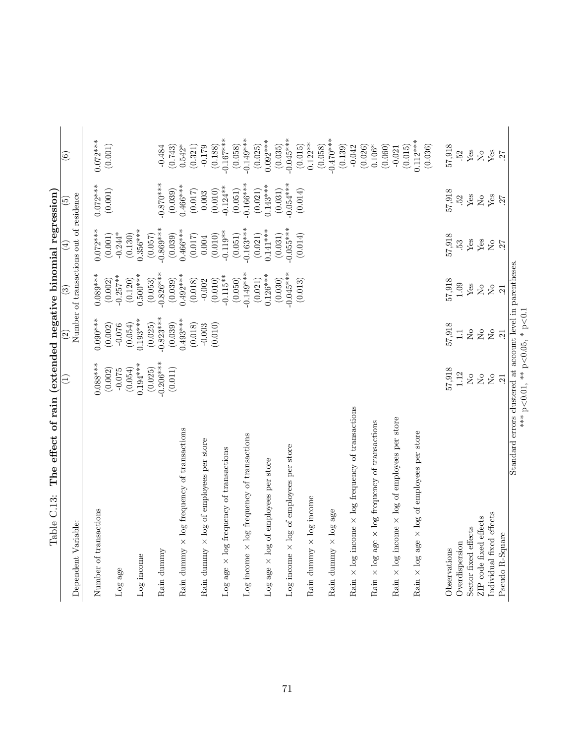<span id="page-71-0"></span>

| $\left(1\right)$ | $\widehat{2}$                                                                                                                                                           | $\widehat{c}$                                                                                                                                                                                                      | $(\pm)$                                                                                                                                                                                                                                   | $\widetilde{\mathbf{5}}$                                                                                                                                                                                                                                                                                              | $\circledS$                                                                                                                                                                                                                                                                                                                                       |
|------------------|-------------------------------------------------------------------------------------------------------------------------------------------------------------------------|--------------------------------------------------------------------------------------------------------------------------------------------------------------------------------------------------------------------|-------------------------------------------------------------------------------------------------------------------------------------------------------------------------------------------------------------------------------------------|-----------------------------------------------------------------------------------------------------------------------------------------------------------------------------------------------------------------------------------------------------------------------------------------------------------------------|---------------------------------------------------------------------------------------------------------------------------------------------------------------------------------------------------------------------------------------------------------------------------------------------------------------------------------------------------|
|                  |                                                                                                                                                                         |                                                                                                                                                                                                                    |                                                                                                                                                                                                                                           |                                                                                                                                                                                                                                                                                                                       |                                                                                                                                                                                                                                                                                                                                                   |
|                  |                                                                                                                                                                         |                                                                                                                                                                                                                    |                                                                                                                                                                                                                                           | $0.072***$                                                                                                                                                                                                                                                                                                            | $0.072***$                                                                                                                                                                                                                                                                                                                                        |
| (0.002)          | (0.002)                                                                                                                                                                 | (0.002)                                                                                                                                                                                                            | (0.001)                                                                                                                                                                                                                                   | (0.001)                                                                                                                                                                                                                                                                                                               | (0.001)                                                                                                                                                                                                                                                                                                                                           |
|                  |                                                                                                                                                                         |                                                                                                                                                                                                                    |                                                                                                                                                                                                                                           |                                                                                                                                                                                                                                                                                                                       |                                                                                                                                                                                                                                                                                                                                                   |
| (0.054)          | (0.054)                                                                                                                                                                 | (0.120)                                                                                                                                                                                                            |                                                                                                                                                                                                                                           |                                                                                                                                                                                                                                                                                                                       |                                                                                                                                                                                                                                                                                                                                                   |
|                  |                                                                                                                                                                         |                                                                                                                                                                                                                    |                                                                                                                                                                                                                                           |                                                                                                                                                                                                                                                                                                                       |                                                                                                                                                                                                                                                                                                                                                   |
| $-0.206***$      | $-0.823***$                                                                                                                                                             | $-0.826***$                                                                                                                                                                                                        | $0.869***$                                                                                                                                                                                                                                | $-0.870$ ***                                                                                                                                                                                                                                                                                                          | $-0.484$                                                                                                                                                                                                                                                                                                                                          |
| (0.011)          | (0.039)                                                                                                                                                                 | (0.039)                                                                                                                                                                                                            | (0.039)                                                                                                                                                                                                                                   | (0.039)                                                                                                                                                                                                                                                                                                               | $(0.743)$<br>0.542*                                                                                                                                                                                                                                                                                                                               |
|                  |                                                                                                                                                                         | $0.492***$                                                                                                                                                                                                         |                                                                                                                                                                                                                                           |                                                                                                                                                                                                                                                                                                                       |                                                                                                                                                                                                                                                                                                                                                   |
|                  |                                                                                                                                                                         |                                                                                                                                                                                                                    |                                                                                                                                                                                                                                           |                                                                                                                                                                                                                                                                                                                       | (0.321)                                                                                                                                                                                                                                                                                                                                           |
|                  |                                                                                                                                                                         |                                                                                                                                                                                                                    |                                                                                                                                                                                                                                           |                                                                                                                                                                                                                                                                                                                       | (0.188)<br>$-0.179$                                                                                                                                                                                                                                                                                                                               |
|                  |                                                                                                                                                                         | $-0.115**$                                                                                                                                                                                                         |                                                                                                                                                                                                                                           |                                                                                                                                                                                                                                                                                                                       | $0.167***$                                                                                                                                                                                                                                                                                                                                        |
|                  |                                                                                                                                                                         | (0.050)                                                                                                                                                                                                            | (0.051)                                                                                                                                                                                                                                   | (0.051)                                                                                                                                                                                                                                                                                                               | (0.058)                                                                                                                                                                                                                                                                                                                                           |
|                  |                                                                                                                                                                         |                                                                                                                                                                                                                    |                                                                                                                                                                                                                                           |                                                                                                                                                                                                                                                                                                                       | $0.149***$<br>(0.025)                                                                                                                                                                                                                                                                                                                             |
|                  |                                                                                                                                                                         |                                                                                                                                                                                                                    |                                                                                                                                                                                                                                           |                                                                                                                                                                                                                                                                                                                       | $0.092***$                                                                                                                                                                                                                                                                                                                                        |
|                  |                                                                                                                                                                         | (0.030)                                                                                                                                                                                                            | (0.031)                                                                                                                                                                                                                                   |                                                                                                                                                                                                                                                                                                                       | (0.035)                                                                                                                                                                                                                                                                                                                                           |
|                  |                                                                                                                                                                         | $-0.045***$                                                                                                                                                                                                        | $0.055***$                                                                                                                                                                                                                                | $-0.054***$                                                                                                                                                                                                                                                                                                           | $0.045***$                                                                                                                                                                                                                                                                                                                                        |
|                  |                                                                                                                                                                         |                                                                                                                                                                                                                    |                                                                                                                                                                                                                                           |                                                                                                                                                                                                                                                                                                                       | (0.015)                                                                                                                                                                                                                                                                                                                                           |
|                  |                                                                                                                                                                         |                                                                                                                                                                                                                    |                                                                                                                                                                                                                                           |                                                                                                                                                                                                                                                                                                                       | $0.122**$                                                                                                                                                                                                                                                                                                                                         |
|                  |                                                                                                                                                                         |                                                                                                                                                                                                                    |                                                                                                                                                                                                                                           |                                                                                                                                                                                                                                                                                                                       | $0.470***$<br>(0.058)                                                                                                                                                                                                                                                                                                                             |
|                  |                                                                                                                                                                         |                                                                                                                                                                                                                    |                                                                                                                                                                                                                                           |                                                                                                                                                                                                                                                                                                                       | (0.139)                                                                                                                                                                                                                                                                                                                                           |
|                  |                                                                                                                                                                         |                                                                                                                                                                                                                    |                                                                                                                                                                                                                                           |                                                                                                                                                                                                                                                                                                                       | $-0.042$                                                                                                                                                                                                                                                                                                                                          |
|                  |                                                                                                                                                                         |                                                                                                                                                                                                                    |                                                                                                                                                                                                                                           |                                                                                                                                                                                                                                                                                                                       | (0.026)                                                                                                                                                                                                                                                                                                                                           |
|                  |                                                                                                                                                                         |                                                                                                                                                                                                                    |                                                                                                                                                                                                                                           |                                                                                                                                                                                                                                                                                                                       | (0.060)<br>$0.106*$                                                                                                                                                                                                                                                                                                                               |
|                  |                                                                                                                                                                         |                                                                                                                                                                                                                    |                                                                                                                                                                                                                                           |                                                                                                                                                                                                                                                                                                                       | $-0.021$                                                                                                                                                                                                                                                                                                                                          |
|                  |                                                                                                                                                                         |                                                                                                                                                                                                                    |                                                                                                                                                                                                                                           |                                                                                                                                                                                                                                                                                                                       | $0.112***$<br>(0.015)                                                                                                                                                                                                                                                                                                                             |
|                  |                                                                                                                                                                         |                                                                                                                                                                                                                    |                                                                                                                                                                                                                                           |                                                                                                                                                                                                                                                                                                                       | (0.036)                                                                                                                                                                                                                                                                                                                                           |
|                  |                                                                                                                                                                         |                                                                                                                                                                                                                    | 57,918                                                                                                                                                                                                                                    |                                                                                                                                                                                                                                                                                                                       | 57,918                                                                                                                                                                                                                                                                                                                                            |
| 1.12             | $\Box$                                                                                                                                                                  | 1.09                                                                                                                                                                                                               | 53                                                                                                                                                                                                                                        | 52                                                                                                                                                                                                                                                                                                                    | 52.                                                                                                                                                                                                                                                                                                                                               |
| $\rm _{NO}$      | $\rm \stackrel{\circ}{\rm \stackrel{\circ}{\rm \scriptstyle X}}$                                                                                                        | ${\rm Yes}$                                                                                                                                                                                                        | ${\rm Yes}$                                                                                                                                                                                                                               | Yes                                                                                                                                                                                                                                                                                                                   | ${\rm Yes}$                                                                                                                                                                                                                                                                                                                                       |
|                  |                                                                                                                                                                         |                                                                                                                                                                                                                    |                                                                                                                                                                                                                                           |                                                                                                                                                                                                                                                                                                                       | $\rm _{NO}^{\circ}$                                                                                                                                                                                                                                                                                                                               |
|                  |                                                                                                                                                                         |                                                                                                                                                                                                                    |                                                                                                                                                                                                                                           |                                                                                                                                                                                                                                                                                                                       | ${\rm Yes}$                                                                                                                                                                                                                                                                                                                                       |
|                  |                                                                                                                                                                         |                                                                                                                                                                                                                    |                                                                                                                                                                                                                                           |                                                                                                                                                                                                                                                                                                                       | 27                                                                                                                                                                                                                                                                                                                                                |
|                  |                                                                                                                                                                         |                                                                                                                                                                                                                    |                                                                                                                                                                                                                                           |                                                                                                                                                                                                                                                                                                                       |                                                                                                                                                                                                                                                                                                                                                   |
|                  | $0.088***$<br>$0.194***$<br>(0.025)<br>57,918<br>$-0.075$<br>$\rm \stackrel{\circ}{\rm \stackrel{\circ}{\rm \scriptscriptstyle M}}$<br>$\stackrel{\circ}{\simeq}$<br>21 | $0.090***$<br>$0.193***$<br>$0.493***$<br>(0.025)<br>(0.018)<br>57,918<br>(0.010)<br>$-0.076$<br>$-0.003$<br>$\rm \stackrel{\circ}{\rm \stackrel{\circ}{\rm \scriptscriptstyle M}}$<br>$\mathop{\mathsf{S}}$<br>21 | $0.149***$<br>$0.089***$<br>$0.126***$<br>$0.257***$<br>$0.500***$<br>(0.053)<br>(0.010)<br>(0.021)<br>(0.018)<br>57,918<br>(0.013)<br>$-0.002$<br>$\overline{S}$<br>$\overline{R}$<br>21<br>*** $p < 0.01$ , ** $p < 0.05$ , * $p < 0.1$ | $0.163***$<br>$0.356***$<br>$0.466***$<br>$0.141***$<br>$0.072***$<br>$-0.119**$<br>$-0.244*$<br>(0.130)<br>(0.021)<br>(0.010)<br>(0.014)<br>(0.057)<br>(0.017)<br>$0.004\,$<br>${\rm Yes}$<br>$\rm \stackrel{\circ}{\rm \hspace{0.05cm} \Sigma}$<br>27<br>Standard errors clustered at account level in parentheses. | $0.166***$<br>$0.466***$<br>$0.143***$<br>$0.124***$<br>(0.021)<br>(0.010)<br>(0.031)<br>(0.017)<br>(0.014)<br>57,918<br>0.003<br>The enect of train (exhended megan political research<br>Number of transactions out of residence<br>$\ensuremath{\mathrm{Yes}}$<br>$\rm \stackrel{\circ}{\rm \stackrel{\circ}{\rm \scriptscriptstyle M}}$<br>27 |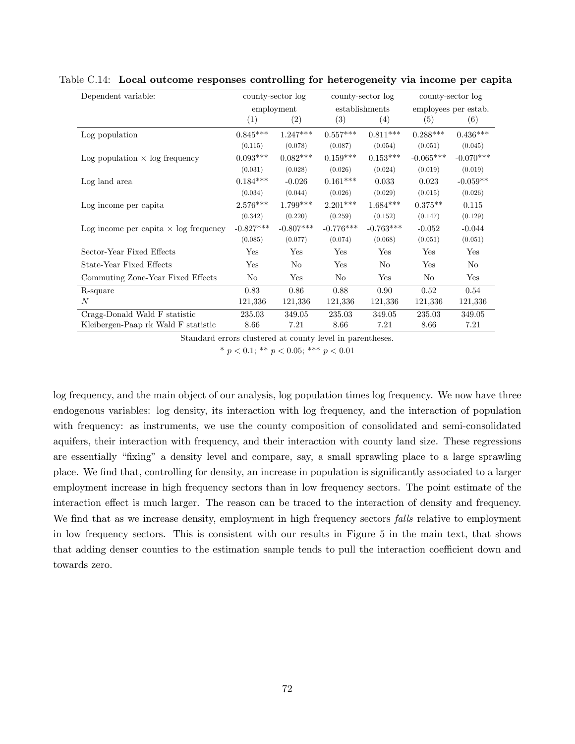| Dependent variable:                          | county-sector log |             |             | county-sector log | county-sector log    |             |  |
|----------------------------------------------|-------------------|-------------|-------------|-------------------|----------------------|-------------|--|
|                                              |                   | employment  |             | establishments    | employees per estab. |             |  |
|                                              | $\left( 1\right)$ | (2)         | (3)         | (4)               | (5)                  | (6)         |  |
| Log population                               | $0.845***$        | $1.247***$  | $0.557***$  | $0.811***$        | $0.288***$           | $0.436***$  |  |
|                                              | (0.115)           | (0.078)     | (0.087)     | (0.054)           | (0.051)              | (0.045)     |  |
| Log population $\times$ log frequency        | $0.093***$        | $0.082***$  | $0.159***$  | $0.153***$        | $-0.065***$          | $-0.070***$ |  |
|                                              | (0.031)           | (0.028)     | (0.026)     | (0.024)           | (0.019)              | (0.019)     |  |
| Log land area                                | $0.184***$        | $-0.026$    | $0.161***$  | 0.033             | 0.023                | $-0.059**$  |  |
|                                              | (0.034)           | (0.044)     | (0.026)     | (0.029)           | (0.015)              | (0.026)     |  |
| Log income per capita                        | $2.576***$        | $1.799***$  | $2.201***$  | $1.684***$        | $0.375**$            | 0.115       |  |
|                                              | (0.342)           | (0.220)     | (0.259)     | (0.152)           | (0.147)              | (0.129)     |  |
| Log income per capita $\times$ log frequency | $-0.827***$       | $-0.807***$ | $-0.776***$ | $-0.763***$       | $-0.052$             | $-0.044$    |  |
|                                              | (0.085)           | (0.077)     | (0.074)     | (0.068)           | (0.051)              | (0.051)     |  |
| Sector-Year Fixed Effects                    | Yes               | Yes         | Yes         | Yes               | Yes                  | Yes         |  |
| State-Year Fixed Effects                     | Yes               | No          | Yes         | No                | Yes                  | No          |  |
| Commuting Zone-Year Fixed Effects            | No                | Yes         | No          | Yes               | No                   | Yes         |  |
| R-square                                     | 0.83              | 0.86        | 0.88        | 0.90              | 0.52                 | 0.54        |  |
| $\boldsymbol{N}$                             | 121,336           | 121,336     | 121,336     | 121,336           | 121,336              | 121,336     |  |
| Cragg-Donald Wald F statistic                | 235.03            | 349.05      | 235.03      | 349.05            | 235.03               | 349.05      |  |
| Kleibergen-Paap rk Wald F statistic          | 8.66              | 7.21        | 8.66        | 7.21              | 8.66                 | 7.21        |  |

Table C.14: Local outcome responses controlling for heterogeneity via income per capita

\*  $p < 0.1$ ; \*\*  $p < 0.05$ ; \*\*\*  $p < 0.01$ 

log frequency, and the main object of our analysis, log population times log frequency. We now have three endogenous variables: log density, its interaction with log frequency, and the interaction of population with frequency: as instruments, we use the county composition of consolidated and semi-consolidated aquifers, their interaction with frequency, and their interaction with county land size. These regressions are essentially "fixing" a density level and compare, say, a small sprawling place to a large sprawling place. We find that, controlling for density, an increase in population is significantly associated to a larger employment increase in high frequency sectors than in low frequency sectors. The point estimate of the interaction effect is much larger. The reason can be traced to the interaction of density and frequency. We find that as we increase density, employment in high frequency sectors *falls* relative to employment in low frequency sectors. This is consistent with our results in Figure [5](#page-36-0) in the main text, that shows that adding denser counties to the estimation sample tends to pull the interaction coefficient down and towards zero.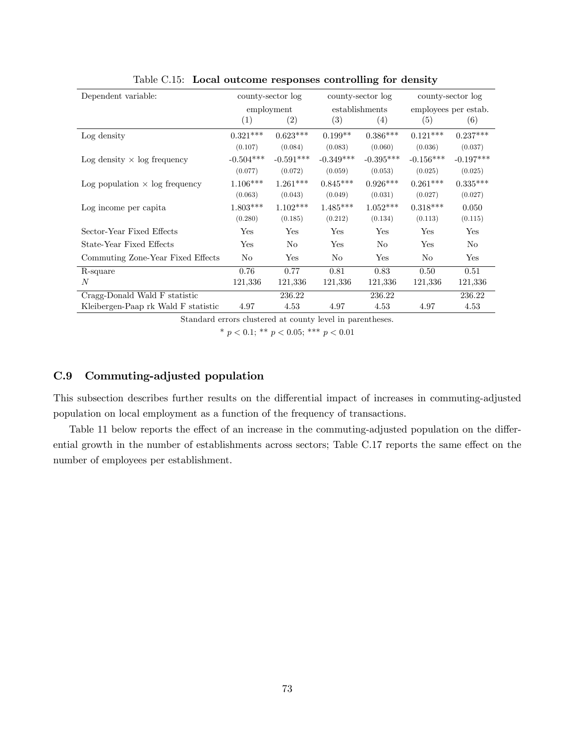| Dependent variable:                   | county-sector log |                |             | county-sector log | county-sector log    |                |  |
|---------------------------------------|-------------------|----------------|-------------|-------------------|----------------------|----------------|--|
|                                       |                   | employment     |             | establishments    | employees per estab. |                |  |
|                                       | (1)               | (2)            | (3)         | (4)               | (5)                  | (6)            |  |
| Log density                           | $0.321***$        | $0.623***$     | $0.199**$   | $0.386***$        | $0.121***$           | $0.237***$     |  |
|                                       | (0.107)           | (0.084)        | (0.083)     | (0.060)           | (0.036)              | (0.037)        |  |
| Log density $\times$ log frequency    | $-0.504***$       | $-0.591***$    | $-0.349***$ | $-0.395***$       | $-0.156***$          | $-0.197***$    |  |
|                                       | (0.077)           | (0.072)        | (0.059)     | (0.053)           | (0.025)              | (0.025)        |  |
| Log population $\times$ log frequency | $1.106***$        | $1.261***$     | $0.845***$  | $0.926***$        | $0.261***$           | $0.335***$     |  |
|                                       | (0.063)           | (0.043)        | (0.049)     | (0.031)           | (0.027)              | (0.027)        |  |
| Log income per capita                 | $1.803***$        | $1.102***$     | $1.485***$  | $1.052***$        | $0.318***$           | 0.050          |  |
|                                       | (0.280)           | (0.185)        | (0.212)     | (0.134)           | (0.113)              | (0.115)        |  |
| Sector-Year Fixed Effects             | Yes               | $_{\rm Yes}$   | Yes         | Yes               | Yes                  | Yes            |  |
| State-Year Fixed Effects              | Yes               | N <sub>o</sub> | Yes         | N <sub>o</sub>    | Yes                  | N <sub>o</sub> |  |
| Commuting Zone-Year Fixed Effects     | No                | Yes            | No          | Yes               | N <sub>o</sub>       | Yes            |  |
| R-square                              | 0.76              | 0.77           | 0.81        | 0.83              | 0.50                 | 0.51           |  |
| $\overline{N}$                        | 121,336           | 121,336        | 121,336     | 121,336           | 121,336              | 121,336        |  |
| Cragg-Donald Wald F statistic         |                   | 236.22         |             | 236.22            |                      | 236.22         |  |
| Kleibergen-Paap rk Wald F statistic   | 4.97              | 4.53           | 4.97        | 4.53              | 4.97                 | 4.53           |  |

Table C.15: Local outcome responses controlling for density

\*  $p < 0.1$ ; \*\*  $p < 0.05$ ; \*\*\*  $p < 0.01$ 

# C.9 Commuting-adjusted population

This subsection describes further results on the differential impact of increases in commuting-adjusted population on local employment as a function of the frequency of transactions.

Table [11](#page-39-0) below reports the effect of an increase in the commuting-adjusted population on the differ-ential growth in the number of establishments across sectors; Table [C.17](#page-75-0) reports the same effect on the number of employees per establishment.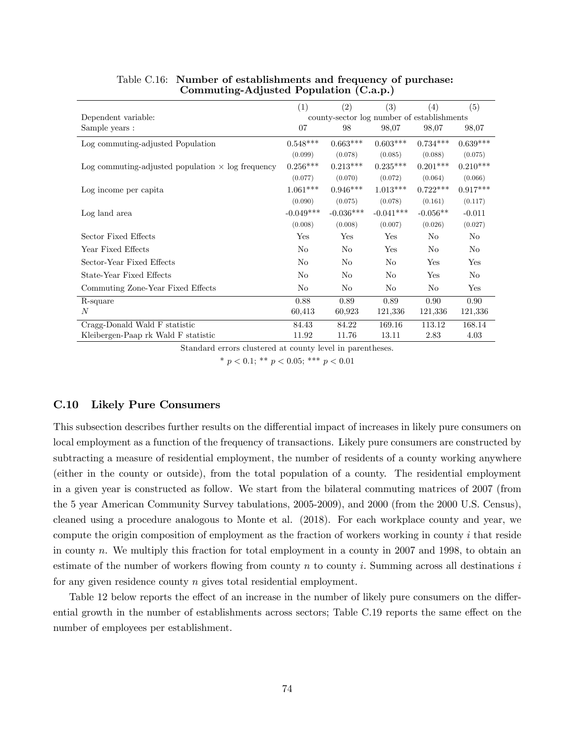|                                                          | (1)         | (2)            | (3)                                        | (4)            | (5)        |
|----------------------------------------------------------|-------------|----------------|--------------------------------------------|----------------|------------|
| Dependent variable:                                      |             |                | county-sector log number of establishments |                |            |
| Sample years :                                           | 07          | 98             | 98,07                                      | 98,07          | 98,07      |
| Log commuting-adjusted Population                        | $0.548***$  | $0.663***$     | $0.603***$                                 | $0.734***$     | $0.639***$ |
|                                                          | (0.099)     | (0.078)        | (0.085)                                    | (0.088)        | (0.075)    |
| Log commuting-adjusted population $\times$ log frequency | $0.256***$  | $0.213***$     | $0.235***$                                 | $0.201***$     | $0.210***$ |
|                                                          | (0.077)     | (0.070)        | (0.072)                                    | (0.064)        | (0.066)    |
| Log income per capita                                    | $1.061***$  | $0.946***$     | $1.013***$                                 | $0.722***$     | $0.917***$ |
|                                                          | (0.090)     | (0.075)        | (0.078)                                    | (0.161)        | (0.117)    |
| Log land area                                            | $-0.049***$ | $-0.036***$    | $-0.041***$                                | $-0.056**$     | $-0.011$   |
|                                                          | (0.008)     | (0.008)        | (0.007)                                    | (0.026)        | (0.027)    |
| Sector Fixed Effects                                     | Yes         | Yes            | Yes                                        | N <sub>o</sub> | No.        |
| Year Fixed Effects                                       | No          | No             | Yes                                        | No             | No         |
| Sector-Year Fixed Effects                                | No          | No             | N <sub>0</sub>                             | Yes            | Yes        |
| State-Year Fixed Effects                                 | No          | No             | No                                         | Yes            | No         |
| Commuting Zone-Year Fixed Effects                        | No          | N <sub>o</sub> | N <sub>0</sub>                             | N <sub>o</sub> | Yes        |
| R-square                                                 | 0.88        | 0.89           | 0.89                                       | 0.90           | 0.90       |
| N                                                        | 60,413      | 60,923         | 121,336                                    | 121,336        | 121,336    |
| Cragg-Donald Wald F statistic                            | 84.43       | 84.22          | 169.16                                     | 113.12         | 168.14     |
| Kleibergen-Paap rk Wald F statistic                      | 11.92       | 11.76          | 13.11                                      | 2.83           | 4.03       |

Table C.16: Number of establishments and frequency of purchase: Commuting-Adjusted Population (C.a.p.)

\*  $p < 0.1$ ; \*\*  $p < 0.05$ ; \*\*\*  $p < 0.01$ 

### C.10 Likely Pure Consumers

This subsection describes further results on the differential impact of increases in likely pure consumers on local employment as a function of the frequency of transactions. Likely pure consumers are constructed by subtracting a measure of residential employment, the number of residents of a county working anywhere (either in the county or outside), from the total population of a county. The residential employment in a given year is constructed as follow. We start from the bilateral commuting matrices of 2007 (from the 5 year American Community Survey tabulations, 2005-2009), and 2000 (from the 2000 U.S. Census), cleaned using a procedure analogous to Monte et al. (2018). For each workplace county and year, we compute the origin composition of employment as the fraction of workers working in county  $i$  that reside in county n. We multiply this fraction for total employment in a county in 2007 and 1998, to obtain an estimate of the number of workers flowing from county n to county i. Summing across all destinations  $i$ for any given residence county  $n$  gives total residential employment.

Table [12](#page-40-0) below reports the effect of an increase in the number of likely pure consumers on the differ-ential growth in the number of establishments across sectors; Table [C.19](#page-77-0) reports the same effect on the number of employees per establishment.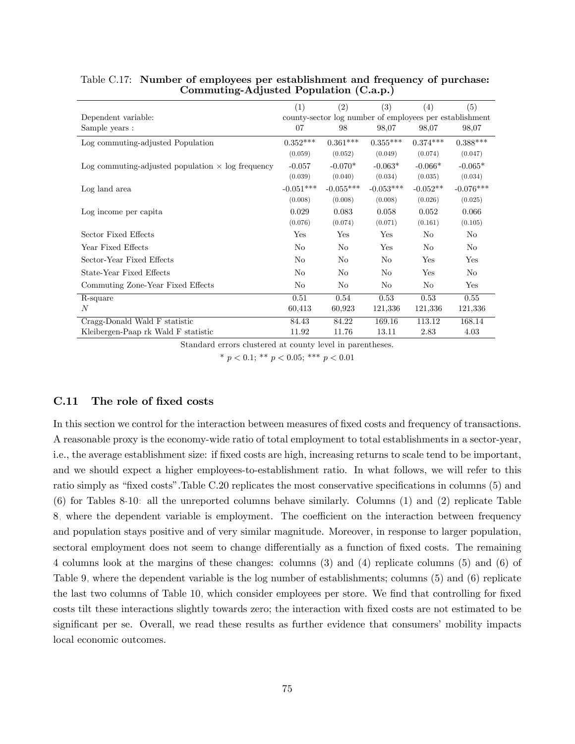|                                                          | (1)                                                     | (2)         | (3)         | (4)            | (5)         |  |  |
|----------------------------------------------------------|---------------------------------------------------------|-------------|-------------|----------------|-------------|--|--|
| Dependent variable:                                      | county-sector log number of employees per establishment |             |             |                |             |  |  |
| Sample years :                                           | 07                                                      | 98          | 98,07       | 98,07          | 98,07       |  |  |
| Log commuting-adjusted Population                        | $0.352***$                                              | $0.361***$  | $0.355***$  | $0.374***$     | $0.388***$  |  |  |
|                                                          | (0.059)                                                 | (0.052)     | (0.049)     | (0.074)        | (0.047)     |  |  |
| Log commuting-adjusted population $\times$ log frequency | $-0.057$                                                | $-0.070*$   | $-0.063*$   | $-0.066*$      | $-0.065*$   |  |  |
|                                                          | (0.039)                                                 | (0.040)     | (0.034)     | (0.035)        | (0.034)     |  |  |
| Log land area                                            | $-0.051***$                                             | $-0.055***$ | $-0.053***$ | $-0.052**$     | $-0.076***$ |  |  |
|                                                          | (0.008)                                                 | (0.008)     | (0.008)     | (0.026)        | (0.025)     |  |  |
| Log income per capita                                    | 0.029                                                   | 0.083       | 0.058       | 0.052          | 0.066       |  |  |
|                                                          | (0.076)                                                 | (0.074)     | (0.071)     | (0.161)        | (0.105)     |  |  |
| Sector Fixed Effects                                     | Yes                                                     | Yes         | Yes         | N <sub>0</sub> | No          |  |  |
| Year Fixed Effects                                       | No                                                      | No          | Yes         | N <sub>0</sub> | No          |  |  |
| Sector-Year Fixed Effects                                | No                                                      | No          | No          | Yes            | Yes         |  |  |
| State-Year Fixed Effects                                 | No                                                      | No          | No          | Yes            | No          |  |  |
| Commuting Zone-Year Fixed Effects                        | No                                                      | No          | No          | N <sub>0</sub> | Yes         |  |  |
| R-square                                                 | 0.51                                                    | 0.54        | 0.53        | 0.53           | 0.55        |  |  |
| N                                                        | 60,413                                                  | 60,923      | 121,336     | 121,336        | 121,336     |  |  |
| Cragg-Donald Wald F statistic                            | 84.43                                                   | 84.22       | 169.16      | 113.12         | 168.14      |  |  |
| Kleibergen-Paap rk Wald F statistic                      | 11.92                                                   | 11.76       | 13.11       | 2.83           | 4.03        |  |  |

<span id="page-75-0"></span>

| Table C.17: Number of employees per establishment and frequency of purchase: |
|------------------------------------------------------------------------------|
| Commuting-Adjusted Population (C.a.p.)                                       |

\*  $p < 0.1$ ; \*\*  $p < 0.05$ ; \*\*\*  $p < 0.01$ 

### C.11 The role of fixed costs

In this section we control for the interaction between measures of fixed costs and frequency of transactions. A reasonable proxy is the economy-wide ratio of total employment to total establishments in a sector-year, i.e., the average establishment size: if Öxed costs are high, increasing returns to scale tend to be important, and we should expect a higher employees-to-establishment ratio. In what follows, we will refer to this ratio simply as "fixed costs".Table [C.20](#page-78-0) replicates the most conservative specifications in columns (5) and (6) for Tables [8](#page-34-0)[-10:](#page-36-1) all the unreported columns behave similarly. Columns (1) and (2) replicate Table [8,](#page-34-0) where the dependent variable is employment. The coefficient on the interaction between frequency and population stays positive and of very similar magnitude. Moreover, in response to larger population, sectoral employment does not seem to change differentially as a function of fixed costs. The remaining 4 columns look at the margins of these changes: columns (3) and (4) replicate columns (5) and (6) of Table [9,](#page-35-0) where the dependent variable is the log number of establishments; columns (5) and (6) replicate the last two columns of Table [10,](#page-36-1) which consider employees per store. We find that controlling for fixed costs tilt these interactions slightly towards zero; the interaction with Öxed costs are not estimated to be significant per se. Overall, we read these results as further evidence that consumers' mobility impacts local economic outcomes.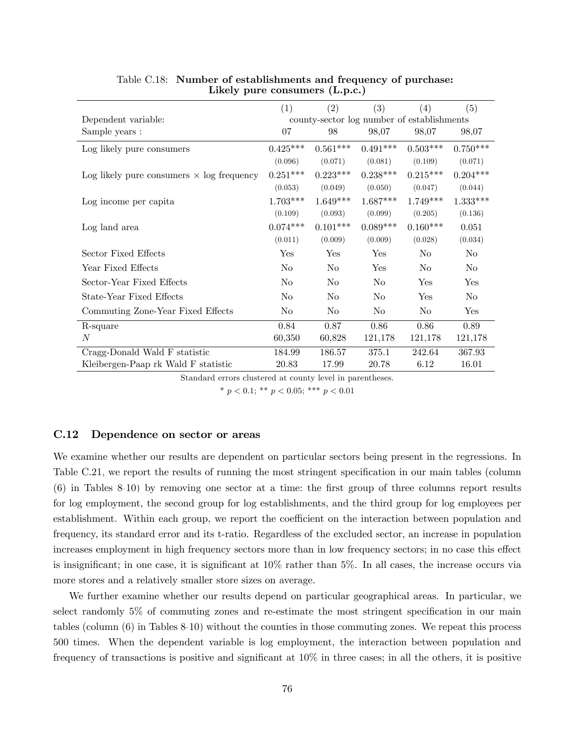|                                                  | (1)            | (2)            | (3)            | (4)                                        | (5)            |
|--------------------------------------------------|----------------|----------------|----------------|--------------------------------------------|----------------|
| Dependent variable:                              |                |                |                | county-sector log number of establishments |                |
| Sample years :                                   | 07             | 98             | 98,07          | 98,07                                      | 98,07          |
| Log likely pure consumers                        | $0.425***$     | $0.561***$     | $0.491***$     | $0.503***$                                 | $0.750***$     |
|                                                  | (0.096)        | (0.071)        | (0.081)        | (0.109)                                    | (0.071)        |
| Log likely pure consumers $\times$ log frequency | $0.251***$     | $0.223***$     | $0.238***$     | $0.215***$                                 | $0.204***$     |
|                                                  | (0.053)        | (0.049)        | (0.050)        | (0.047)                                    | (0.044)        |
| Log income per capita                            | $1.703***$     | $1.649***$     | $1.687***$     | $1.749***$                                 | $1.333***$     |
|                                                  | (0.109)        | (0.093)        | (0.099)        | (0.205)                                    | (0.136)        |
| Log land area                                    | $0.074***$     | $0.101***$     | $0.089***$     | $0.160***$                                 | 0.051          |
|                                                  | (0.011)        | (0.009)        | (0.009)        | (0.028)                                    | (0.034)        |
| Sector Fixed Effects                             | Yes            | Yes            | Yes            | No                                         | No             |
| Year Fixed Effects                               | No.            | N <sub>0</sub> | Yes            | No                                         | N <sub>0</sub> |
| Sector-Year Fixed Effects                        | No.            | N <sub>0</sub> | No             | Yes                                        | Yes            |
| State-Year Fixed Effects                         | N <sub>o</sub> | N <sub>0</sub> | N <sub>o</sub> | Yes                                        | N <sub>o</sub> |
| Commuting Zone-Year Fixed Effects                | No.            | N <sub>0</sub> | No             | N <sub>0</sub>                             | Yes            |
| R-square                                         | 0.84           | 0.87           | 0.86           | 0.86                                       | 0.89           |
| N                                                | 60,350         | 60,828         | 121,178        | 121,178                                    | 121,178        |
| Cragg-Donald Wald F statistic                    | 184.99         | 186.57         | 375.1          | 242.64                                     | 367.93         |
| Kleibergen-Paap rk Wald F statistic              | 20.83          | 17.99          | 20.78          | 6.12                                       | 16.01          |

## Table C.18: Number of establishments and frequency of purchase: Likely pure consumers (L.p.c.)

Standard errors clustered at county level in parentheses.

\*  $p < 0.1$ ; \*\*  $p < 0.05$ ; \*\*\*  $p < 0.01$ 

## C.12 Dependence on sector or areas

We examine whether our results are dependent on particular sectors being present in the regressions. In Table [C.21,](#page-78-1) we report the results of running the most stringent specification in our main tables (column (6) in Tables [8-](#page-34-0)[10\)](#page-36-1) by removing one sector at a time: the Örst group of three columns report results for log employment, the second group for log establishments, and the third group for log employees per establishment. Within each group, we report the coefficient on the interaction between population and frequency, its standard error and its t-ratio. Regardless of the excluded sector, an increase in population increases employment in high frequency sectors more than in low frequency sectors; in no case this effect is insignificant; in one case, it is significant at  $10\%$  rather than 5%. In all cases, the increase occurs via more stores and a relatively smaller store sizes on average.

We further examine whether our results depend on particular geographical areas. In particular, we select randomly  $5\%$  of commuting zones and re-estimate the most stringent specification in our main tables (column (6) in Tables [8](#page-34-0)[-10\)](#page-36-1) without the counties in those commuting zones. We repeat this process 500 times. When the dependent variable is log employment, the interaction between population and frequency of transactions is positive and significant at  $10\%$  in three cases; in all the others, it is positive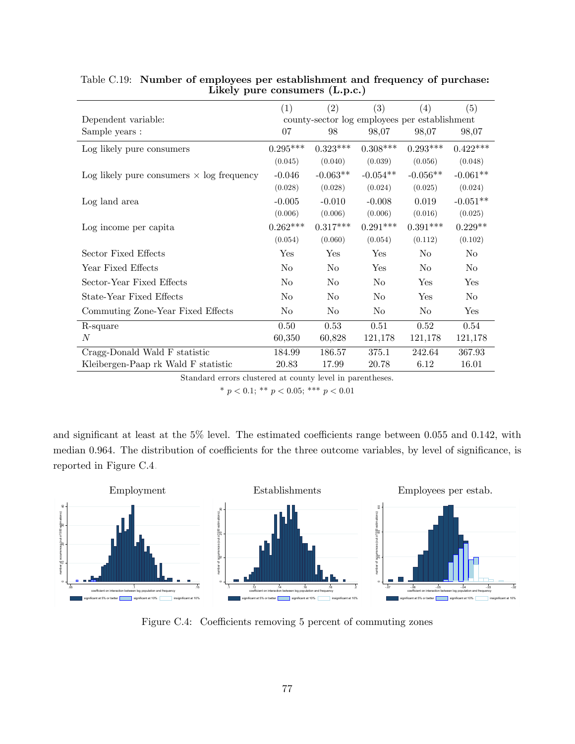|                                                  | (1)            | (2)            | (3)            | (4)                                           | (5)            |
|--------------------------------------------------|----------------|----------------|----------------|-----------------------------------------------|----------------|
| Dependent variable:                              |                |                |                | county-sector log employees per establishment |                |
| Sample years :                                   | 07             | 98             | 98,07          | 98,07                                         | 98,07          |
| Log likely pure consumers                        | $0.295***$     | $0.323***$     | $0.308***$     | $0.293***$                                    | $0.422***$     |
|                                                  | (0.045)        | (0.040)        | (0.039)        | (0.056)                                       | (0.048)        |
| Log likely pure consumers $\times$ log frequency | $-0.046$       | $-0.063**$     | $-0.054**$     | $-0.056**$                                    | $-0.061**$     |
|                                                  | (0.028)        | (0.028)        | (0.024)        | (0.025)                                       | (0.024)        |
| Log land area                                    | $-0.005$       | $-0.010$       | $-0.008$       | 0.019                                         | $-0.051**$     |
|                                                  | (0.006)        | (0.006)        | (0.006)        | (0.016)                                       | (0.025)        |
| Log income per capita                            | $0.262***$     | $0.317***$     | $0.291***$     | $0.391***$                                    | $0.229**$      |
|                                                  | (0.054)        | (0.060)        | (0.054)        | (0.112)                                       | (0.102)        |
| Sector Fixed Effects                             | Yes            | Yes            | Yes            | No                                            | No             |
| Year Fixed Effects                               | N <sub>0</sub> | No             | Yes            | No                                            | N <sub>o</sub> |
| Sector-Year Fixed Effects                        | N <sub>o</sub> | No             | No             | Yes                                           | Yes            |
| State-Year Fixed Effects                         | No.            | No             | No             | Yes                                           | No             |
| Commuting Zone-Year Fixed Effects                | N <sub>o</sub> | N <sub>0</sub> | N <sub>o</sub> | N <sub>0</sub>                                | Yes            |
| R-square                                         | 0.50           | 0.53           | 0.51           | 0.52                                          | 0.54           |
| N                                                | 60,350         | 60,828         | 121,178        | 121,178                                       | 121,178        |
| Cragg-Donald Wald F statistic                    | 184.99         | 186.57         | 375.1          | 242.64                                        | 367.93         |
| Kleibergen-Paap rk Wald F statistic              | 20.83          | 17.99          | 20.78          | 6.12                                          | 16.01          |
|                                                  |                |                |                |                                               |                |

# <span id="page-77-0"></span>Table C.19: Number of employees per establishment and frequency of purchase: Likely pure consumers (L.p.c.)

Standard errors clustered at county level in parentheses.

\*  $p < 0.1$ ; \*\*  $p < 0.05$ ; \*\*\*  $p < 0.01$ 

and significant at least at the  $5\%$  level. The estimated coefficients range between 0.055 and 0.142, with median 0.964. The distribution of coefficients for the three outcome variables, by level of significance, is reported in Figure [C.4.](#page-77-1)



<span id="page-77-1"></span>Figure C.4: Coefficients removing 5 percent of commuting zones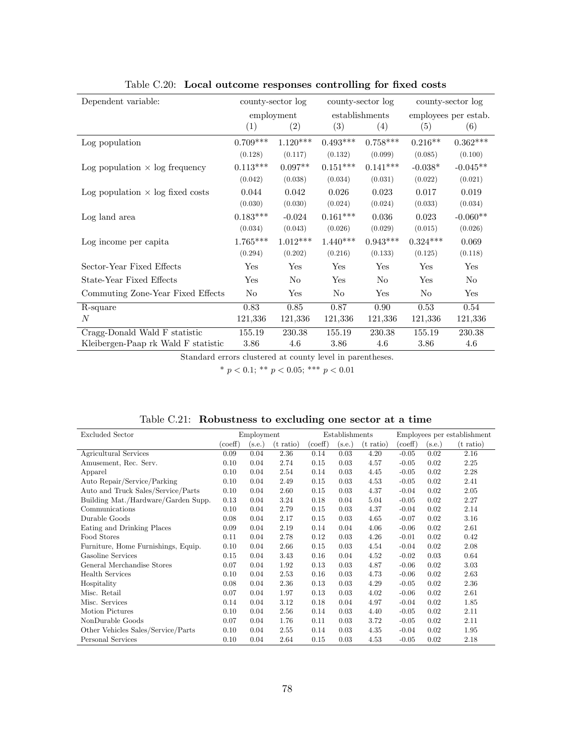| Dependent variable:                     | county-sector log |                |            | county-sector log | county-sector log    |            |  |
|-----------------------------------------|-------------------|----------------|------------|-------------------|----------------------|------------|--|
|                                         | employment        |                |            | establishments    | employees per estab. |            |  |
|                                         | (1)               | (2)            | (3)        | (4)               | (5)                  | (6)        |  |
| Log population                          | $0.709***$        | $1.120***$     | $0.493***$ | $0.758***$        | $0.216**$            | $0.362***$ |  |
|                                         | (0.128)           | (0.117)        | (0.132)    | (0.099)           | (0.085)              | (0.100)    |  |
| Log population $\times$ log frequency   | $0.113***$        | $0.097**$      | $0.151***$ | $0.141***$        | $-0.038*$            | $-0.045**$ |  |
|                                         | (0.042)           | (0.038)        | (0.034)    | (0.031)           | (0.022)              | (0.021)    |  |
| Log population $\times$ log fixed costs | 0.044             | 0.042          | 0.026      | 0.023             | 0.017                | 0.019      |  |
|                                         | (0.030)           | (0.030)        | (0.024)    | (0.024)           | (0.033)              | (0.034)    |  |
| Log land area                           | $0.183***$        | $-0.024$       | $0.161***$ | 0.036             | 0.023                | $-0.060**$ |  |
|                                         | (0.034)           | (0.043)        | (0.026)    | (0.029)           | (0.015)              | (0.026)    |  |
| Log income per capita                   | $1.765***$        | $1.012***$     | $1.440***$ | $0.943***$        | $0.324***$           | 0.069      |  |
|                                         | (0.294)           | (0.202)        | (0.216)    | (0.133)           | (0.125)              | (0.118)    |  |
| Sector-Year Fixed Effects               | Yes               | Yes            | Yes        | Yes               | Yes                  | Yes        |  |
| State-Year Fixed Effects                | Yes               | N <sub>o</sub> | Yes        | No.               | Yes                  | No.        |  |
| Commuting Zone-Year Fixed Effects       | No                | Yes            | No         | Yes               | No                   | Yes        |  |
| R-square                                | 0.83              | 0.85           | 0.87       | 0.90              | 0.53                 | 0.54       |  |
| N                                       | 121,336           | 121,336        | 121,336    | 121,336           | 121,336              | 121,336    |  |
| Cragg-Donald Wald F statistic           | 155.19            | 230.38         | 155.19     | 230.38            | 155.19               | 230.38     |  |
| Kleibergen-Paap rk Wald F statistic     | 3.86              | 4.6            | 3.86       | 4.6               | 3.86                 | 4.6        |  |

<span id="page-78-0"></span>Table C.20: Local outcome responses controlling for fixed costs

<span id="page-78-1"></span>

| Table C.21: Robustness to excluding one sector at a time |  |  |  |  |
|----------------------------------------------------------|--|--|--|--|
|                                                          |  |  |  |  |

| Excluded Sector                     |         | Employment |             | Establishments |                   |             | Employees per establishment |        |             |
|-------------------------------------|---------|------------|-------------|----------------|-------------------|-------------|-----------------------------|--------|-------------|
|                                     | (coeff) | (s.e.)     | $(t$ ratio) | (coeff)        | $(\mathrm{s.e.})$ | $(t$ ratio) | $(\text{coeff})$            | (s.e.) | $(t$ ratio) |
| Agricultural Services               | 0.09    | 0.04       | 2.36        | 0.14           | 0.03              | 4.20        | $-0.05$                     | 0.02   | 2.16        |
| Amusement, Rec. Serv.               | 0.10    | 0.04       | 2.74        | 0.15           | 0.03              | 4.57        | $-0.05$                     | 0.02   | 2.25        |
| Apparel                             | 0.10    | 0.04       | 2.54        | 0.14           | 0.03              | 4.45        | $-0.05$                     | 0.02   | 2.28        |
| Auto Repair/Service/Parking         | 0.10    | 0.04       | 2.49        | 0.15           | 0.03              | 4.53        | $-0.05$                     | 0.02   | 2.41        |
| Auto and Truck Sales/Service/Parts  | 0.10    | 0.04       | 2.60        | 0.15           | 0.03              | 4.37        | $-0.04$                     | 0.02   | 2.05        |
| Building Mat./Hardware/Garden Supp. | 0.13    | 0.04       | 3.24        | 0.18           | 0.04              | 5.04        | $-0.05$                     | 0.02   | 2.27        |
| Communications                      | 0.10    | 0.04       | 2.79        | 0.15           | 0.03              | 4.37        | $-0.04$                     | 0.02   | 2.14        |
| Durable Goods                       | 0.08    | 0.04       | 2.17        | 0.15           | 0.03              | 4.65        | $-0.07$                     | 0.02   | 3.16        |
| Eating and Drinking Places          | 0.09    | 0.04       | 2.19        | 0.14           | 0.04              | 4.06        | $-0.06$                     | 0.02   | 2.61        |
| Food Stores                         | 0.11    | 0.04       | 2.78        | 0.12           | 0.03              | 4.26        | $-0.01$                     | 0.02   | 0.42        |
| Furniture, Home Furnishings, Equip. | 0.10    | 0.04       | 2.66        | 0.15           | 0.03              | 4.54        | $-0.04$                     | 0.02   | 2.08        |
| Gasoline Services                   | 0.15    | 0.04       | 3.43        | 0.16           | 0.04              | 4.52        | $-0.02$                     | 0.03   | 0.64        |
| General Merchandise Stores          | 0.07    | 0.04       | 1.92        | 0.13           | 0.03              | 4.87        | $-0.06$                     | 0.02   | 3.03        |
| <b>Health Services</b>              | 0.10    | 0.04       | 2.53        | 0.16           | 0.03              | 4.73        | $-0.06$                     | 0.02   | 2.63        |
| Hospitality                         | 0.08    | 0.04       | 2.36        | 0.13           | 0.03              | 4.29        | $-0.05$                     | 0.02   | 2.36        |
| Misc. Retail                        | 0.07    | 0.04       | 1.97        | 0.13           | 0.03              | 4.02        | $-0.06$                     | 0.02   | 2.61        |
| Misc. Services                      | 0.14    | 0.04       | 3.12        | 0.18           | 0.04              | 4.97        | $-0.04$                     | 0.02   | 1.85        |
| Motion Pictures                     | 0.10    | 0.04       | 2.56        | 0.14           | 0.03              | 4.40        | $-0.05$                     | 0.02   | 2.11        |
| NonDurable Goods                    | 0.07    | 0.04       | 1.76        | 0.11           | 0.03              | 3.72        | $-0.05$                     | 0.02   | 2.11        |
| Other Vehicles Sales/Service/Parts  | 0.10    | 0.04       | 2.55        | 0.14           | 0.03              | 4.35        | $-0.04$                     | 0.02   | 1.95        |
| Personal Services                   | 0.10    | 0.04       | 2.64        | 0.15           | 0.03              | 4.53        | $-0.05$                     | 0.02   | 2.18        |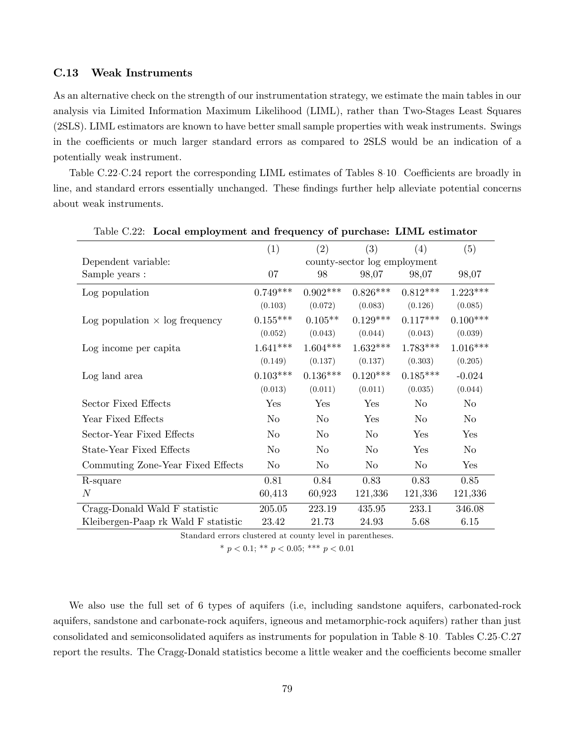### C.13 Weak Instruments

As an alternative check on the strength of our instrumentation strategy, we estimate the main tables in our analysis via Limited Information Maximum Likelihood (LIML), rather than Two-Stages Least Squares (2SLS). LIML estimators are known to have better small sample properties with weak instruments. Swings in the coefficients or much larger standard errors as compared to 2SLS would be an indication of a potentially weak instrument.

Table [C.22](#page-79-0)[-C.24](#page-81-0) report the corresponding LIML estimates of Tables [8-](#page-34-0)[10.](#page-36-1) Coefficients are broadly in line, and standard errors essentially unchanged. These findings further help alleviate potential concerns about weak instruments.

|                                       | (1)        | (2)        | (3)                          | (4)        | (5)        |
|---------------------------------------|------------|------------|------------------------------|------------|------------|
| Dependent variable:                   |            |            | county-sector log employment |            |            |
| Sample years :                        | 07         | 98         | 98,07                        | 98,07      | 98,07      |
| Log population                        | $0.749***$ | $0.902***$ | $0.826***$                   | $0.812***$ | $1.223***$ |
|                                       | (0.103)    | (0.072)    | (0.083)                      | (0.126)    | (0.085)    |
| Log population $\times$ log frequency | $0.155***$ | $0.105**$  | $0.129***$                   | $0.117***$ | $0.100***$ |
|                                       | (0.052)    | (0.043)    | (0.044)                      | (0.043)    | (0.039)    |
| Log income per capita                 | $1.641***$ | $1.604***$ | $1.632***$                   | $1.783***$ | $1.016***$ |
|                                       | (0.149)    | (0.137)    | (0.137)                      | (0.303)    | (0.205)    |
| Log land area                         | $0.103***$ | $0.136***$ | $0.120***$                   | $0.185***$ | $-0.024$   |
|                                       | (0.013)    | (0.011)    | (0.011)                      | (0.035)    | (0.044)    |
| Sector Fixed Effects                  | Yes        | Yes        | Yes                          | No.        | No         |
| Year Fixed Effects                    | $\rm No$   | $\rm No$   | Yes                          | $\rm No$   | $\rm No$   |
| Sector-Year Fixed Effects             | No         | No         | No                           | Yes        | Yes        |
| State-Year Fixed Effects              | No         | $\rm No$   | $\rm No$                     | Yes        | No         |
| Commuting Zone-Year Fixed Effects     | No         | No         | N <sub>o</sub>               | No         | Yes        |
| R-square                              | 0.81       | 0.84       | 0.83                         | 0.83       | 0.85       |
| N                                     | 60,413     | 60,923     | 121,336                      | 121,336    | 121,336    |
| Cragg-Donald Wald F statistic         | 205.05     | 223.19     | 435.95                       | 233.1      | 346.08     |
| Kleibergen-Paap rk Wald F statistic   | 23.42      | 21.73      | 24.93                        | 5.68       | 6.15       |

<span id="page-79-0"></span>Table C.22: Local employment and frequency of purchase: LIML estimator

Standard errors clustered at county level in parentheses.

\*  $p < 0.1$ ; \*\*  $p < 0.05$ ; \*\*\*  $p < 0.01$ 

We also use the full set of 6 types of aquifers (i.e, including sandstone aquifers, carbonated-rock aquifers, sandstone and carbonate-rock aquifers, igneous and metamorphic-rock aquifers) rather than just consolidated and semiconsolidated aquifers as instruments for population in Table [8-](#page-34-0)[10.](#page-36-1) Tables [C.25-](#page-82-0)[C.27](#page-84-0) report the results. The Cragg-Donald statistics become a little weaker and the coefficients become smaller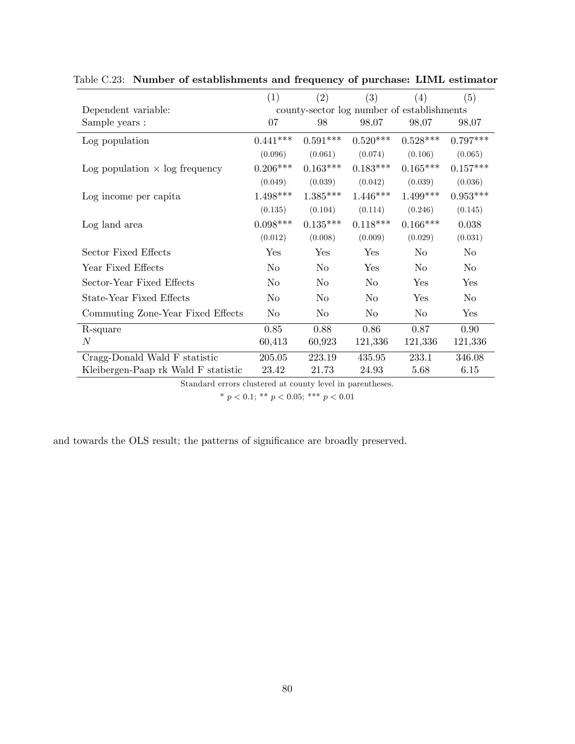|                                       | (1)            | (2)        | (3)                                        | (4)        | (5)        |
|---------------------------------------|----------------|------------|--------------------------------------------|------------|------------|
| Dependent variable:                   |                |            | county-sector log number of establishments |            |            |
| Sample years :                        | 07             | 98         | 98,07                                      | 98,07      | 98,07      |
| Log population                        | $0.441***$     | $0.591***$ | $0.520***$                                 | $0.528***$ | $0.797***$ |
|                                       | (0.096)        | (0.061)    | (0.074)                                    | (0.106)    | (0.065)    |
| Log population $\times$ log frequency | $0.206***$     | $0.163***$ | $0.183***$                                 | $0.165***$ | $0.157***$ |
|                                       | (0.049)        | (0.039)    | (0.042)                                    | (0.039)    | (0.036)    |
| Log income per capita                 | $1.498***$     | $1.385***$ | $1.446***$                                 | $1.499***$ | $0.953***$ |
|                                       | (0.135)        | (0.104)    | (0.114)                                    | (0.246)    | (0.145)    |
| Log land area                         | $0.098***$     | $0.135***$ | $0.118***$                                 | $0.166***$ | 0.038      |
|                                       | (0.012)        | (0.008)    | (0.009)                                    | (0.029)    | (0.031)    |
| Sector Fixed Effects                  | Yes            | Yes        | Yes                                        | No         | No         |
| Year Fixed Effects                    | N <sub>0</sub> | No         | Yes                                        | No.        | No.        |
| Sector-Year Fixed Effects             | No             | No         | No                                         | Yes        | Yes        |
| State-Year Fixed Effects              | N <sub>o</sub> | No         | N <sub>o</sub>                             | Yes        | No         |
| Commuting Zone-Year Fixed Effects     | No             | No         | No                                         | No         | Yes        |
| R-square                              | 0.85           | 0.88       | 0.86                                       | 0.87       | 0.90       |
| N                                     | 60,413         | 60,923     | 121,336                                    | 121,336    | 121,336    |
| Cragg-Donald Wald F statistic         | 205.05         | 223.19     | 435.95                                     | 233.1      | 346.08     |
| Kleibergen-Paap rk Wald F statistic   | 23.42          | 21.73      | 24.93                                      | 5.68       | 6.15       |

Table C.23: Number of establishments and frequency of purchase: LIML estimator

\*  $p < 0.1$ ; \*\*  $p < 0.05$ ; \*\*\*  $p < 0.01$ 

and towards the OLS result; the patterns of significance are broadly preserved.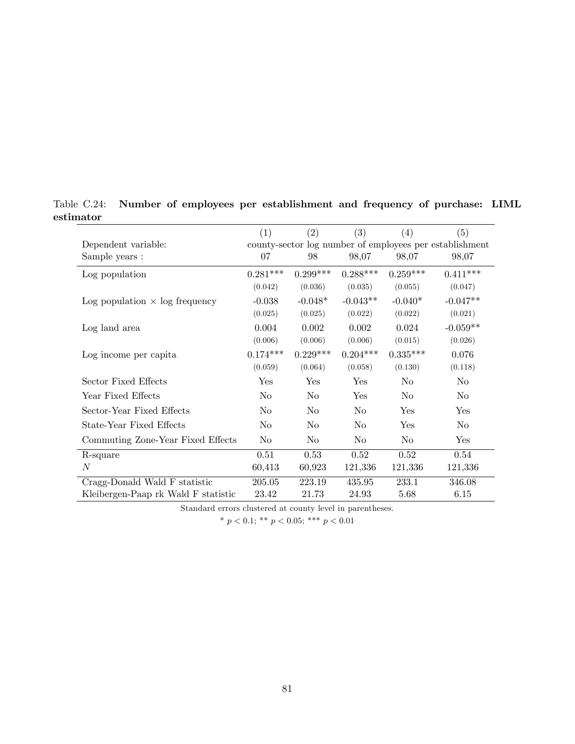<span id="page-81-0"></span>

|                                       | (1)                                                     | (2)            | (3)            | (4)            | (5)            |  |
|---------------------------------------|---------------------------------------------------------|----------------|----------------|----------------|----------------|--|
| Dependent variable:                   | county-sector log number of employees per establishment |                |                |                |                |  |
| Sample years :                        | 07                                                      | 98             | 98,07          | 98,07          | 98,07          |  |
| Log population                        | $0.281***$                                              | $0.299***$     | $0.288***$     | $0.259***$     | $0.411***$     |  |
|                                       | (0.042)                                                 | (0.036)        | (0.035)        | (0.055)        | (0.047)        |  |
| Log population $\times$ log frequency | $-0.038$                                                | $-0.048*$      | $-0.043**$     | $-0.040*$      | $-0.047**$     |  |
|                                       | (0.025)                                                 | (0.025)        | (0.022)        | (0.022)        | (0.021)        |  |
| Log land area                         | 0.004                                                   | 0.002          | 0.002          | 0.024          | $-0.059**$     |  |
|                                       | (0.006)                                                 | (0.006)        | (0.006)        | (0.015)        | (0.026)        |  |
| Log income per capita                 | $0.174***$                                              | $0.229***$     | $0.204***$     | $0.335***$     | 0.076          |  |
|                                       | (0.059)                                                 | (0.064)        | (0.058)        | (0.130)        | (0.118)        |  |
| Sector Fixed Effects                  | Yes                                                     | Yes            | Yes            | No             | $\rm No$       |  |
| Year Fixed Effects                    | $\rm No$                                                | No             | Yes            | No             | No             |  |
| Sector-Year Fixed Effects             | $\rm No$                                                | No             | N <sub>o</sub> | Yes            | Yes            |  |
| State-Year Fixed Effects              | N <sub>o</sub>                                          | N <sub>o</sub> | N <sub>o</sub> | Yes            | N <sub>o</sub> |  |
| Commuting Zone-Year Fixed Effects     | N <sub>o</sub>                                          | N <sub>o</sub> | N <sub>o</sub> | N <sub>o</sub> | Yes            |  |
| R-square                              | 0.51                                                    | 0.53           | 0.52           | 0.52           | 0.54           |  |
| $_{N}$                                | 60,413                                                  | 60,923         | 121,336        | 121,336        | 121,336        |  |
| Cragg-Donald Wald F statistic         | 205.05                                                  | 223.19         | 435.95         | 233.1          | 346.08         |  |
| Kleibergen-Paap rk Wald F statistic   | 23.42                                                   | 21.73          | 24.93          | 5.68           | 6.15           |  |

Table C.24: Number of employees per establishment and frequency of purchase: LIML estimator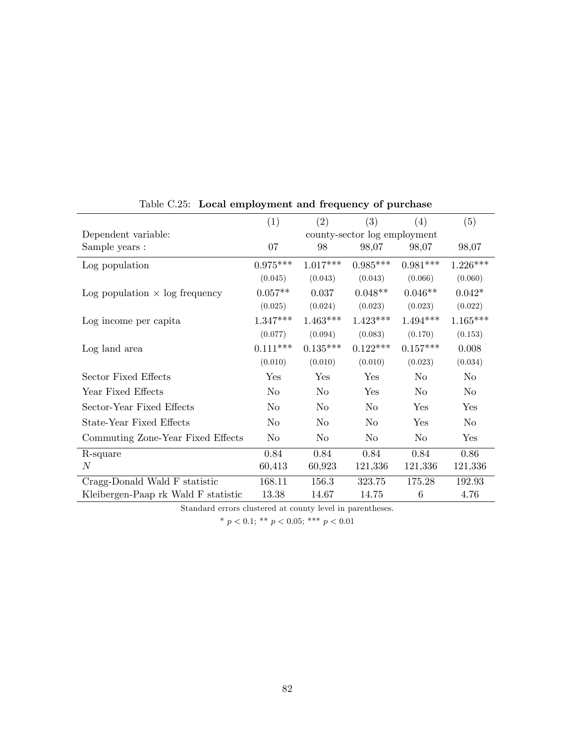|                                       | (1)                          | (2)        | (3)        | (4)        | (5)        |
|---------------------------------------|------------------------------|------------|------------|------------|------------|
| Dependent variable:                   | county-sector log employment |            |            |            |            |
| Sample years :                        | 07                           | 98         | 98,07      | 98,07      | 98,07      |
| Log population                        | $0.975***$                   | $1.017***$ | $0.985***$ | $0.981***$ | $1.226***$ |
|                                       | (0.045)                      | (0.043)    | (0.043)    | (0.066)    | (0.060)    |
| Log population $\times$ log frequency | $0.057**$                    | 0.037      | $0.048**$  | $0.046**$  | $0.042*$   |
|                                       | (0.025)                      | (0.024)    | (0.023)    | (0.023)    | (0.022)    |
| Log income per capita                 | $1.347***$                   | $1.463***$ | $1.423***$ | $1.494***$ | $1.165***$ |
|                                       | (0.077)                      | (0.094)    | (0.083)    | (0.170)    | (0.153)    |
| Log land area                         | $0.111***$                   | $0.135***$ | $0.122***$ | $0.157***$ | 0.008      |
|                                       | (0.010)                      | (0.010)    | (0.010)    | (0.023)    | (0.034)    |
| Sector Fixed Effects                  | Yes                          | Yes        | Yes        | No         | $\rm No$   |
| Year Fixed Effects                    | No                           | $\rm No$   | Yes        | No         | $\rm No$   |
| Sector-Year Fixed Effects             | $\rm No$                     | $\rm No$   | $\rm No$   | Yes        | Yes        |
| State-Year Fixed Effects              | No                           | $\rm No$   | No         | Yes        | $\rm No$   |
| Commuting Zone-Year Fixed Effects     | $\rm No$                     | $\rm No$   | $\rm No$   | $\rm No$   | Yes        |
| R-square                              | 0.84                         | 0.84       | 0.84       | 0.84       | 0.86       |
| $\boldsymbol{N}$                      | 60,413                       | 60,923     | 121,336    | 121,336    | 121,336    |
| Cragg-Donald Wald F statistic         | 168.11                       | 156.3      | 323.75     | 175.28     | 192.93     |
| Kleibergen-Paap rk Wald F statistic   | 13.38                        | 14.67      | 14.75      | 6          | 4.76       |

<span id="page-82-0"></span>Table C.25: Local employment and frequency of purchase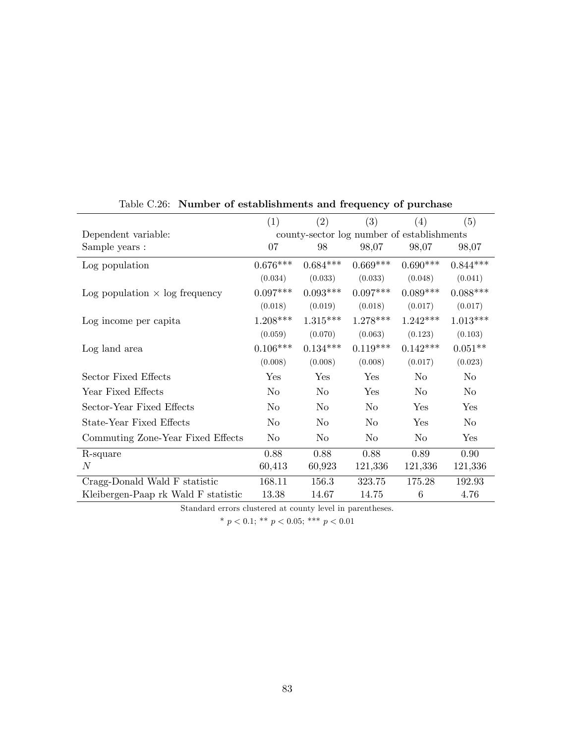|                                       | (1)                                        | (2)        | (3)        | (4)        | (5)        |
|---------------------------------------|--------------------------------------------|------------|------------|------------|------------|
| Dependent variable:                   | county-sector log number of establishments |            |            |            |            |
| Sample years :                        | 07                                         | 98         | 98,07      | 98,07      | 98,07      |
| Log population                        | $0.676***$                                 | $0.684***$ | $0.669***$ | $0.690***$ | $0.844***$ |
|                                       | (0.034)                                    | (0.033)    | (0.033)    | (0.048)    | (0.041)    |
| Log population $\times$ log frequency | $0.097***$                                 | $0.093***$ | $0.097***$ | $0.089***$ | $0.088***$ |
|                                       | (0.018)                                    | (0.019)    | (0.018)    | (0.017)    | (0.017)    |
| Log income per capita                 | $1.208***$                                 | $1.315***$ | $1.278***$ | $1.242***$ | $1.013***$ |
|                                       | (0.059)                                    | (0.070)    | (0.063)    | (0.123)    | (0.103)    |
| Log land area                         | $0.106***$                                 | $0.134***$ | $0.119***$ | $0.142***$ | $0.051**$  |
|                                       | (0.008)                                    | (0.008)    | (0.008)    | (0.017)    | (0.023)    |
| Sector Fixed Effects                  | Yes                                        | Yes        | Yes        | No         | No         |
| Year Fixed Effects                    | $\rm No$                                   | $\rm No$   | Yes        | No         | No         |
| Sector-Year Fixed Effects             | $\rm No$                                   | $\rm No$   | $\rm No$   | Yes        | Yes        |
| State-Year Fixed Effects              | $\rm No$                                   | $\rm No$   | $\rm No$   | Yes        | No         |
| Commuting Zone-Year Fixed Effects     | $\rm No$                                   | $\rm No$   | $\rm No$   | $\rm No$   | Yes        |
| R-square                              | 0.88                                       | 0.88       | 0.88       | 0.89       | 0.90       |
| $\boldsymbol{N}$                      | 60,413                                     | 60,923     | 121,336    | 121,336    | 121,336    |
| Cragg-Donald Wald F statistic         | 168.11                                     | 156.3      | 323.75     | 175.28     | 192.93     |
| Kleibergen-Paap rk Wald F statistic   | 13.38                                      | 14.67      | 14.75      | 6          | 4.76       |
|                                       |                                            |            |            |            |            |

# Table C.26: Number of establishments and frequency of purchase

Standard errors clustered at county level in parentheses.